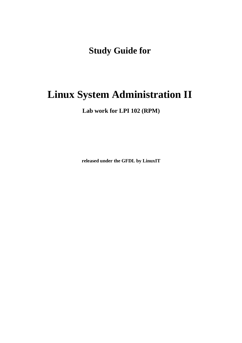**Study Guide for**

# **Linux System Administration II**

**Lab work for LPI 102 (RPM)**

**released under the GFDL by LinuxIT**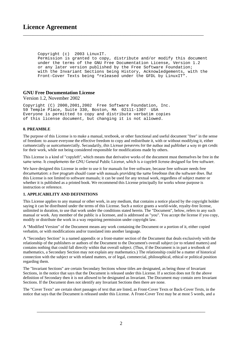Copyright (c) 2003 LinuxIT. Permission is granted to copy, distribute and/or modify this document under the terms of the GNU Free Documentation License, Version 1.2 or any later version published by the Free Software Foundation; with the Invariant Sections being History, Acknowledgements, with the Front-Cover Texts being "released under the GFDL by LinuxIT".

\_\_\_\_\_\_\_\_\_\_\_\_\_\_\_\_\_\_\_\_\_\_\_\_\_\_\_\_\_\_\_\_\_\_\_\_\_\_\_\_\_\_\_\_\_\_\_\_\_\_\_\_\_\_\_\_\_\_\_\_\_\_\_\_\_\_\_\_\_\_\_\_\_\_

### **GNU Free Documentation License**

Version 1.2, November 2002

Copyright (C) 2000,2001,2002 Free Software Foundation, Inc. 59 Temple Place, Suite 330, Boston, MA 02111-1307 USA Everyone is permitted to copy and distribute verbatim copies of this license document, but changing it is not allowed.

### **0. PREAMBLE**

The purpose of this License is to make a manual, textbook, or other functional and useful document "free" in the sense of freedom: to assure everyone the effective freedom to copy and redistribute it, with or without modifying it, either commercially or noncommercially. Secondarily, this License preserves for the author and publisher a way to get credit for their work, while not being considered responsible for modifications made by others.

This License is a kind of "copyleft", which means that derivative works of the document must themselves be free in the same sense. It complements the GNU General Public License, which is a copyleft license designed for free software.

We have designed this License in order to use it for manuals for free software, because free software needs free documentation: a free program should come with manuals providing the same freedoms that the software does. But this License is not limited to software manuals; it can be used for any textual work, regardless of subject matter or whether it is published as a printed book. We recommend this License principally for works whose purpose is instruction or reference.

### **1. APPLICABILITY AND DEFINITIONS**

This License applies to any manual or other work, in any medium, that contains a notice placed by the copyright holder saying it can be distributed under the terms of this License. Such a notice grants a world-wide, royalty-free license, unlimited in duration, to use that work under the conditions stated herein. The "Document", below, refers to any such manual or work. Any member of the public is a licensee, and is addressed as "you". You accept the license if you copy, modify or distribute the work in a way requiring permission under copyright law.

A "Modified Version" of the Document means any work containing the Document or a portion of it, either copied verbatim, or with modifications and/or translated into another language.

A "Secondary Section" is a named appendix or a front-matter section of the Document that deals exclusively with the relationship of the publishers or authors of the Document to the Document's overall subject (or to related matters) and contains nothing that could fall directly within that overall subject. (Thus, if the Document is in part a textbook of mathematics, a Secondary Section may not explain any mathematics.) The relationship could be a matter of historical connection with the subject or with related matters, or of legal, commercial, philosophical, ethical or political position regarding them.

The "Invariant Sections" are certain Secondary Sections whose titles are designated, as being those of Invariant Sections, in the notice that says that the Document is released under this License. If a section does not fit the above definition of Secondary then it is not allowed to be designated as Invariant. The Document may contain zero Invariant Sections. If the Document does not identify any Invariant Sections then there are none.

The "Cover Texts" are certain short passages of text that are listed, as Front-Cover Texts or Back-Cover Texts, in the notice that says that the Document is released under this License. A Front-Cover Text may be at most 5 words, and a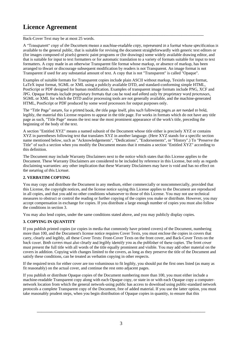\_\_\_\_\_\_\_\_\_\_\_\_\_\_\_\_\_\_\_\_\_\_\_\_\_\_\_\_\_\_\_\_\_\_\_\_\_\_\_\_\_\_\_\_\_\_\_\_\_\_\_\_\_\_\_\_\_\_\_\_\_\_\_\_\_\_\_\_\_\_\_\_\_\_ Back-Cover Text may be at most 25 words.

A "Transparent" copy of the Document means a machine-readable copy, represented in a format whose specification is available to the general public, that is suitable for revising the document straightforwardly with generic text editors or (for images composed of pixels) generic paint programs or (for drawings) some widely available drawing editor, and that is suitable for input to text formatters or for automatic translation to a variety of formats suitable for input to text formatters. A copy made in an otherwise Transparent file format whose markup, or absence of markup, has been arranged to thwart or discourage subsequent modification by readers is not Transparent. An image format is not Transparent if used for any substantial amount of text. A copy that is not "Transparent" is called "Opaque".

Examples of suitable formats for Transparent copies include plain ASCII without markup, Texinfo input format, LaTeX input format, SGML or XML using a publicly available DTD, and standard-conforming simple HTML, PostScript or PDF designed for human modification. Examples of transparent image formats include PNG, XCF and JPG. Opaque formats include proprietary formats that can be read and edited only by proprietary word processors, SGML or XML for which the DTD and/or processing tools are not generally available, and the machine-generated HTML, PostScript or PDF produced by some word processors for output purposes only.

The "Title Page" means, for a printed book, the title page itself, plus such following pages as are needed to hold, legibly, the material this License requires to appear in the title page. For works in formats which do not have any title page as such, "Title Page" means the text near the most prominent appearance of the work's title, preceding the beginning of the body of the text.

A section "Entitled XYZ" means a named subunit of the Document whose title either is precisely XYZ or contains XYZ in parentheses following text that translates XYZ in another language. (Here XYZ stands for a specific section name mentioned below, such as "Acknowledgements", "Dedications", "Endorsements", or "History".) To "Preserve the Title" of such a section when you modify the Document means that it remains a section "Entitled XYZ" according to this definition.

The Document may include Warranty Disclaimers next to the notice which states that this License applies to the Document. These Warranty Disclaimers are considered to be included by reference in this License, but only as regards disclaiming warranties: any other implication that these Warranty Disclaimers may have is void and has no effect on the meaning of this License.

### **2. VERBATIM COPYING**

You may copy and distribute the Document in any medium, either commercially or noncommercially, provided that this License, the copyright notices, and the license notice saying this License applies to the Document are reproduced in all copies, and that you add no other conditions whatsoever to those of this License. You may not use technical measures to obstruct or control the reading or further copying of the copies you make or distribute. However, you may accept compensation in exchange for copies. If you distribute a large enough number of copies you must also follow the conditions in section 3.

You may also lend copies, under the same conditions stated above, and you may publicly display copies.

### **3. COPYING IN QUANTITY**

If you publish printed copies (or copies in media that commonly have printed covers) of the Document, numbering more than 100, and the Document's license notice requires Cover Texts, you must enclose the copies in covers that carry, clearly and legibly, all these Cover Texts: Front-Cover Texts on the front cover, and Back-Cover Texts on the back cover. Both covers must also clearly and legibly identify you as the publisher of these copies. The front cover must present the full title with all words of the title equally prominent and visible. You may add other material on the covers in addition. Copying with changes limited to the covers, as long as they preserve the title of the Document and satisfy these conditions, can be treated as verbatim copying in other respects.

If the required texts for either cover are too voluminous to fit legibly, you should put the first ones listed (as many as fit reasonably) on the actual cover, and continue the rest onto adjacent pages.

If you publish or distribute Opaque copies of the Document numbering more than 100, you must either include a machine-readable Transparent copy along with each Opaque copy, or state in or with each Opaque copy a computernetwork location from which the general network-using public has access to download using public-standard network protocols a complete Transparent copy of the Document, free of added material. If you use the latter option, you must take reasonably prudent steps, when you begin distribution of Opaque copies in quantity, to ensure that this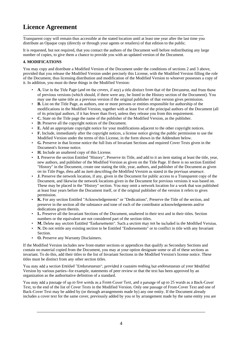\_\_\_\_\_\_\_\_\_\_\_\_\_\_\_\_\_\_\_\_\_\_\_\_\_\_\_\_\_\_\_\_\_\_\_\_\_\_\_\_\_\_\_\_\_\_\_\_\_\_\_\_\_\_\_\_\_\_\_\_\_\_\_\_\_\_\_\_\_\_\_\_\_\_ Transparent copy will remain thus accessible at the stated location until at least one year after the last time you distribute an Opaque copy (directly or through your agents or retailers) of that edition to the public.

It is requested, but not required, that you contact the authors of the Document well before redistributing any large number of copies, to give them a chance to provide you with an updated version of the Document.

### **4. MODIFICATIONS**

You may copy and distribute a Modified Version of the Document under the conditions of sections 2 and 3 above, provided that you release the Modified Version under precisely this License, with the Modified Version filling the role of the Document, thus licensing distribution and modification of the Modified Version to whoever possesses a copy of it. In addition, you must do these things in the Modified Version:

- **A.** Use in the Title Page (and on the covers, if any) a title distinct from that of the Document, and from those of previous versions (which should, if there were any, be listed in the History section of the Document). You may use the same title as a previous version if the original publisher of that version gives permission.
- **B.** List on the Title Page, as authors, one or more persons or entities responsible for authorship of the modifications in the Modified Version, together with at least five of the principal authors of the Document (all of its principal authors, if it has fewer than five), unless they release you from this requirement.
- **C.** State on the Title page the name of the publisher of the Modified Version, as the publisher.
- **D.** Preserve all the copyright notices of the Document.
- **E.** Add an appropriate copyright notice for your modifications adjacent to the other copyright notices.
- **F.** Include, immediately after the copyright notices, a license notice giving the public permission to use the Modified Version under the terms of this License, in the form shown in the Addendum below.
- **G.** Preserve in that license notice the full lists of Invariant Sections and required Cover Texts given in the Document's license notice.
- **H.** Include an unaltered copy of this License.
- **I.** Preserve the section Entitled "History", Preserve its Title, and add to it an item stating at least the title, year, new authors, and publisher of the Modified Version as given on the Title Page. If there is no section Entitled "History" in the Document, create one stating the title, year, authors, and publisher of the Document as given on its Title Page, then add an item describing the Modified Version as stated in the previous sentence.
- **J.** Preserve the network location, if any, given in the Document for public access to a Transparent copy of the Document, and likewise the network locations given in the Document for previous versions it was based on. These may be placed in the "History" section. You may omit a network location for a work that was published at least four years before the Document itself, or if the original publisher of the version it refers to gives permission.
- **K.** For any section Entitled "Acknowledgements" or "Dedications", Preserve the Title of the section, and preserve in the section all the substance and tone of each of the contributor acknowledgements and/or dedications given therein.
- **L.** Preserve all the Invariant Sections of the Document, unaltered in their text and in their titles. Section numbers or the equivalent are not considered part of the section titles.
- **M.** Delete any section Entitled "Endorsements". Such a section may not be included in the Modified Version.
- **N.** Do not retitle any existing section to be Entitled "Endorsements" or to conflict in title with any Invariant Section.
- **O.** Preserve any Warranty Disclaimers.

If the Modified Version includes new front-matter sections or appendices that qualify as Secondary Sections and contain no material copied from the Document, you may at your option designate some or all of these sections as invariant. To do this, add their titles to the list of Invariant Sections in the Modified Version's license notice. These titles must be distinct from any other section titles.

You may add a section Entitled "Endorsements", provided it contains nothing but endorsements of your Modified Version by various parties--for example, statements of peer review or that the text has been approved by an organization as the authoritative definition of a standard.

You may add a passage of up to five words as a Front-Cover Text, and a passage of up to 25 words as a Back-Cover Text, to the end of the list of Cover Texts in the Modified Version. Only one passage of Front-Cover Text and one of Back-Cover Text may be added by (or through arrangements made by) any one entity. If the Document already includes a cover text for the same cover, previously added by you or by arrangement made by the same entity you are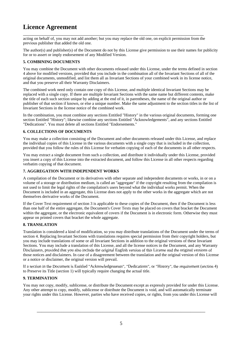\_\_\_\_\_\_\_\_\_\_\_\_\_\_\_\_\_\_\_\_\_\_\_\_\_\_\_\_\_\_\_\_\_\_\_\_\_\_\_\_\_\_\_\_\_\_\_\_\_\_\_\_\_\_\_\_\_\_\_\_\_\_\_\_\_\_\_\_\_\_\_\_\_\_ acting on behalf of, you may not add another; but you may replace the old one, on explicit permission from the previous publisher that added the old one.

The author(s) and publisher(s) of the Document do not by this License give permission to use their names for publicity for or to assert or imply endorsement of any Modified Version.

### **5. COMBINING DOCUMENTS**

You may combine the Document with other documents released under this License, under the terms defined in section 4 above for modified versions, provided that you include in the combination all of the Invariant Sections of all of the original documents, unmodified, and list them all as Invariant Sections of your combined work in its license notice, and that you preserve all their Warranty Disclaimers.

The combined work need only contain one copy of this License, and multiple identical Invariant Sections may be replaced with a single copy. If there are multiple Invariant Sections with the same name but different contents, make the title of each such section unique by adding at the end of it, in parentheses, the name of the original author or publisher of that section if known, or else a unique number. Make the same adjustment to the section titles in the list of Invariant Sections in the license notice of the combined work.

In the combination, you must combine any sections Entitled "History" in the various original documents, forming one section Entitled "History"; likewise combine any sections Entitled "Acknowledgements", and any sections Entitled "Dedications". You must delete all sections Entitled "Endorsements."

### **6. COLLECTIONS OF DOCUMENTS**

You may make a collection consisting of the Document and other documents released under this License, and replace the individual copies of this License in the various documents with a single copy that is included in the collection, provided that you follow the rules of this License for verbatim copying of each of the documents in all other respects.

You may extract a single document from such a collection, and distribute it individually under this License, provided you insert a copy of this License into the extracted document, and follow this License in all other respects regarding verbatim copying of that document.

### **7. AGGREGATION WITH INDEPENDENT WORKS**

A compilation of the Document or its derivatives with other separate and independent documents or works, in or on a volume of a storage or distribution medium, is called an "aggregate" if the copyright resulting from the compilation is not used to limit the legal rights of the compilation's users beyond what the individual works permit. When the Document is included in an aggregate, this License does not apply to the other works in the aggregate which are not themselves derivative works of the Document.

If the Cover Text requirement of section 3 is applicable to these copies of the Document, then if the Document is less than one half of the entire aggregate, the Document's Cover Texts may be placed on covers that bracket the Document within the aggregate, or the electronic equivalent of covers if the Document is in electronic form. Otherwise they must appear on printed covers that bracket the whole aggregate.

#### **8. TRANSLATION**

Translation is considered a kind of modification, so you may distribute translations of the Document under the terms of section 4. Replacing Invariant Sections with translations requires special permission from their copyright holders, but you may include translations of some or all Invariant Sections in addition to the original versions of these Invariant Sections. You may include a translation of this License, and all the license notices in the Document, and any Warranty Disclaimers, provided that you also include the original English version of this License and the original versions of those notices and disclaimers. In case of a disagreement between the translation and the original version of this License or a notice or disclaimer, the original version will prevail.

If a section in the Document is Entitled "Acknowledgements", "Dedications", or "History", the requirement (section 4) to Preserve its Title (section 1) will typically require changing the actual title.

### **9. TERMINATION**

You may not copy, modify, sublicense, or distribute the Document except as expressly provided for under this License. Any other attempt to copy, modify, sublicense or distribute the Document is void, and will automatically terminate your rights under this License. However, parties who have received copies, or rights, from you under this License will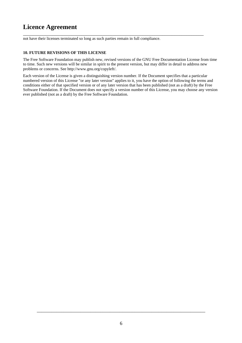\_\_\_\_\_\_\_\_\_\_\_\_\_\_\_\_\_\_\_\_\_\_\_\_\_\_\_\_\_\_\_\_\_\_\_\_\_\_\_\_\_\_\_\_\_\_\_\_\_\_\_\_\_\_\_\_\_\_\_\_\_\_\_\_\_\_\_\_\_\_\_\_\_\_ not have their licenses terminated so long as such parties remain in full compliance.

### **10. FUTURE REVISIONS OF THIS LICENSE**

The Free Software Foundation may publish new, revised versions of the GNU Free Documentation License from time to time. Such new versions will be similar in spirit to the present version, but may differ in detail to address new problems or concerns. See http://www.gnu.org/copyleft/.

Each version of the License is given a distinguishing version number. If the Document specifies that a particular numbered version of this License "or any later version" applies to it, you have the option of following the terms and conditions either of that specified version or of any later version that has been published (not as a draft) by the Free Software Foundation. If the Document does not specify a version number of this License, you may choose any version ever published (not as a draft) by the Free Software Foundation.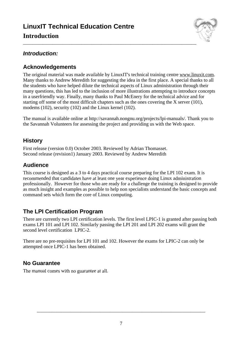# **LinuxIT Technical Education Centre Introduction** \_\_\_\_\_\_\_\_\_\_\_\_\_\_\_\_\_\_\_\_\_\_\_\_\_\_\_\_\_\_\_\_\_\_\_\_\_\_\_\_\_\_\_\_\_\_\_\_\_\_\_\_\_\_\_\_\_\_\_\_\_\_\_\_\_\_\_\_\_\_\_



## **Introduction:**

## **Acknowledgements**

The original material was made available by LinuxIT's technical training centre www.linuxit.com. Many thanks to Andrew Meredith for suggesting the idea in the first place. A special thanks to all the students who have helped dilute the technical aspects of Linux administration through their many questions, this has led to the inclusion of more illustrations attempting to introduce concepts in a userfriendly way. Finally, many thanks to Paul McEnery for the technical advice and for starting off some of the most difficult chapters such as the ones covering the X server (101), modems (102), security (102) and the Linux kernel (102).

The manual is available online at http://savannah.nongnu.org/projects/lpi-manuals/. Thank you to the Savannah Volunteers for assessing the project and providing us with the Web space.

## **History**

First release (version 0.0) October 2003. Reviewed by Adrian Thomasset. Second release (revision1) January 2003. Reviewed by Andrew Meredith

## **Audience**

This course is designed as a 3 to 4 days practical course preparing for the LPI 102 exam. It is recommended that candidates have at least one year experience doing Linux administration professionally. However for those who are ready for a challenge the training is designed to provide as much insight and examples as possible to help non specialists understand the basic concepts and command sets which form the core of Linux computing.

## **The LPI Certification Program**

There are currently two LPI certification levels. The first level LPIC-1 is granted after passing both exams LPI 101 and LPI 102. Similarly passing the LPI 201 and LPI 202 exams will grant the second level certification LPIC-2.

There are no pre-requisites for LPI 101 and 102. However the exams for LPIC-2 can only be attempted once LPIC-1 has been obtained.

## **No Guarantee**

The manual comes with no guarantee at all.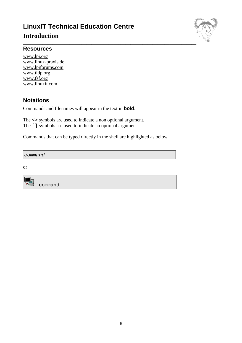# **LinuxIT Technical Education Centre Introduction**



### **Resources**

www.lpi.org www.linux-praxis.de www.lpiforums.com www.tldp.org www.fsf.org www.linuxit.com

## **Notations**

Commands and filenames will appear in the text in **bold**.

The <> symbols are used to indicate a non optional argument. The [] symbols are used to indicate an optional argument

Commands that can be typed directly in the shell are highlighted as below

command

or

 $\blacksquare$ ्रा

command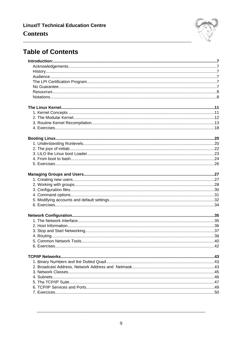

# **Table of Contents**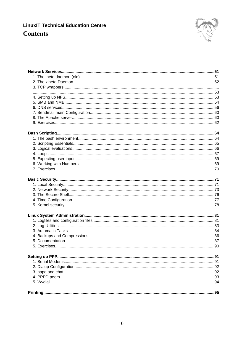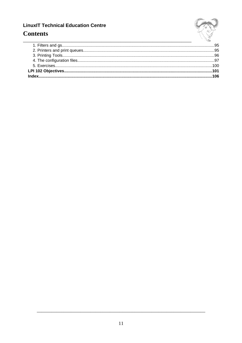# **LinuxIT Technical Education Centre Contents**

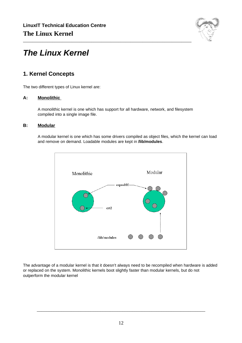

# **The Linux Kernel**

## **1. Kernel Concepts**

The two different types of Linux kernel are:

### **A: Monolithic**

A monolithic kernel is one which has support for all hardware, network, and filesystem compiled into a single image file.

\_\_\_\_\_\_\_\_\_\_\_\_\_\_\_\_\_\_\_\_\_\_\_\_\_\_\_\_\_\_\_\_\_\_\_\_\_\_\_\_\_\_\_\_\_\_\_\_\_\_\_\_\_\_\_\_\_\_\_\_\_\_\_\_\_\_\_\_\_

### **B: Modular**

A modular kernel is one which has some drivers compiled as object files, which the kernel can load and remove on demand. Loadable modules are kept in **/lib/modules**.



The advantage of a modular kernel is that it doesn't always need to be recompiled when hardware is added or replaced on the system. Monolithic kernels boot slightly faster than modular kernels, but do not outperform the modular kernel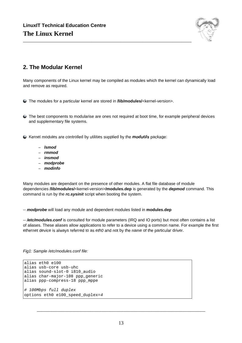

## **2. The Modular Kernel**

Many components of the Linux kernel may be compiled as modules which the kernel can dynamically load and remove as required.

The modules for a particular kernel are stored in **/lib/modules/**<kernel-version>.

\_\_\_\_\_\_\_\_\_\_\_\_\_\_\_\_\_\_\_\_\_\_\_\_\_\_\_\_\_\_\_\_\_\_\_\_\_\_\_\_\_\_\_\_\_\_\_\_\_\_\_\_\_\_\_\_\_\_\_\_\_\_\_\_\_\_\_\_\_

 $\bullet$  The best components to modularise are ones not required at boot time, for example peripheral devices and supplementary file systems.

 $\bullet$  Kernel modules are controlled by utilities supplied by the **modutils** package:

- **lsmod**
- **rmmod**
- **insmod**
- **modprobe**
- **modinfo**

Many modules are dependant on the presence of other modules. A flat file database of module dependencies **/lib/modules/**<kernel-version>**/modules.dep** is generated by the **depmod** command. This command is run by the **rc.sysinit** script when booting the system.

-- **modprobe** will load any module and dependent modules listed in **modules.dep**

-- **/etc/modules.conf** is consulted for module parameters (IRQ and IO ports) but most often contains a list of aliases. These aliases allow applications to refer to a device using a common name. For example the first ethernet device is always referred to as  $e$ th0 and not by the name of the particular driver.

Fig1: Sample /etc/modules.conf file:

```
alias eth0 e100
alias usb-core usb-uhc
alias sound-slot-0 i810_audio
alias char-major-108 ppp generic
alias ppp-compress-18 ppp_mppe
# 100Mbps full duplex
options eth0 e100_speed_duplex=4
```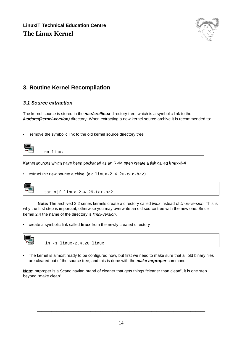

## **3. Routine Kernel Recompilation**

### **3.1 Source extraction**

The kernel source is stored in the **/usr/src/linux** directory tree, which is a symbolic link to the **/usr/src/(kernel-version)** directory. When extracting a new kernel source archive it is recommended to:

\_\_\_\_\_\_\_\_\_\_\_\_\_\_\_\_\_\_\_\_\_\_\_\_\_\_\_\_\_\_\_\_\_\_\_\_\_\_\_\_\_\_\_\_\_\_\_\_\_\_\_\_\_\_\_\_\_\_\_\_\_\_\_\_\_\_\_\_\_

remove the symbolic link to the old kernel source directory tree

rm linux

Kernel sources which have been packaged as an RPM often create a link called **linux-2-4**

• extract the new source archive (e.g linux-2.4.20.tar.bz2)



**Note:** The archived 2.2 series kernels create a directory called linux instead of linux-version. This is why the first step is important, otherwise you may overwrite an old source tree with the new one. Since kernel 2.4 the name of the directory is linux-version.

• create a symbolic link called **linux** from the newly created directory

| $\mathbb{F}$<br>$ln -s$ linux-2.4.20 linux |
|--------------------------------------------|
|--------------------------------------------|

• The kernel is almost ready to be configured now, but first we need to make sure that all old binary files are cleared out of the source tree, and this is done with the **make mrproper** command.

**Note:** mrproper is a Scandinavian brand of cleaner that gets things "cleaner than clean", it is one step beyond "make clean".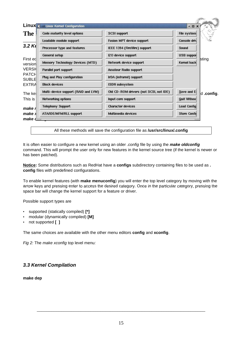| <b>Fusion MPT device support</b><br>IEEE 1394 (FireWire) support<br>Sound<br>I2O device support<br>Network device support<br><b>Amateur Radio support</b><br>IrDA (infrared) support<br>ISDN subsystem<br>Old CD-ROM drivers (not SCSI, not IDE)<br>Input core support<br><b>Character devices</b> | Code maturity level options            | <b>SCSI</b> support | <b>File system</b>  |
|----------------------------------------------------------------------------------------------------------------------------------------------------------------------------------------------------------------------------------------------------------------------------------------------------|----------------------------------------|---------------------|---------------------|
|                                                                                                                                                                                                                                                                                                    | Loadable module support                |                     | Console driv        |
|                                                                                                                                                                                                                                                                                                    | Processor type and features            |                     |                     |
|                                                                                                                                                                                                                                                                                                    | General setup                          |                     | <b>USB</b> suppor   |
|                                                                                                                                                                                                                                                                                                    | <b>Memory Technology Devices (MTD)</b> |                     | <b>Kemel hack</b>   |
|                                                                                                                                                                                                                                                                                                    | Parallel port support                  |                     |                     |
|                                                                                                                                                                                                                                                                                                    | <b>Plug and Play configuration</b>     |                     |                     |
|                                                                                                                                                                                                                                                                                                    | <b>Block devices</b>                   |                     |                     |
|                                                                                                                                                                                                                                                                                                    | Multi-device support (RAID and LVM)    |                     | Save and E:         |
|                                                                                                                                                                                                                                                                                                    | <b>Networking options</b>              |                     | <b>Quit Without</b> |
|                                                                                                                                                                                                                                                                                                    | <b>Telephony Support</b>               |                     | <b>Load Config</b>  |

All these methods will save the configuration file as **/usr/src/linux/.config**

It is often easier to configure a new kernel using an older .config file by using the **make oldconfig** command. This will prompt the user only for new features in the kernel source tree (if the kernel is newer or has been patched).

**Notice:** Some distributions such as RedHat have a **configs** subdirectory containing files to be used as **. config** files with predefined configurations.

To enable kernel features (with **make menuconfig**) you will enter the top level category by moving with the arrow keys and pressing enter to access the desired category. Once in the particular category, pressing the space bar will change the kernel support for a feature or driver.

Possible support types are

- supported (statically compiled) **[\*]**
- modular (dynamically compiled) **[M]**
- not supported **[ ]**

The same choices are available with the other menu editors **config** and **xconfig**.

Fig 2: The make xconfig top level menu:

### **3.3 Kernel Compilation**

**make dep**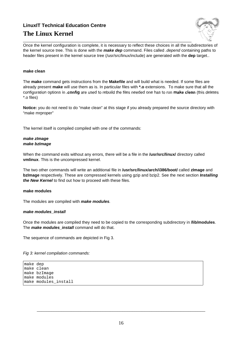## **LinuxIT Technical Education Centre The Linux Kernel**



\_\_\_\_\_\_\_\_\_\_\_\_\_\_\_\_\_\_\_\_\_\_\_\_\_\_\_\_\_\_\_\_\_\_\_\_\_\_\_\_\_\_\_\_\_\_\_\_\_\_\_\_\_\_\_\_\_\_\_\_\_\_\_\_\_\_\_\_\_ Once the kernel configuration is complete, it is necessary to reflect these choices in all the subdirectories of the kernel source tree. This is done with the **make dep** command. Files called .depend containing paths to header files present in the kernel source tree (/usr/src/linux/include) are generated with the **dep** target..

### **make clean**

The **make** command gets instructions from the **Makefile** and will build what is needed. If some files are already present **make** will use them as is. In particular files with **\*.o** extensions. To make sure that all the configuration options in **.config** are used to rebuild the files needed one has to run **make clean** (this deletes \*.o files)

**Notice:** you do not need to do "make clean" at this stage if you already prepared the source directory with "make mrproper"

The kernel itself is compiled compiled with one of the commands:

### **make zImage make bzImage**

When the command exits without any errors, there will be a file in the **/usr/src/linux/** directory called **vmlinux**. This is the uncompressed kernel.

The two other commands will write an additional file in **/usr/src/linux/arch/i386/boot/** called **zImage** and **bzImage** respectively. These are compressed kernels using gzip and bzip2. See the next section **Installing the New Kernel** to find out how to proceed with these files.

#### **make modules**

The modules are compiled with **make modules**.

#### **make modules\_install**

Once the modules are compiled they need to be copied to the corresponding subdirectory in **/lib/modules**. The **make modules\_install** command will do that.

The sequence of commands are depicted in Fig 3.

Fig 3: kernel compilation commands:

make dep make clean make bzImage make modules make modules\_install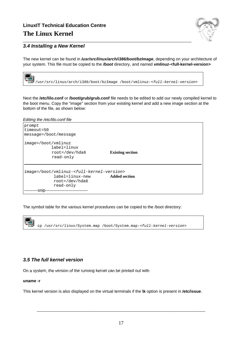# **LinuxIT Technical Education Centre The Linux Kernel**



### \_\_\_\_\_\_\_\_\_\_\_\_\_\_\_\_\_\_\_\_\_\_\_\_\_\_\_\_\_\_\_\_\_\_\_\_\_\_\_\_\_\_\_\_\_\_\_\_\_\_\_\_\_\_\_\_\_\_\_\_\_\_\_\_\_\_\_\_\_ **3.4 Installing a New Kernel**

The new kernel can be found in **/usr/src/linux/arch/i386/boot/bzImage**, depending on your architecture of your system. This file must be copied to the **/boot** directory, and named **vmlinuz-<full-kernel-version>**



Next the **/etc/lilo.conf** or **/boot/grub/grub.conf** file needs to be edited to add our newly compiled kernel to the boot menu. Copy the "image" section from your existing kernel and add a new image section at the bottom of the file, as shown below:

Editing the /etc/lilo.conf file

**Parties** 

| prompt<br>$timeout=50$ | message=/boot/message                                                                                                                |                         |  |
|------------------------|--------------------------------------------------------------------------------------------------------------------------------------|-------------------------|--|
| $image$ /boot/vmlinuz  | label=linux<br>$root = /dev/hda6$<br>read-only                                                                                       | <b>Existing section</b> |  |
|                        | image=/boot/vmlinuz- <full-kernel-version><br/>label=linux-new<br/><math>root = /dev/hda6</math><br/>read-only</full-kernel-version> | <b>Added section</b>    |  |
| -snip <sub>'</sub>     |                                                                                                                                      |                         |  |

The symbol table for the various kernel procedures can be copied to the /boot directory:



### **3.5 The full kernel version**

On a system, the version of the running kernel can be printed out with

### **uname -r**

This kernel version is also displayed on the virtual terminals if the **\k** option is present in **/etc/issue**.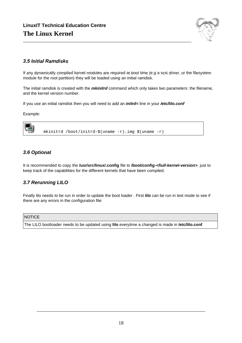

### **3.5 Initial Ramdisks**

If any dynamically compiled kernel modules are required at boot time (e.g a scsi driver, or the filesystem module for the root partition) they will be loaded using an initial ramdisk.

The initial ramdisk is created with the **mkinitrd** command which only takes two parameters: the filename, and the kernel version number.

If you use an initial ramdisk then you will need to add an **initrd=** line in your **/etc/lilo.conf**

\_\_\_\_\_\_\_\_\_\_\_\_\_\_\_\_\_\_\_\_\_\_\_\_\_\_\_\_\_\_\_\_\_\_\_\_\_\_\_\_\_\_\_\_\_\_\_\_\_\_\_\_\_\_\_\_\_\_\_\_\_\_\_\_\_\_\_\_\_

Example:

mkinitrd /boot/initrd-\$(uname -r).img \$(uname -r)

### **3.6 Optional**

It is recommended to copy the **/usr/src/linux/.config** file to **/boot/config-<fiull-kernel-version>**, just to keep track of the capabilities for the different kernels that have been compiled.

### **3.7 Rerunning LILO**

Finally lilo needs to be run in order to update the boot loader . First **lilo** can be run in test mode to see if there are any errors in the configuration file:

NOTICE

The LILO bootloader needs to be updated using **lilo** everytime a changed is made in **/etc/lilo.conf**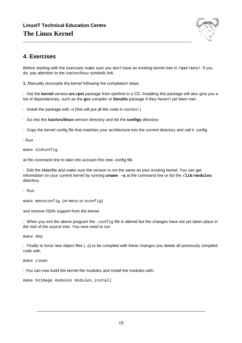

## **4. Exercises**

Before starting with the exercises make sure you don't have an existing kernel tree in **/usr/src/**. If you do, pay attention to the /usr/src/linux symbolic link.

\_\_\_\_\_\_\_\_\_\_\_\_\_\_\_\_\_\_\_\_\_\_\_\_\_\_\_\_\_\_\_\_\_\_\_\_\_\_\_\_\_\_\_\_\_\_\_\_\_\_\_\_\_\_\_\_\_\_\_\_\_\_\_\_\_\_\_\_\_

**1.** Manually recompile the kernel following the compilation steps.

- Get the **kernel**-version**.src.rpm** package from rpmfind or a CD. Installing this package will also give you a list of dependencies, such as the **gcc** compiler or **binutils** package if they haven't yet been met.

- Install the package with **–i** (this will put all the code in /usr/src/ )

- Go into the **/usr/src/linux-**version directory and list the **configs** directory

- Copy the kernel config file that matches your architecture into the current directory and call it .config

- Run

make oldconfig

at the command line to take into account this new .config file.

- Edit the Makefile and make sure the version is not the same as your existing kernel. You can get information on your current kernel by running **uname –a** at the command line or list the **/lib/modules** directory.

- Run

make menuconfig (or menu or xconfig)

and remove ISDN support from the kernel.

- When you exit the above program the .config file is altered but the changes have not yet taken place in the rest of the source tree. You next need to run

make dep

- Finally to force new object files (.o) to be compiled with these changes you delete all previously compiled code with

make clean

- You can now build the kernel the modules and install the modules with:

```
make bzImage modules modules_install
```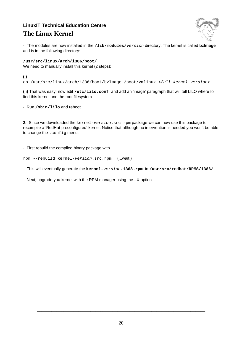# **LinuxIT Technical Education Centre The Linux Kernel**



- The modules are now installed in the **/lib/modules/**version directory. The kernel is called **bzImage** and is in the following directory:

\_\_\_\_\_\_\_\_\_\_\_\_\_\_\_\_\_\_\_\_\_\_\_\_\_\_\_\_\_\_\_\_\_\_\_\_\_\_\_\_\_\_\_\_\_\_\_\_\_\_\_\_\_\_\_\_\_\_\_\_\_\_\_\_\_\_\_\_\_

**/usr/src/linux/arch/i386/boot/** We need to manually install this kernel (2 steps):

### **(i)**

cp /usr/src/linux/arch/i386/boot/bzImage /boot/vmlinuz-<full-kernel-version>

**(ii)** That was easy! now edit **/etc/lilo.conf** and add an 'image' paragraph that will tell LILO where to find this kernel and the root filesystem.

- Run **/sbin/lilo** and reboot

**2.** Since we downloaded the kernel-version.src.rpm package we can now use this package to recompile a 'RedHat preconfigured' kernel. Notice that although no intervention is needed you won't be able to change the .config menu.

- First rebuild the compiled binary package with

rpm --rebuild kernel-version.src.rpm (...wait!)

- This will eventually generate the **kernel-**version**.i368.rpm** in **/usr/src/redhat/RPMS/i386/**.

- Next, upgrade you kernel with the RPM manager using the **–U** option.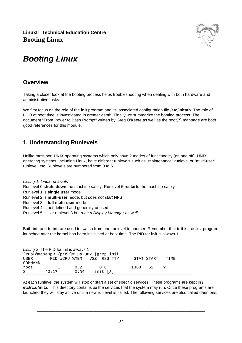

# **Booting Linux**

## **Overview**

Taking a closer look at the booting process helps troubleshooting when dealing with both hardware and administrative tasks.

\_\_\_\_\_\_\_\_\_\_\_\_\_\_\_\_\_\_\_\_\_\_\_\_\_\_\_\_\_\_\_\_\_\_\_\_\_\_\_\_\_\_\_\_\_\_\_\_\_\_\_\_\_\_\_\_\_\_\_\_\_\_\_\_\_\_\_\_

We first focus on the role of the **init** program and its' associated configuration file **/etc/inittab**. The role of LILO at boot time is investigated in greater depth. Finally we summarize the booting process. The document "From Power to Bash Prompt" written by Greg O'Keefe as well as the boot(7) manpage are both good references for this module.

## **1. Understanding Runlevels**

Unlike most non-UNIX operating systems which only have 2 modes of functionality (on and off), UNIX operating systems, including Linux, have different runlevels such as "maintenance" runlevel or "multi-user" runlevel, etc. Runlevels are numbered from 0 to 6.

Listing 1: Linux runlevels Runlevel 0 **shuts down** the machine safely, Runlevel 6 **restarts** the machine safely Runlevel 1 is **single user** mode Runlevel 2 is **multi-user** mode, but does not start NFS Runlevel 3 is **full multi-user** mode Runlevel 4 is not defined and generally unused Runlevel 5 is like runlevel 3 but runs a Display Manager as well

Both **init** and **telinit** are used to switch from one runlevel to another. Remember that **init** is the first program launched after the kernel has been initialised at boot time. The PID for **init** is always 1.

Listing 2: The PID for init is always 1

|         | $\frac{1}{2}$ . $\frac{1}{2}$ . $\frac{1}{2}$ . $\frac{1}{2}$ . $\frac{1}{2}$ . $\frac{1}{2}$ . $\frac{1}{2}$ . $\frac{1}{2}$ . $\frac{1}{2}$ |      |                                         |      |    |                   |
|---------|-----------------------------------------------------------------------------------------------------------------------------------------------|------|-----------------------------------------|------|----|-------------------|
|         |                                                                                                                                               |      | [root@nasaspc /proc]# ps uax  grep init |      |    |                   |
| USER    |                                                                                                                                               |      | PID %CPU %MEM VSZ RSS TTY               |      |    | STAT START – TIME |
| COMMAND |                                                                                                                                               |      |                                         |      |    |                   |
| root    |                                                                                                                                               | 0.2  | 0.0                                     | 1368 | 52 |                   |
| S       | 20:17                                                                                                                                         | 0:04 | init [3]                                |      |    |                   |

At each runlevel the system will stop or start a set of specific services. These programs are kept in **/ etc/rc.d/init.d**. This directory contains all the services that the system may run. Once these programs are launched they will stay active until a new runlevel is called. The following services are also called daemons.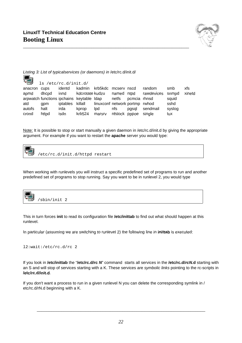

Listing 3: List of typicalservices (or daemons) in /etc/rc.d/init.d/

ls /etc/rc.d/init.d/

| anacron cups |       | identd           | kadmin krb5kdc mcserv nscd                |                                |               |              | random           | smb    | xfs    |
|--------------|-------|------------------|-------------------------------------------|--------------------------------|---------------|--------------|------------------|--------|--------|
| apmd         | dhcpd | innd             | kdcrotate kudzu                           |                                | named ntpd    |              | rawdevices snmpd |        | xinetd |
|              |       |                  | arpwatch functions ipchains keytable Idap |                                | netfs         | pcmcia rhnsd |                  | squid  |        |
| atd          | apm   | iptables killall |                                           | linuxconf network portmp rwhod |               |              |                  | sshd   |        |
| autofs       | halt  | irda             | kprop                                     | lpd.                           | nfs           | pasal        | sendmail         | syslog |        |
| crond        | httpd | isdn             | krb524                                    | marsry                         | nfslock pppoe |              | sinale           | tux    |        |

\_\_\_\_\_\_\_\_\_\_\_\_\_\_\_\_\_\_\_\_\_\_\_\_\_\_\_\_\_\_\_\_\_\_\_\_\_\_\_\_\_\_\_\_\_\_\_\_\_\_\_\_\_\_\_\_\_\_\_\_\_\_\_\_\_\_\_\_

Note: It is possible to stop or start manually a given daemon in /etc/rc.d/init.d by giving the appropriate argument. For example if you want to restart the **apache** server you would type:



When working with runlevels you will instruct a specific predefined set of programs to run and another predefined set of programs to stop running. Say you want to be in runlevel 2, you would type



This in turn forces **init** to read its configuration file **/etc/inittab** to find out what should happen at this runlevel.

In particular (assuming we are switching to runlevel 2) the following line in **inittab** is executed:

l2:wait:/etc/rc.d/rc 2

If you look in **/etc/inittab** the "**/etc/rc.d/rc N**" command starts all services in the **/etc/rc.d/rcN.d** starting with an S and will stop of services starting with a K. These services are symbolic links pointing to the rc-scripts in **/etc/rc.d/init.d**.

If you don't want a process to run in a given runlevel N you can delete the corresponding symlink in / etc/rc.d/rN.d beginning with a K.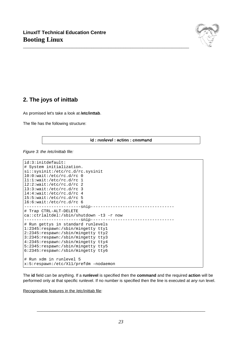

## **2. The joys of inittab**

As promised let's take a look at **/etc/inttab**.

The file has the following structure:

### **id : runlevel : action : command**

\_\_\_\_\_\_\_\_\_\_\_\_\_\_\_\_\_\_\_\_\_\_\_\_\_\_\_\_\_\_\_\_\_\_\_\_\_\_\_\_\_\_\_\_\_\_\_\_\_\_\_\_\_\_\_\_\_\_\_\_\_\_\_\_\_\_\_\_

Figure 3: the /etc/inittab file:

```
id:3:initdefault:
# System initialization.
si::sysinit:/etc/rc.d/rc.sysinit
l0:0:wait:/etc/rc.d/rc 0
l1:1:wait:/etc/rc.d/rc 1
l2:2:wait:/etc/rc.d/rc 2
l3:3:wait:/etc/rc.d/rc 3
l4:4:wait:/etc/rc.d/rc 4
l5:5:wait:/etc/rc.d/rc 5
l6:6:wait:/etc/rc.d/rc 6
-----------------------snip----------------------------------
# Trap CTRL-ALT-DELETE
ca::ctrlaltdel:/sbin/shutdown -t3 -r now
-----------------------snip----------------------------------
# Run gettys in standard runlevels
1:2345:respawn:/sbin/mingetty tty1
2:2345:respawn:/sbin/mingetty tty2
3:2345:respawn:/sbin/mingetty tty3
4:2345:respawn:/sbin/mingetty tty4
5:2345:respawn:/sbin/mingetty tty5
6:2345:respawn:/sbin/mingetty tty6
# Run xdm in runlevel 5
x:5:respawn:/etc/X11/prefdm –nodaemon
```
The **id** field can be anything. If a **runlevel** is specified then the **command** and the required **action** will be performed only at that specific runlevel. If no number is specified then the line is executed at any run level.

Recognisable features in the /etc/inittab file: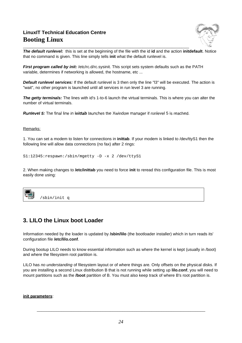## **LinuxIT Technical Education Centre Booting Linux**



\_\_\_\_\_\_\_\_\_\_\_\_\_\_\_\_\_\_\_\_\_\_\_\_\_\_\_\_\_\_\_\_\_\_\_\_\_\_\_\_\_\_\_\_\_\_\_\_\_\_\_\_\_\_\_\_\_\_\_\_\_\_\_\_\_\_\_\_ **The default runlevel:** this is set at the beginning of the file with the id **id** and the action **initdefault**. Notice that no command is given. This line simply tells **init** what the default runlevel is.

**First program called by init:** /etc/rc.d/rc.sysinit. This script sets system defaults such as the PATH variable, determines if networking is allowed, the hostname, etc ...

**Default runlevel services:** If the default runlevel is 3 then only the line "l3" will be executed. The action is "wait", no other program is launched until all services in run level 3 are running.

**The getty terminals:** The lines with id's 1-to-6 launch the virtual terminals. This is where you can alter the number of virtual terminals.

**Runlevel 5:** The final line in **inittab** launches the Xwindow manager if runlevel 5 is reached.

### Remarks:

1. You can set a modem to listen for connections in **inittab**. If your modem is linked to /dev/ttyS1 then the following line will allow data connections (no fax) after 2 rings:

```
S1:12345:respawn:/sbin/mgetty -D -x 2 /dev/ttyS1
```
2. When making changes to **/etc/inittab** you need to force **init** to reread this configuration file. This is most easily done using:



/sbin/init q

## **3. LILO the Linux boot Loader**

Information needed by the loader is updated by **/sbin/lilo** (the bootloader installer) which in turn reads its' configuration file **/etc/lilo.conf**.

During bootup LILO needs to know essential information such as where the kernel is kept (usually in /boot) and where the filesystem root partition is.

LILO has no understanding of filesystem layout or of where things are. Only offsets on the physical disks. If you are installing a second Linux distribution B that is not running while setting up **lilo.conf**, you will need to mount partitions such as the **/boot** partition of B. You must also keep track of where B's root partition is.

### **init parameters**: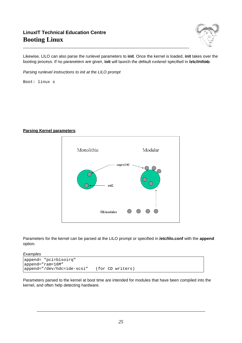## **LinuxIT Technical Education Centre Booting Linux**



Likewise, LILO can also parse the runlevel parameters to **init**. Once the kernel is loaded, **init** takes over the booting process. If no parameters are given, **init** will launch the default runlevel specified in **/etc/inittab**.

\_\_\_\_\_\_\_\_\_\_\_\_\_\_\_\_\_\_\_\_\_\_\_\_\_\_\_\_\_\_\_\_\_\_\_\_\_\_\_\_\_\_\_\_\_\_\_\_\_\_\_\_\_\_\_\_\_\_\_\_\_\_\_\_\_\_\_\_

Parsing runlevel instructions to init at the LILO prompt

Boot: linux s

### **Parsing Kernel parameters**:



Parameters for the kernel can be parsed at the LILO prompt or specified in **/etc/lilo.conf** with the **append** option.

**Examples** 

```
append= "pci=bisoirq"
append="ram=16M"
append="/dev/hdc=ide-scsi" (for CD writers)
```
Parameters parsed to the kernel at boot time are intended for modules that have been compiled into the kernel, and often help detecting hardware.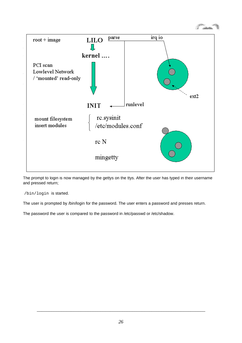



The prompt to login is now managed by the gettys on the ttys. After the user has typed in their username and pressed return;

/bin/login is started.

The user is prompted by /bin/login for the password. The user enters a password and presses return.

The password the user is compared to the password in /etc/passwd or /etc/shadow.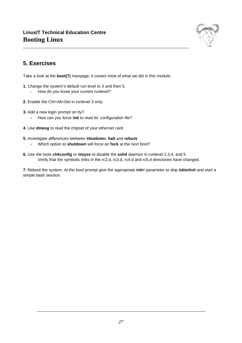

## **5. Exercises**

Take a look at the **boot(7)** manpage, it covers most of what we did in this module.

\_\_\_\_\_\_\_\_\_\_\_\_\_\_\_\_\_\_\_\_\_\_\_\_\_\_\_\_\_\_\_\_\_\_\_\_\_\_\_\_\_\_\_\_\_\_\_\_\_\_\_\_\_\_\_\_\_\_\_\_\_\_\_\_\_\_\_\_

- **1.** Change the system's default run level to 3 and then 5.
	- How do you know your current runlevel?
- **2.** Enable the Ctrl+Alt+Del in runlevel 3 only.
- **3.** Add a new login prompt on tty7.
	- How can you force **init** to read its' configuration file?
- **4.** Use **dmesg** to read the chipset of your ethernet card.
- **5.** Investigate differences between **shutdown**, **halt** and **reboot**.
	- Which option to **shutdown** will force an **fsck** at the next boot?
- **6.** Use the tools **chkconfig** or **ntsysv** to disable the **sshd** daemon in runlevel 2,3,4, and 5 Verify that the symbolic links in the rc2.d, rc3.d, rc4.d and rc5.d directories have changed.

**7.** Reboot the system. At the boot prompt give the appropriate **init=** parameter to skip **/sbin/init** and start a simple bash session.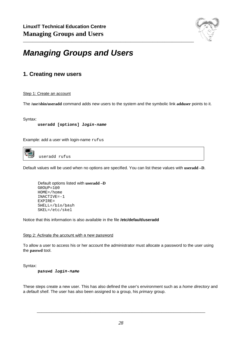

# **Managing Groups and Users**

### **1. Creating new users**

### Step 1: Create an account

The **/usr/sbin/useradd** command adds new users to the system and the symbolic link **adduser** points to it.

\_\_\_\_\_\_\_\_\_\_\_\_\_\_\_\_\_\_\_\_\_\_\_\_\_\_\_\_\_\_\_\_\_\_\_\_\_\_\_\_\_\_\_\_\_\_\_\_\_\_\_\_\_\_\_\_\_\_\_\_\_\_\_\_\_\_\_\_\_\_

Syntax:

**useradd [options] login-name**

Example: add a user with login-name rufus

useradd rufus

Default values will be used when no options are specified. You can list these values with **useradd –D**.

```
Default options listed with useradd –D
GROUP=100
HOME=/home
INACTIVE=-1
EXPIRE=
SHELL=/bin/bash
SKEL=/etc/skel
```
Notice that this information is also available in the file **/etc/default/useradd**

### Step 2: Activate the account with a new password

To allow a user to access his or her account the administrator must allocate a password to the user using the **passwd** tool.

Syntax:

**passwd login-name**

These steps create a new user. This has also defined the user's environment such as a home directory and a default shell. The user has also been assigned to a group, his primary group.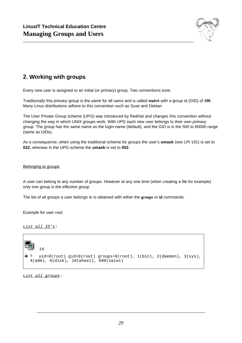

## **2. Working with groups**

Every new user is assigned to an initial (or *primary*) group. Two conventions exist.

\_\_\_\_\_\_\_\_\_\_\_\_\_\_\_\_\_\_\_\_\_\_\_\_\_\_\_\_\_\_\_\_\_\_\_\_\_\_\_\_\_\_\_\_\_\_\_\_\_\_\_\_\_\_\_\_\_\_\_\_\_\_\_\_\_\_\_\_\_\_

Traditionally this primary group is the same for all users and is called **users** with a group id (GID) of **100**. Many Linux distributions adhere to this convention such as Suse and Debian.

The User Private Group scheme (UPG) was introduced by RedHat and changes this convention without changing the way in which UNIX groups work. With UPG each new user belongs to their own *primary* group. The group has the same name as the login-name (default), and the GID is in the 500 to 60000 range (same as UIDs).

As a consequence, when using the traditional scheme for groups the user's **umask** (see LPI 101) is set to **022**, whereas in the UPG scheme the **umask** is set to **002**.

### Belonging to groups

A user can belong to any number of groups. However at any one time (when creating a file for example) only one group is the effective group.

The list of all groups a user belongs to is obtained with either the **groups** or **id** commands.

Example for user root:

List all ID's:



List all groups: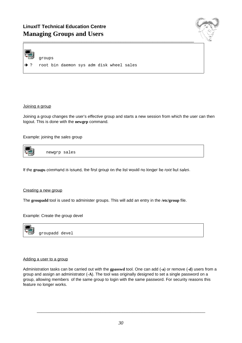

groups  $\rightarrow$  ? root bin daemon sys adm disk wheel sales

### Joining a group

**Part** 

Joining a group changes the user's effective group and starts a new session from which the user can then logout. This is done with the **newgrp** command.

Example: joining the sales group



newgrp sales

If the **groups** command is issued, the first group on the list would no longer be root but sales.

### Creating a new group

The **groupadd** tool is used to administer groups. This will add an entry in the **/etc/group** file.

Example: Create the group devel



### Adding a user to a group

Administration tasks can be carried out with the **gpasswd** tool. One can add (**-a**) or remove (**-d**) users from a group and assign an administrator (**-A**). The tool was originally designed to set a single password on a group, allowing members of the same group to login with the same password. For security reasons this feature no longer works.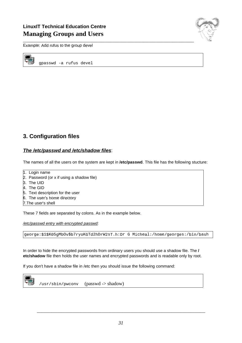## **LinuxIT Technical Education Centre Managing Groups and Users**



Example: Add rufus to the group devel



gpasswd -a rufus devel

## **3. Configuration files**

### **The /etc/passwd and /etc/shadow files**:

The names of all the users on the system are kept in **/etc/passwd**. This file has the following stucture:

1. Login name

- 2. Password (or x if using a shadow file)
- 3. The UID
- 4. The GID
- 5. Text description for the user
- 6. The user's home directory
- 7.The user's shell

These 7 fields are separated by colons. As in the example below.

/etc/passwd entry with encrypted passwd:

george:\$1\$K05gMbOv\$b7ryoKGTd2hDrW2sT.h:Dr G Micheal:/home/georges:/bin/bash

In order to hide the encrypted passwords from ordinary users you should use a shadow file. The **/ etc/shadow** file then holds the user names and encrypted passwords and is readable only by root.

If you don't have a shadow file in /etc then you should issue the following command:



/usr/sbin/pwconv (passwd -> shadow)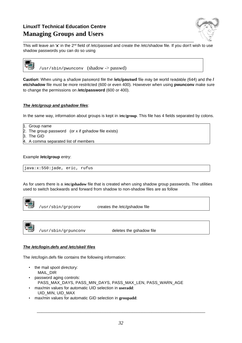## **LinuxIT Technical Education Centre Managing Groups and Users**



\_\_\_\_\_\_\_\_\_\_\_\_\_\_\_\_\_\_\_\_\_\_\_\_\_\_\_\_\_\_\_\_\_\_\_\_\_\_\_\_\_\_\_\_\_\_\_\_\_\_\_\_\_\_\_\_\_\_\_\_\_\_\_\_\_\_\_\_\_\_ This will leave an '**x**' in the 2<sup>nd</sup> field of /etc/passwd and create the /etc/shadow file. If you don't wish to use shadow passwords you can do so using



/usr/sbin/pwunconv (shadow -> passwd)

**Caution**: When using a shadow password file the **/etc/passwd** file may be world readable (644) and the **/ etc/shadow** file must be more restritcted (600 or even 400). Howvever when using **pwunconv** make sure to change the permissions on **/etc/password** (600 or 400).

### **The /etc/group and gshadow files**:

In the same way, information about groups is kept in **/etc/group**. This file has 4 fields separated by colons.

1. Group name

- 2. The group password (or x if gshadow file exists)
- 3. The GID
- 4. A comma separated list of members

### Example **/etc/group** entry:

```
java:x:550:jade, eric, rufus
```
As for users there is a **/etc/gshadow** file that is created when using shadow group passwords. The utilities used to switch backwards and forward from shadow to non-shadow files are as follow



/usr/sbin/grpconv creates the /etc/gshadow file



/usr/sbin/grpunconv deletes the gshadow file

### **The /etc/login.defs and /etc/skel/ files**

The /etc/login.defs file contains the following information:

- the mail spool directory: MAIL\_DIR
- password aging controls:
	- PASS\_MAX\_DAYS, PASS\_MIN\_DAYS, PASS\_MAX\_LEN, PASS\_WARN\_AGE
- max/min values for automatic UID selection in **useradd**: UID\_MIN, UID\_MAX
- max/min values for automatic GID selection in **groupadd**: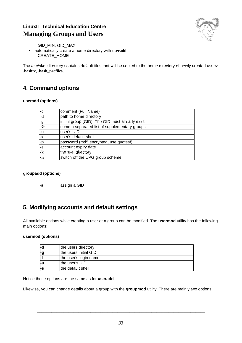## **LinuxIT Technical Education Centre Managing Groups and Users**



- \_\_\_\_\_\_\_\_\_\_\_\_\_\_\_\_\_\_\_\_\_\_\_\_\_\_\_\_\_\_\_\_\_\_\_\_\_\_\_\_\_\_\_\_\_\_\_\_\_\_\_\_\_\_\_\_\_\_\_\_\_\_\_\_\_\_\_\_\_\_ GID\_MIN, GID\_MAX
	- automatically create a home directory with **useradd**: CREATE\_HOME

The /etc/skel directory contains default files that will be copied to the home directory of newly created users: **.bashrc**, **.bash\_profiles**, ...

## **4. Command options**

**useradd (options)**

| -c   | comment (Full Name)                             |
|------|-------------------------------------------------|
| -d   | path to home directory                          |
| -g   | initial group (GID). The GID must already exist |
| $-G$ | comma separated list of supplementary groups    |
| -u   | user's UID                                      |
| $-S$ | user's default shell                            |
| -р   | password (md5 encrypted, use quotes!)           |
| $-e$ | account expiry date                             |
| -k   | the skel directory                              |
| -n   | switch off the UPG group scheme                 |

### **groupadd (options)**

| - 0 | $\overline{\phantom{a}}$<br><br>שוט<br>$\sim$ |
|-----|-----------------------------------------------|

## **5. Modifying accounts and default settings**

All available options while creating a user or a group can be modified. The **usermod** utility has the following main options:

### **usermod (options)**

| ⊦d | the users directory   |
|----|-----------------------|
| ŀg | the users initial GID |
| Н  | the user's login name |
| ⊦u | the user's UID        |
| ⊦s | the default shell.    |

Notice these options are the same as for **useradd**.

Likewise, you can change details about a group with the **groupmod** utility. There are mainly two options: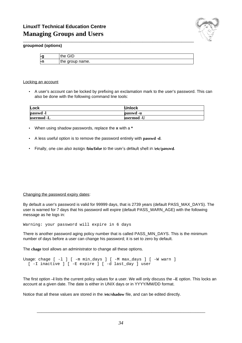

### **groupmod (options)**



### Locking an account

• A user's account can be locked by prefixing an exclamation mark to the user's password. This can also be done with the following command line tools:

| Lock       | <b>Unlock</b> |
|------------|---------------|
| passwd -l  | passwd -u     |
| usermod -L | usermod -U    |

- When using shadow passwords, replace the **x** with a **\***
- A less useful option is to remove the password entirely with **passwd -d**.
- Finally, one can also assign **/bin/false** to the user's default shell in **/etc/passwd**.

### Changing the password expiry dates:

By default a user's password is valid for 99999 days, that is 2739 years (default PASS\_MAX\_DAYS). The user is warned for 7 days that his password will expire (default PASS\_WARN\_AGE) with the following message as he logs in:

Warning: your password will expire in 6 days

There is another password aging policy number that is called PASS\_MIN\_DAYS. This is the minimum number of days before a user can change his password; it is set to zero by default.

The **chage** tool allows an administrator to change all these options.

```
Usage: chage [ -l ] [ -m min_days ] [ -M max_days ] [ -W warn ]
  [ -I inactive ] [ -E expire ] [ -d last_day ] user
```
The first option **–l** lists the current policy values for a user. We will only discuss the **–E** option. This locks an account at a given date. The date is either in UNIX days or in YYYY/MM/DD format.

Notice that all these values are stored in the **/etc/shadow** file, and can be edited directly.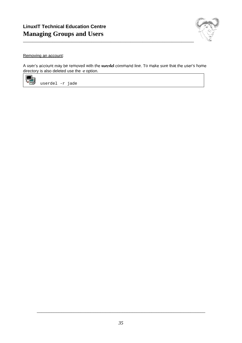

### Removing an account:

A user's account may be removed with the **userdel** command line. To make sure that the user's home directory is also deleted use the -**r** option.

\_\_\_\_\_\_\_\_\_\_\_\_\_\_\_\_\_\_\_\_\_\_\_\_\_\_\_\_\_\_\_\_\_\_\_\_\_\_\_\_\_\_\_\_\_\_\_\_\_\_\_\_\_\_\_\_\_\_\_\_\_\_\_\_\_\_\_\_\_\_



userdel -r jade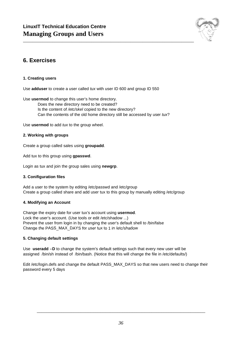

## **6. Exercises**

### **1. Creating users**

Use **adduser** to create a user called tux with user ID 600 and group ID 550

Use **usermod** to change this user's home directory.

Does the new directory need to be created? Is the content of /etc/skel copied to the new directory? Can the contents of the old home directory still be accessed by user tux?

Use **usermod** to add tux to the group wheel.

### **2. Working with groups**

Create a group called sales using **groupadd**.

Add tux to this group using **gpasswd**.

Login as tux and join the group sales using **newgrp**.

### **3. Conifiguration files**

Add a user to the system by editing /etc/passwd and /etc/group Create a group called share and add user tux to this group by manually editing /etc/group

### **4. Modifying an Account**

Change the expiry date for user tux's account using **usermod**. Lock the user's account. (Use tools or edit /etc/shadow ...) Prevent the user from login in by changing the user's default shell to /bin/false Change the PASS\_MAX\_DAYS for user tux to 1 in /etc/shadow

### **5. Changing default settings**

Use **useradd -D** to change the system's default settings such that every new user will be assigned /bin/sh instead of /bin/bash. (Notice that this will change the file in /etc/defaults/)

Edit /etc/login.defs and change the default PASS\_MAX\_DAYS so that new users need to change their password every 5 days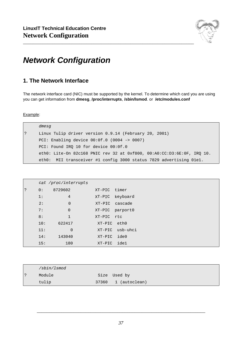

## **Network Configuration**

## **1. The Network Interface**

The network interface card (NIC) must be supported by the kernel. To determine which card you are using you can get information from **dmesg**, **/proc/interrupts**, **/sbin/lsmod**. or **/etc/modules.conf**

Example:

| dmesq                                                                       |
|-----------------------------------------------------------------------------|
| Linux Tulip driver version 0.9.14 (February 20, 2001)                       |
| PCI: Enabling device $00:0f.0$ (0004 -> 0007)                               |
| PCI: Found IRQ 10 for device 00:0f.0                                        |
| eth0: Lite-On 82c168 PNIC rev 32 at $0xf800$ , $00:A0:CCD3:6E:0F$ , IRQ 10. |
| eth0: MII transceiver #1 config 3000 status 7829 advertising 01e1.          |

|                    |     | cat /proc/interrupts |              |                 |
|--------------------|-----|----------------------|--------------|-----------------|
| $\overline{\cdot}$ | 0:  | 8729602              | XT-PIC timer |                 |
|                    | 1:  | $\overline{4}$       |              | XT-PIC keyboard |
|                    | 2:  | $\mathbf{0}$         | $XT-PIC$     | cascade         |
|                    | 7:  | $\mathbf{0}$         |              | XT-PIC parport0 |
|                    | 8:  | $\mathbf{1}$         | XT-PIC rtc   |                 |
|                    | 10: | 622417               | XT-PIC eth0  |                 |
|                    | 11: | $\overline{0}$       |              | XT-PIC usb-uhci |
|                    | 14: | 143040               | $XT-PIC$     | ide0            |
|                    | 15: | 180                  | XT-PIC ide1  |                 |

|                | /sbin/lsmod |                     |
|----------------|-------------|---------------------|
| $\overline{2}$ | Module      | Size Used by        |
|                | tulip       | 37360 1 (autoclean) |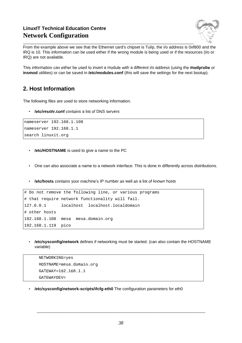## **LinuxIT Technical Education Centre Network Configuration**



\_\_\_\_\_\_\_\_\_\_\_\_\_\_\_\_\_\_\_\_\_\_\_\_\_\_\_\_\_\_\_\_\_\_\_\_\_\_\_\_\_\_\_\_\_\_\_\_\_\_\_\_\_\_\_\_\_\_\_\_\_\_\_\_\_\_\_\_\_\_ From the example above we see that the Ethernet card's chipset is Tulip, the i/o address is 0xf800 and the IRQ is 10. This information can be used either if the wrong module is being used or if the resources (i/o or IRQ) are not available.

This information can either be used to insert a module with a different i/o address (using the **modprobe** or **insmod** utilities) or can be saved in **/etc/modules.conf** (this will save the settings for the next bootup).

### **2. Host Information**

The following files are used to store networking information.

• **/etc/resolv.conf** contains a list of DNS servers

nameserver 192.168.1.108 nameserver 192.168.1.1 search linuxit.org

- **/etc/HOSTNAME** is used to give a name to the PC
- One can also associate a name to a network interface. This is done in differently across distributions.
- **/etc/hosts** contains your machine's IP number as well as a list of known hosts

```
# Do not remove the following line, or various programs
# that require network functionality will fail.
127.0.0.1 localhost localhost.localdomain
# other hosts
192.168.1.108 mesa mesa.domain.org
192.168.1.119 pico
```
• **/etc/sysconfig/network** defines if networking must be started. (can also contain the HOSTNAME variable)

```
NETWORKING=yes
HOSTNAME=mesa.domain.org
GATEWAY=192.168.1.1
GATEWAYDEV=
```
• **/etc/sysconfig/network-scripts/ifcfg-eth0** The configuration parameters for eth0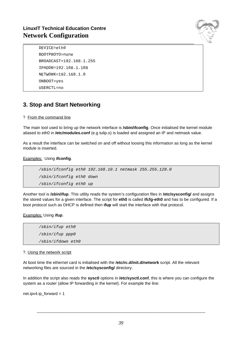## **LinuxIT Technical Education Centre Network Configuration**



DEVICE=eth0 BOOTPROTO=none BROADCAST=192.168.1.255 IPADDR=192.168.1.108 NETWORK=192.168.1.0 ONBOOT=yes USERCTL=no

## **3. Stop and Start Networking**

#### ? From the command line

The main tool used to bring up the network interface is **/sbin/ifconfig**. Once initialised the kernel module aliased to eth0 in **/etc/modules.conf** (e.g tulip.o) is loaded and assigned an IP and netmask value.

As a result the interface can be switched on and off without loosing this information as long as the kernel module is inserted.

Examples: Using **ifconfig**.

/sbin/ifconfig eth0 192.168.10.1 netmask 255.255.128.0 /sbin/ifconfig eth0 down /sbin/ifconfig eth0 up

Another tool is **/sbin/ifup**. This utility reads the system's configuration files in **/etc/sysconfig/** and assigns the stored values for a given interface. The script for **eth0** is called **ifcfg-eth0** and has to be configured. If a boot protocol such as DHCP is defined then **ifup** will start the interface with that protocol.

#### Examples: Using **ifup**.

/sbin/ifup eth0 /sbin/ifup ppp0 /sbin/ifdown eth0

#### ?. Using the network script

At boot time the ethernet card is initialised with the **/etc/rc.d/init.d/network** script. All the relevant networking files are sourced in the **/etc/sysconfig/** directory.

In addition the script also reads the **sysctl** options in **/etc/sysctl.conf**, this is where you can configure the system as a router (allow IP forwarding in the kernel). For example the line:

net.ipv4.ip forward =  $1$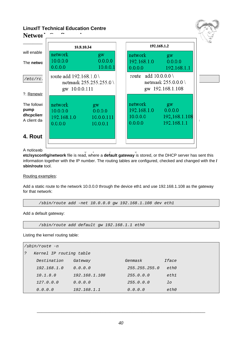### **LinuxIT Technical Education Centre**

#### A noticeable difference when using **ifup** is the system's routing table. This is because either the **/**

**etc/sysconfig/network** file is read, where a **default gateway** is stored, or the DHCP server has sent this information together with the IP number. The routing tables are configured, checked and changed with the **/ sbin/route** tool.

#### Routing examples:

Add a static route to the network 10.0.0.0 through the device eth1 and use 192.168.1.108 as the gateway for that network:

/sbin/route add -net 10.0.0.0 gw 192.168.1.108 dev eth1

Add a default gateway:

/sbin/route add default gw 192.168.1.1 eth0

Listing the kernel routing table:

|   | /sbin/route -n          |               |               |       |  |  |  |
|---|-------------------------|---------------|---------------|-------|--|--|--|
| ? | Kernel IP routing table |               |               |       |  |  |  |
|   | Destination             | Gateway       | Genmask       | Iface |  |  |  |
|   | 192.168.1.0             | 0.0.0.0       | 255.255.255.0 | etho  |  |  |  |
|   | 10.1.8.0                | 192.168.1.108 | 255.0.0.0     | eth1  |  |  |  |
|   | 127.0.0.0               | 0.0.0.0       | 255.0.0.0     | lo    |  |  |  |
|   | 0.0.0.0                 | 192.168.1.1   | 0.0.0.0       | etho  |  |  |  |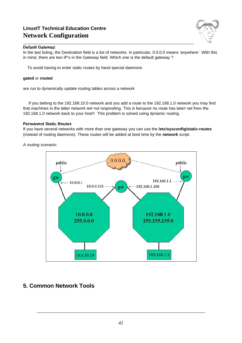## **LinuxIT Technical Education Centre Network Configuration**



#### **Default Gateway**:

In the last listing, the Destination field is a list of networks. In particular, 0.0.0.0 means 'anywhere'. With this in mind, there are two IP's in the Gateway field. Which one is the default gateway ?

To avoid having to enter static routes by hand special daemons

#### **gated** or **routed**

are run to dynamically update routing tables across a network

If you belong to the 192.168.10.0 network and you add a route to the 192.168.1.0 network you may find that machines in the latter network are not responding. This is because no route has been set from the 192.168.1.0 network back to your host!! This problem is solved using dynamic routing.

#### **Permanent Static Routes**

If you have several networks with more than one gateway you can use the **/etc/sysconfig/static-routes** (instead of routing daemons). These routes will be added at boot time by the **network** script.

A routing scenario:



### **5. Common Network Tools**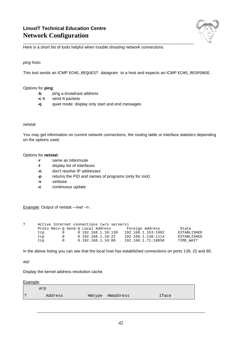

\_\_\_\_\_\_\_\_\_\_\_\_\_\_\_\_\_\_\_\_\_\_\_\_\_\_\_\_\_\_\_\_\_\_\_\_\_\_\_\_\_\_\_\_\_\_\_\_\_\_\_\_\_\_\_\_\_\_\_\_\_\_\_\_\_\_\_\_\_\_ Here is a short list of tools helpful when trouble shouting network connections.

#### ping host**:**

This tool sends an ICMP ECHO\_REQUEST datagram to a host and expects an ICMP ECHO\_RESPONSE.

#### Options for **ping**:

- **-b** ping a broadcast address
- **-c** N send N packets
- **-q** quiet mode: display only start and end messages

#### netstat:

You may get information on current network connections, the routing table or interface statistics depending on the options used.

#### Options for **netstat**:

- **-r** same as /sbin/route
- **-I** display list of interfaces
- **-n** don't resolve IP addresses
- **-p** returns the PID and names of programs (only for root)
- **-v** verbose
- **-c** continuous update

Example: Output of netstat --inet -n :

? Active Internet connections (w/o servers) Proto Recv-Q Send-Q Local Address Foreign Address State<br>tcp 0 0 192.168.1.10:139 192.168.1.153:1992 ESTABL tcp 0 0 192.168.1.10:139 192.168.1.153:1992 ESTABLISHED tcp 0 0 192.168.1.10:22 192.168.1.138:1114 ESTABLISHED<br>tcp 0 0 192.168.1.10:80 192.168.1.71:18858 TIME\_WAIT  $192.168.1.71:18858$ 

In the above listing you can see that the local host has established connections on ports 139, 22 and 80.

arp:

Display the kernel address resolution cache.

#### Example:

|   | arp     |                  |       |
|---|---------|------------------|-------|
| ? | Address | HWtype HWaddress | Iface |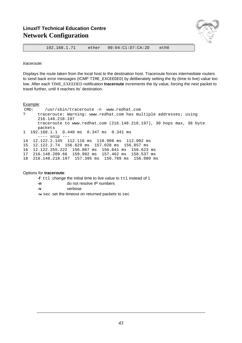

192.168.1.71 ether 00:04:C1:D7:CA:2D eth0

#### traceroute:

Displays the route taken from the local host to the destination host. Traceroute forces intermediate routers to send back error messages (ICMP TIME\_EXCEEDED) by deliberately setting the tty (time to live) value too low. After each TIME\_EXEEDED notification **traceroute** increments the tty value, forcing the next packet to travel further, until it reaches its' destination.

#### Example:

|          | $CMD:$ /usr/sbin/traceroute -n www.redhat.com                        |
|----------|----------------------------------------------------------------------|
| $\gamma$ | traceroute: Warning: www.redhat.com has multiple addresses; using    |
|          | 216.148.218.197                                                      |
|          | traceroute to www.redhat.com (216.148.218.197), 30 hops max, 38 byte |
|          | packets                                                              |
|          | 1 192.168.1.1 0.440 ms 0.347 ms 0.341 ms                             |
|          | $--- sinip ---$                                                      |
|          | 14 12.122.2.145 112.116 ms 110.908 ms 112.002 ms                     |
|          | 15 12.122.2.74 156.629 ms 157.028 ms 156.857 ms                      |
| 16       | 12.122.255.222 156.867 ms 156.641 ms 156.623 ms                      |
|          | 17 216.148.209.66 159.982 ms 157.462 ms 158.537 ms                   |
|          | 18 216.148.218.197 157.395 ms 156.789 ms 156.080 ms                  |
|          |                                                                      |

#### Options for **traceroute**:

- **-f** ttl change the initial time to live value to ttl instead of 1
- **-n** do not resolve IP numbers
- **-v** verbose
- **-w** sec set the timeout on returned packets to sec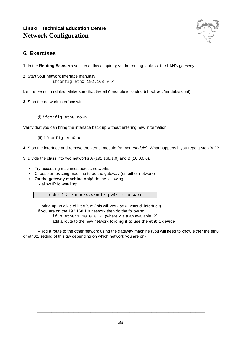

## **6. Exercises**

**1.** In the **Routing Scenario** section of this chapter give the routing table for the LAN's gateway.

\_\_\_\_\_\_\_\_\_\_\_\_\_\_\_\_\_\_\_\_\_\_\_\_\_\_\_\_\_\_\_\_\_\_\_\_\_\_\_\_\_\_\_\_\_\_\_\_\_\_\_\_\_\_\_\_\_\_\_\_\_\_\_\_\_\_\_\_\_\_

**2.** Start your network interface manually ifconfig eth0 192.168.0.x

List the kernel modules. Make sure that the eth0 module is loaded (check /etc/modules.conf).

**3.** Stop the network interface with:

(i) ifconfig eth0 down

Verify that you can bring the interface back up without entering new information:

(ii) ifconfig eth0 up

**4.** Stop the interface and remove the kernel module (rmmod module). What happens if you repeat step 3(ii)?

**5.** Divide the class into two networks A (192.168.1.0) and B (10.0.0.0).

- Try accessing machines across networks
- Choose an existing machine to be the gateway (on either network)
- **On the gateway machine only!** do the following: -- allow IP forwarding:

echo 1 > /proc/sys/net/ipv4/ip\_forward

-- bring up an aliased interface (this will work as a second interface). If you are on the 192.168.1.0 network then do the following ifup eth $0:1$  10.0.0. $x$  (where x is a an available IP). add a route to the new network **forcing it to use the eth0:1 device**

-- add a route to the other network using the gateway machine (you will need to know either the eth0 or eth0:1 setting of this gw depending on which network you are on)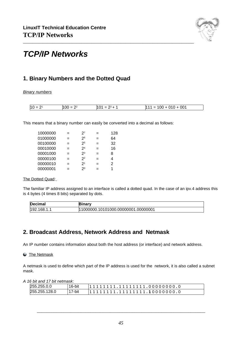

## **TCP/IP Networks**

## **1. Binary Numbers and the Dotted Quad**

**Binary numbers** 

|  | $10 = 21$ | 100 – 22 | Ωл.<br>1()<br>-- | $010 + 001$<br>00<br>. .<br>_ |
|--|-----------|----------|------------------|-------------------------------|
|--|-----------|----------|------------------|-------------------------------|

\_\_\_\_\_\_\_\_\_\_\_\_\_\_\_\_\_\_\_\_\_\_\_\_\_\_\_\_\_\_\_\_\_\_\_\_\_\_\_\_\_\_\_\_\_\_\_\_\_\_\_\_\_\_\_\_\_\_\_\_\_\_\_\_\_\_\_\_\_\_

This means that a binary number can easily be converted into a decimal as follows:

| 10000000 | = | 27             | =   | 128 |
|----------|---|----------------|-----|-----|
| 01000000 | = | 26             | =   | 64  |
| 00100000 | = | 25             | =   | 32  |
| 00010000 | = | 2 <sup>4</sup> | $=$ | 16  |
| 00001000 | = | 23             | $=$ | 8   |
| 00000100 | = | 2 <sup>2</sup> | $=$ | 4   |
| 00000010 | = | 2 <sup>1</sup> | $=$ | 2   |
| 00000001 |   | 2 <sup>0</sup> | -   | 1   |
|          |   |                |     |     |

The Dotted Quad:

The familiar IP address assigned to an interface is called a dotted quad. In the case of an ipv.4 address this is 4 bytes (4 times 8 bits) separated by dots.

| <b>Decimal</b> | <b>Binary</b>                       |
|----------------|-------------------------------------|
| 192.168.1.1    | 11000000.10101000.00000001.00000001 |

## **2. Broadcast Address, Network Address and Netmask**

An IP number contains information about both the host address (or interface) and network address.

#### **C** The Netmask

A netmask is used to define which part of the IP address is used for the network, it is also called a subnet mask.

#### A 16 bit and 17 bit netmask:

| 255.255.0.0   | 16-bit | 111111111.11111111.00000000.0 |
|---------------|--------|-------------------------------|
| 255.255.128.0 | 17-bit | 111111111.11111111.10000000.0 |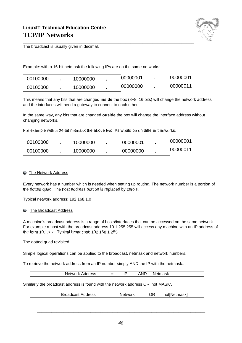

The broadcast is usually given in decimal.

Example: with a 16-bit netmask the following IPs are on the same networks:

| 00100000 | 10000000 | 00000001 | 00000001 |
|----------|----------|----------|----------|
| 00100000 | 10000000 | 00000000 | 00000011 |

This means that any bits that are changed **inside** the box (8+8=16 bits) will change the network address and the interfaces will need a gateway to connect to each other.

In the same way, any bits that are changed **ouside** the box will change the interface address without changing networks.

For example with a 24-bit netmask the above two IPs would be on different neworks:

| 00100000 | 10000000 | 00000001 | 00000001 |
|----------|----------|----------|----------|
| 00100000 | 10000000 | 00000000 | 00000011 |

#### **C** The Network Address

Every network has a number which is needed when setting up routing. The network number is a portion of the dotted quad. The host address portion is replaced by zero's.

Typical network address: 192.168.1.0

#### **C** The Broadcast Address

A machine's broadcast address is a range of hosts/interfaces that can be accessed on the same network. For example a host with the broadcast address 10.1.255.255 will access any machine with an IP address of the form 10.1.x.x. Typical broadcast: 192.168.1.255

The dotted quad revisited

Simple logical operations can be applied to the broadcast, netmask and network numbers.

To retrieve the network address from an IP number simply AND the IP with the netmask..

| Network Address<br>= | AND<br>Netmask |
|----------------------|----------------|
|----------------------|----------------|

Similarly the broadcast address is found with the network address OR 'not MASK'.

Broadcast Address = Network OR not[Netmask]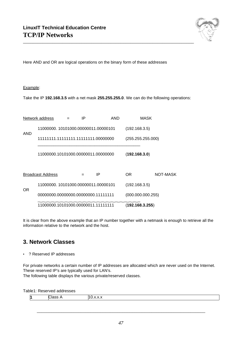

Here AND and OR are logical operations on the binary form of these addresses

#### Example:

Take the IP **192.168.3.5** with a net mask **255.255.255.0**. We can do the following operations:

\_\_\_\_\_\_\_\_\_\_\_\_\_\_\_\_\_\_\_\_\_\_\_\_\_\_\_\_\_\_\_\_\_\_\_\_\_\_\_\_\_\_\_\_\_\_\_\_\_\_\_\_\_\_\_\_\_\_\_\_\_\_\_\_\_\_\_\_\_\_

|     | Network address                     | IP  |    | AND |                   | MASK |          |
|-----|-------------------------------------|-----|----|-----|-------------------|------|----------|
| AND | 11000000.10101000.00000011.00000101 |     |    |     | (192.168.3.5)     |      |          |
|     | 11111111.11111111.11111111.00000000 |     |    |     | (255.255.255.000) |      |          |
|     | 11000000.10101000.00000011.00000000 |     |    |     | (192.168.3.0)     |      |          |
|     | <b>Broadcast Address</b>            | $=$ | IP |     | OR.               |      | NOT-MASK |
|     | 11000000.10101000.00000011.00000101 |     |    |     | (192.168.3.5)     |      |          |
| OR. | 00000000.00000000.00000000.11111111 |     |    |     | (000.000.000.255) |      |          |
|     | 11000000.10101000.00000011.11111111 |     |    |     | (192.168.3.255)   |      |          |

It is clear from the above example that an IP number together with a netmask is enough to retrieve all the information relative to the network and the host.

### **3. Network Classes**

• ? Reserved IP addresses

For private networks a certain number of IP addresses are allocated which are never used on the Internet. These reserved IP's are typically used for LAN's. The following table displays the various private/reserved classes.

Table1: Reserved addresses

|  | . |
|--|---|
|  |   |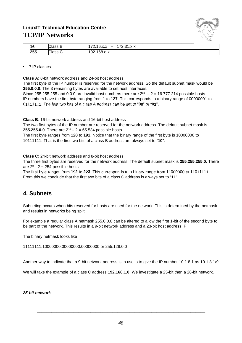

| 16  | Class B | 172.16.x.x<br>172.31.x.x<br>$\overline{\phantom{a}}$ |  |
|-----|---------|------------------------------------------------------|--|
| 255 | Class C | 192.168.o.x                                          |  |

#### • ? IP classes

**Class A**: 8-bit network address and 24-bit host address

The first byte of the IP number is reserved for the network address. So the default subnet mask would be **255.0.0.0**. The 3 remaining bytes are available to set host interfaces.

Since 255.255.255 and 0.0.0 are invalid host numbers there are  $2^{24}$  – 2 = 16 777 214 possible hosts. IP numbers have the first byte ranging from **1** to **127**. This corresponds to a binary range of 00000001 to 01111111. The first two bits of a class A address can be set to "**00**" or "**01**".

**Class B**: 16-bit network address and 16-bit host address

The two first bytes of the IP number are reserved for the network address. The default subnet mask is **255.255.0.0**. There are  $2^{16} - 2 = 65534$  possible hosts.

The first byte ranges from **128** to **191**. Notice that the binary range of the first byte is 10000000 to 10111111. That is the first two bits of a class B address are always set to "**10**".

**Class C**: 24-bit network address and 8-bit host address

The three first bytes are reserved for the network address. The default subnet mask is **255.255.255.0**. There are  $2^8 - 2 = 254$  possible hosts.

The first byte ranges from **192** to **223**. This corresponds to a binary range from 11000000 to 11011111. From this we conclude that the first two bits of a class C address is always set to "**11**".

## **4. Subnets**

Subneting occurs when bits reserved for hosts are used for the network. This is determined by the netmask and results in networks being split.

For example a regular class A netmask 255.0.0.0 can be altered to allow the first 1-bit of the second byte to be part of the network. This results in a 9-bit network address and a 23-bit host address IP.

The binary netmask looks like

11111111.10000000.00000000.00000000 or 255.128.0.0

Another way to indicate that a 9-bit network address is in use is to give the IP number 10.1.8.1 as 10.1.8.1/9

We will take the example of a class C address **192.168.1.0**. We investigate a 25-bit then a 26-bit network.

#### **25-bit network**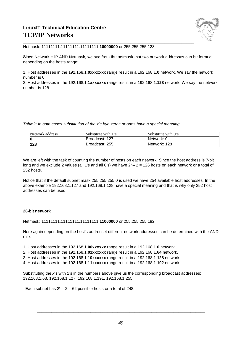

\_\_\_\_\_\_\_\_\_\_\_\_\_\_\_\_\_\_\_\_\_\_\_\_\_\_\_\_\_\_\_\_\_\_\_\_\_\_\_\_\_\_\_\_\_\_\_\_\_\_\_\_\_\_\_\_\_\_\_\_\_\_\_\_\_\_\_\_\_\_ Netmask: 11111111.11111111.11111111.**10000000** or 255.255.255.128

Since Network = IP AND Netmask, we see from the netmask that two network addresses can be formed depending on the hosts range:

1. Host addresses in the 192.168.1.**0xxxxxxx** range result in a 192.168.1.**0** network. We say the network number is 0

2. Host addresses in the 192.168.1.**1xxxxxxx** range result in a 192.168.1.**128** network. We say the network number is 128

Table2: In both cases substitution of the x's bye zeros or ones have a special meaning

| Network address | Substitute with 1's | Substitute with 0's |
|-----------------|---------------------|---------------------|
|                 | Broadcast: 127      | Network: 0          |
| 128             | Broadcast: 255      | Network: 128        |

We are left with the task of counting the number of hosts on each network. Since the host address is 7-bit long and we exclude 2 values (all 1's and all 0's) we have  $2^7 - 2 = 126$  hosts on each network or a total of 252 hosts.

Notice that if the default subnet mask 255.255.255.0 is used we have 254 available host addresses. In the above example 192.168.1.127 and 192.168.1.128 have a special meaning and that is why only 252 host addresses can be used.

#### **26-bit network**

Netmask: 11111111.11111111.11111111.**11000000** or 255.255.255.192

Here again depending on the host's address 4 different network addresses can be determined with the AND rule.

- 1. Host addresses in the 192.168.1.**00xxxxxx** range result in a 192.168.1.**0** network.
- 2. Host addresses in the 192.168.1.**01xxxxxx** range result in a 192.168.1.**64** network.
- 3. Host addresses in the 192.168.1.**10xxxxxx** range result in a 192.168.1.**128** network.
- 4. Host addresses in the 192.168.1.**11xxxxxx** range result in a 192.168.1.**192** network.

Substituting the x's with 1's in the numbers above give us the corresponding broadcast addresses: 192.168.1.63, 192.168.1.127, 192.168.1.191, 192.168.1.255

Each subnet has  $2^6 - 2 = 62$  possible hosts or a total of 248.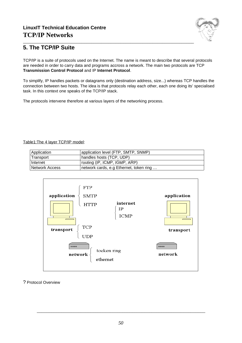

#### \_\_\_\_\_\_\_\_\_\_\_\_\_\_\_\_\_\_\_\_\_\_\_\_\_\_\_\_\_\_\_\_\_\_\_\_\_\_\_\_\_\_\_\_\_\_\_\_\_\_\_\_\_\_\_\_\_\_\_\_\_\_\_\_\_\_\_\_\_\_ **5. The TCP/IP Suite**

TCP/IP is a suite of protocols used on the Internet. The name is meant to describe that several protocols are needed in order to carry data and programs accross a network. The main two protocols are TCP **Transmission Control Protocol** and IP **Internet Protocol**.

To simplify, IP handles packets or datagrams only (destination address, size...) whereas TCP handles the connection between two hosts. The idea is that protocols relay each other, each one doing its' specialised task. In this context one speaks of the TCP/IP stack.

The protocols intervene therefore at various layers of the networking process.

#### Table1:The 4 layer TCP/IP model:

| Application           | application level (FTP, SMTP, SNMP)     |
|-----------------------|-----------------------------------------|
| Transport             | handles hosts (TCP, UDP)                |
| Internet              | routing (IP, ICMP, IGMP, ARP)           |
| <b>Network Access</b> | network cards, e.g Ethernet, token ring |



#### ? Protocol Overview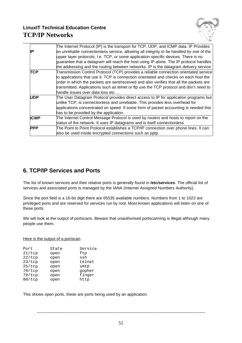## **LinuxIT Technical Education Centre TCP/IP Networks**



| IP          | The Internet Protocol (IP) is the transport for TCP, UDP, and ICMP data. IP Provides<br>an unreliable connectionless service, allowing all integrity to be handled by one of the<br>upper layer protocols, I.e. TCP, or some application-specific devices. There is no<br>guarantee that a datagram will reach the host using IP alone. The IP protocol handles                                         |
|-------------|---------------------------------------------------------------------------------------------------------------------------------------------------------------------------------------------------------------------------------------------------------------------------------------------------------------------------------------------------------------------------------------------------------|
|             | the addressing and the routing between networks. IP is the datagram delivery service.                                                                                                                                                                                                                                                                                                                   |
| TCP         | Transmission Control Protocol (TCP) provides a reliable connection orientated service<br>to applications that use it. TCP is connection orientated and checks on each host the<br>order in which the packets are sent/received and also verifies that all the packets are<br>transmitted. Applications such as telnet or ftp use the TCP protocol and don't need to<br>handle issues over data loss etc |
| <b>UDP</b>  | The User Datagram Protocol provides direct access to IP for application programs but<br>unlike TCP, is connectionless and unreliable. This provides less overhead for<br>applications concentrated on speed. If some form of packet accounting is needed this<br>has to be provided by the application.                                                                                                 |
| <b>ICMP</b> | The Internet Control Message Protocol is used by routers and hosts to report on the<br>status of the network. It uses IP datagrams and is itself connectionless                                                                                                                                                                                                                                         |
| <b>PPP</b>  | The Point to Point Protocol establishes a TCP/IP connection over phone lines. It can<br>also be used inside encrypted connections such as pptp.                                                                                                                                                                                                                                                         |

## **6. TCP/IP Services and Ports**

The list of known services and their relative ports is generally found in **/etc/services**. The official list of services and associated ports is managed by the IANA (Internet Assigned Numbers Authority).

Since the port field is a 16-bit digit there are 65535 available numbers. Numbers from 1 to 1023 are privileged ports and are reserved for services run by root. Most known applications will listen on one of these ports.

We will look at the output of portscans. Beware that unauthorised portscanning is illegal although many people use them.

Here is the output of a portscan:

| Port<br>21/top | State<br>open | Service<br>ftp |
|----------------|---------------|----------------|
| 22/top         | open          | ssh            |
| 23/top         | open          | telnet         |
| 25/top         | open          | smtp           |
| 70/top         | open          | gopher         |
| 79/top         | open          | finger         |
| 80/tcp         | open          | http           |

This shows open ports, these are ports being used by an application.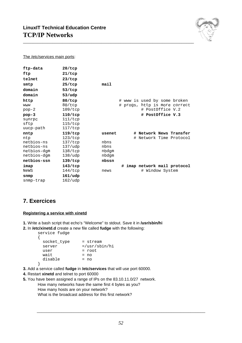

The /etc/services main ports:

| ftp-data                                                      | 20/tcp                                              |                                                                                   |
|---------------------------------------------------------------|-----------------------------------------------------|-----------------------------------------------------------------------------------|
| ftp                                                           | 21/tcp                                              |                                                                                   |
| telnet                                                        | $23/$ tcp                                           |                                                                                   |
| smtp                                                          | $25/\text{tcp}$                                     | mail                                                                              |
| domain                                                        | $53/$ tcp                                           |                                                                                   |
| domain                                                        | 53/udp                                              |                                                                                   |
| http<br><b>WWW</b><br>$pop-2$                                 | $80/\text{tcp}$<br>$80/\text{tcp}$<br>109/tcp       | # www is used by some broken<br># progs, http is more correct<br># PostOffice V.2 |
| $pop-3$                                                       | $110/\text{tcp}$                                    | # PostOffice V.3                                                                  |
| sunrpc<br>sftp<br>uucp-path                                   | 111/top<br>115/top<br>117/tcp                       |                                                                                   |
| nntp                                                          | 119/tcp                                             | # Network News Transfer<br>usenet                                                 |
| ntp<br>netbios-ns<br>netbios-ns<br>netbios-dqm<br>netbios-dgm | 123/top<br>137/tcp<br>137/udp<br>138/top<br>138/udp | # Network Time Protocol<br>nbns<br>nbns<br>nbdgm<br>nbdgm                         |
| netbios-ssn                                                   | 139/tcp                                             | nbssn                                                                             |
| imap<br>NeWS                                                  | 143/tcp<br>144/top                                  | # imap network mail protocol<br># Window System<br>news                           |
| snmp<br>snmp-trap                                             | 161/udp<br>$162/\text{udp}$                         |                                                                                   |

\_\_\_\_\_\_\_\_\_\_\_\_\_\_\_\_\_\_\_\_\_\_\_\_\_\_\_\_\_\_\_\_\_\_\_\_\_\_\_\_\_\_\_\_\_\_\_\_\_\_\_\_\_\_\_\_\_\_\_\_\_\_\_\_\_\_\_\_\_\_

## **7. Exercices**

{

#### **Registering a service with xinetd**

**1.** Write a bash script that echo's "Welcome" to stdout. Save it in **/usr/sbin/hi**

**2.** In **/etc/xinetd.d** create a new file called **fudge** with the following:

```
service fudge
```

| socket type | = stream           |
|-------------|--------------------|
| server      | $= /usr /sbin /hi$ |
| user        | $=$ root           |
| wait        | $= no$             |
| disable     | $= n \cap$         |
|             |                    |

}

- **3.** Add a service called **fudge** in **/etc/services** that will use port 60000.
- **4.** Restart **xinetd** and telnet to port 60000
- **5.** You have been assigned a range of IPs on the 83.10.11.0/27 network.
	- How many networks have the same first 4 bytes as you?
		- How many hosts are on your network?

What is the broadcast address for this first network?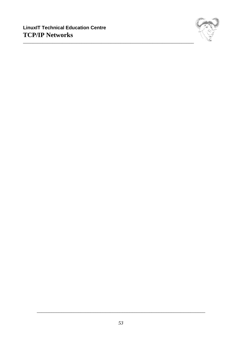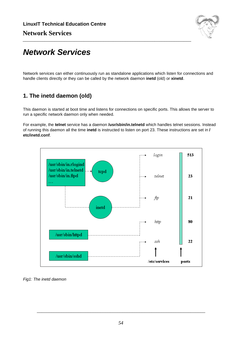

## **Network Services**

Network services can either continuously run as standalone applications which listen for connections and handle clients directly or they can be called by the network daemon **inetd** (old) or **xinetd**.

\_\_\_\_\_\_\_\_\_\_\_\_\_\_\_\_\_\_\_\_\_\_\_\_\_\_\_\_\_\_\_\_\_\_\_\_\_\_\_\_\_\_\_\_\_\_\_\_\_\_\_\_\_\_\_\_\_\_\_\_\_\_\_\_\_\_\_\_\_

## **1. The inetd daemon (old)**

This daemon is started at boot time and listens for connections on specific ports. This allows the server to run a specific network daemon only when needed.

For example, the **telnet** service has a daemon **/usr/sbin/in.telnetd** which handles telnet sessions. Instead of running this daemon all the time **inetd** is instructed to listen on port 23. These instructions are set in **/ etc/inetd.conf**.



Fig1: The inetd daemon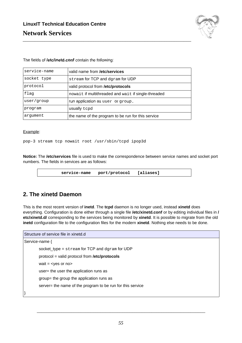

The fields of **/etc/inetd.conf** contain the following:

| service-name | valid name from /etc/services                       |
|--------------|-----------------------------------------------------|
| socket type  | stream for TCP and dgram for UDP                    |
| protocol     | valid protocol from /etc/protocols                  |
| flag         | nowait if multithreaded and wait if single-threaded |
| user/group   | run application as user or group.                   |
| program      | usually tcpd                                        |
| arqument     | the name of the program to be run for this service  |

\_\_\_\_\_\_\_\_\_\_\_\_\_\_\_\_\_\_\_\_\_\_\_\_\_\_\_\_\_\_\_\_\_\_\_\_\_\_\_\_\_\_\_\_\_\_\_\_\_\_\_\_\_\_\_\_\_\_\_\_\_\_\_\_\_\_\_\_\_

#### Example:

pop-3 stream tcp nowait root /usr/sbin/tcpd ipop3d

**Notice:** The **/etc/services** file is used to make the correspondence between service names and socket port numbers. The fields in services are as follows:

```
service-name port/protocol [aliases]
```
## **2. The xinetd Daemon**

This is the most recent version of **inetd**. The **tcpd** daemon is no longer used, instead **xinetd** does everything. Configuration is done either through a single file **/etc/xinetd.conf** or by editing individual files in **/ etc/xinetd.d/** corresponding to the services being monitored by **xinetd**. It is possible to migrate from the old **inetd** configuration file to the configuration files for the modern **xinetd**. Nothing else needs to be done.

| Structure of service file in xinetd.d                      |  |  |
|------------------------------------------------------------|--|--|
| Service-name {                                             |  |  |
| socket_type = $strean$ for TCP and $dgram$ for UDP         |  |  |
| protocol = valid protocol from <b>/etc/protocols</b>       |  |  |
| wait = $<$ yes or no $>$                                   |  |  |
| user = the user the application runs as                    |  |  |
| group= the group the application runs as                   |  |  |
| server= the name of the program to be run for this service |  |  |
|                                                            |  |  |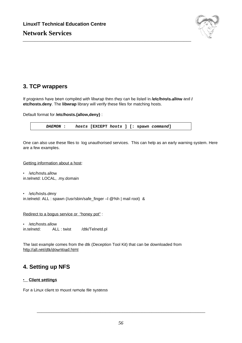

### **3. TCP wrappers**

If programs have been compiled with libwrap then they can be listed in **/etc/hosts.allow** and **/ etc/hosts.deny**. The **libwrap** library will verify these files for matching hosts.

\_\_\_\_\_\_\_\_\_\_\_\_\_\_\_\_\_\_\_\_\_\_\_\_\_\_\_\_\_\_\_\_\_\_\_\_\_\_\_\_\_\_\_\_\_\_\_\_\_\_\_\_\_\_\_\_\_\_\_\_\_\_\_\_\_\_\_\_\_

Default format for **/etc/hosts.{allow,deny}** :

**DAEMON : hosts [EXCEPT hosts ] [: spawn command]**

One can also use these files to log unauthorised services. This can help as an early warning system. Here are a few examples.

Getting information about a host:

• /etc/hosts.allow in.telnetd: LOCAL, .my.domain

```
• /etc/hosts.deny
in.telnetd: ALL : spawn (/usr/sbin/safe_finger –l @%h | mail root) &
```
Redirect to a bogus service or "honey pot":

• /etc/hosts.allow in.telnetd: ALL : twist /dtk/Telnetd.pl

The last example comes from the dtk (Deception Tool Kit) that can be downloaded from http://all.net/dtk/download.html

## **4. Setting up NFS**

#### • **Client settings**

For a Linux client to mount remote file systems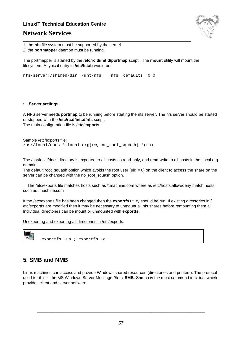## **LinuxIT Technical Education Centre**

## **Network Services**



\_\_\_\_\_\_\_\_\_\_\_\_\_\_\_\_\_\_\_\_\_\_\_\_\_\_\_\_\_\_\_\_\_\_\_\_\_\_\_\_\_\_\_\_\_\_\_\_\_\_\_\_\_\_\_\_\_\_\_\_\_\_\_\_\_\_\_\_\_ 1. the **nfs** file system must be supported by the kernel

2. the **portmapper** daemon must be running.

The portmapper is started by the **/etc/rc.d/init.d/portmap** script. The **mount** utility will mount the filesystem. A typical entry in **/etc/fstab** would be:

nfs-server:/shared/dir /mnt/nfs nfs defaults 0 0

#### • **Server settings**

A NFS server needs **portmap** to be running before starting the nfs server. The nfs server should be started or stopped with the **/etc/rc.d/init.d/nfs** script.

The main configuration file is **/etc/exports**.

Sample /etc/exports file: /usr/local/docs \*.local.org(rw, no\_root\_squash) \*(ro)

The /usr/local/docs directory is exported to all hosts as read-only, and read-write to all hosts in the .local.org domain.

The default root\_squash option which avoids the root user (uid = 0) on the client to access the share on the server can be changed with the no\_root\_squash option.

The /etc/exports file matches hosts such as \*.machine.com where as /etc/hosts.allow/deny match hosts such as .machine.com

If the /etc/exports file has been changed then the **exportfs** utility should be run. If existing directories in / etc/exportfs are modified then it may be necessary to unmount all nfs shares before remounting them all. Individual directories can be mount or unmounted with **exportfs**.

Unexporting and exporting all directories in /etc/exports:



## **5. SMB and NMB**

Linux machines can access and provide Windows shared resources (directories and printers). The protocol used for this is the MS Windows Server Message Block **SMB**. Samba is the most common Linux tool which provides client and server software.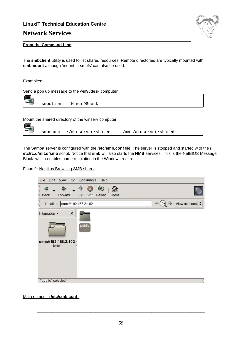## **LinuxIT Technical Education Centre Network Services**



#### \_\_\_\_\_\_\_\_\_\_\_\_\_\_\_\_\_\_\_\_\_\_\_\_\_\_\_\_\_\_\_\_\_\_\_\_\_\_\_\_\_\_\_\_\_\_\_\_\_\_\_\_\_\_\_\_\_\_\_\_\_\_\_\_\_\_\_\_\_ **From the Command Line**

The **smbclient** utility is used to list shared resources. Remote directories are typically mounted with **smbmount** although 'mount –t smbfs' can also be used.

Examples:

Send a pop up message to the win98desk computer

**Paul** ⊡⊿

smbclient -M win98desk

Mount the shared directory of the winserv computer



The Samba server is configured with the **/etc/smb.conf** file. The server is stopped and started with the **/ etc/rc.d/init.d/smb** script. Notice that **smb** will also starts the **NMB** services. This is the NetBIOS Message Block which enables name resolution in the Windows realm.

Figure1: Nautilus Browsing SMB shares:



Main entries in **/etc/smb.conf**: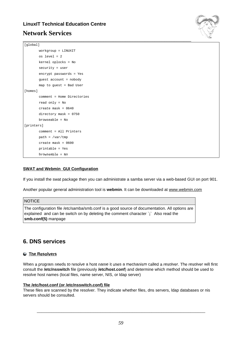## **LinuxIT Technical Education Centre Network Services** \_\_\_\_\_\_\_\_\_\_\_\_\_\_\_\_\_\_\_\_\_\_\_\_\_\_\_\_\_\_\_\_\_\_\_\_\_\_\_\_\_\_\_\_\_\_\_\_\_\_\_\_\_\_\_\_\_\_\_\_\_\_\_\_\_\_\_\_\_



[global] workgroup = LINUXIT os level = 2 kernel oplocks = No security = user encrypt passwords = Yes guest account = nobody map to guest = Bad User [homes] comment = Home Directories read only = No create mask = 0640 directory mask = 0750 browseable = No [printers] comment = All Printers path = /var/tmp create mask = 0600 printable = Yes browseable = No

#### **SWAT and Webmin GUI Configuration**

If you install the swat package then you can administrate a samba server via a web-based GUI on port 901.

Another popular general administration tool is **webmin**. It can be downloaded at www.webmin.com

**NOTICE** 

The configuration file /etc/samba/smb.conf is a good source of documentation. All options are explained and can be switch on by deleting the comment character `**;**` Also read the **smb.conf(5)** manpage

### **6. DNS services**

#### **The Resolvers**

When a program needs to resolve a host name it uses a mechanism called a resolver. The resolver will first consult the **/etc/nsswitch** file (previously **/etc/host.conf**) and determine which method should be used to resolve host names (local files, name server, NIS, or ldap server)

#### **The /etc/host.conf (or /etc/nsswitch.conf) file**

These files are scanned by the resolver. They indicate whether files, dns servers, ldap databases or nis servers should be consulted.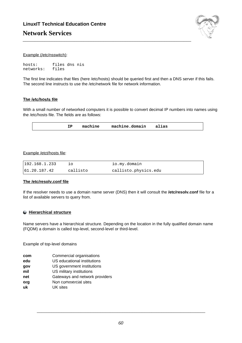

#### Example (/etc/nsswitch):

hosts: files dns nis<br>networks: files networks:

The first line indicates that files (here /etc/hosts) should be queried first and then a DNS server if this fails. The second line instructs to use the /etc/network file for network information.

\_\_\_\_\_\_\_\_\_\_\_\_\_\_\_\_\_\_\_\_\_\_\_\_\_\_\_\_\_\_\_\_\_\_\_\_\_\_\_\_\_\_\_\_\_\_\_\_\_\_\_\_\_\_\_\_\_\_\_\_\_\_\_\_\_\_\_\_\_

#### **The /etc/hosts file**

With a small number of networked computers it is possible to convert decimal IP numbers into names using the /etc/hosts file. The fields are as follows:

|  | machine machine.domain alias |  | IΡ |
|--|------------------------------|--|----|
|--|------------------------------|--|----|

#### Example /etct/hosts file:

| 192.168.1.233 |          | io.my.domain         |
|---------------|----------|----------------------|
| 61.20.187.42  | callisto | callisto.physics.edu |

#### **The /etc/resolv.conf file**

If the resolver needs to use a domain name server (DNS) then it will consult the **/etc/resolv.conf** file for a list of available servers to query from.

#### **Hierarchical structure**

Name servers have a hierarchical structure. Depending on the location in the fully qualified domain name (FQDM) a domain is called top-level, second-level or third-level.

Example of top-level domains

| com | Commercial organisations |
|-----|--------------------------|
|-----|--------------------------|

- **edu** US educational institutions
- **gov** US government institutions
- **mil** US military institutions
- **net** Gateways and network providers
- **org** Non commercial sites
- **uk** UK sites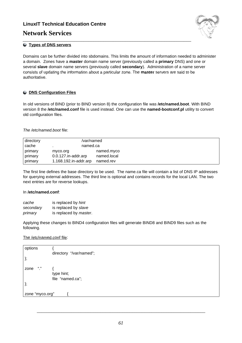## **LinuxIT Technical Education Centre Network Services**



Domains can be further divided into sbdomains. This limits the amount of information needed to administer a domain. Zones have a **master** domain name server (previously called a **primary** DNS) and one or several **slave** domain name servers (previously called **secondary**). Administration of a name server consists of updating the information about a particular zone. The **master** servers are said to be authoritative.

#### **DNS Configuration Files**

In old versions of BIND (prior to BIND version 8) the configuration file was **/etc/named.boot**. With BIND version 8 the **/etc/named.conf** file is used instead. One can use the **named-bootconf.pl** utility to convert old configuration files.

#### The /etc/named.boot file:

| directory | /var/named            |             |
|-----------|-----------------------|-------------|
| cache     | named.ca              |             |
| primary   | myco.org              | named.myco  |
| primary   | $0.0.127.in-addr$     | named.local |
| primary   | 1.168.192.in-addr.arp | named.rev   |

The first line defines the base directory to be used. The name.ca file will contain a list of DNS IP addresses for querying external addresses. The third line is optional and contains records for the local LAN. The two next entries are for reverse lookups.

#### In **/etc/named.conf**:

| cache     | is replaced by hint    |
|-----------|------------------------|
| secondary | is replaced by slave   |
| primary   | is replaced by master. |

Applying these changes to BIND4 configuration files will generate BIND8 and BIND9 files such as the following.

#### The /etc/named.conf file:

| options               | directory "/var/named";        |
|-----------------------|--------------------------------|
| };                    |                                |
| $\frac{1}{2}$<br>zone | type hint;<br>file "named.ca"; |
| };                    |                                |
| zone "myco.org"       |                                |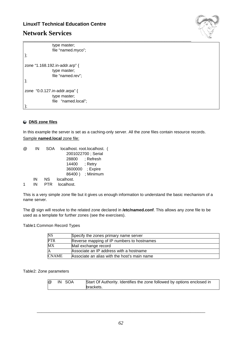## **LinuxIT Technical Education Centre**

## **Network Services**

\_\_\_\_\_\_\_\_\_\_\_\_\_\_\_\_\_\_\_\_\_\_\_\_\_\_\_\_\_\_\_\_\_\_\_\_\_\_\_\_\_\_\_\_\_\_\_\_\_\_\_\_\_\_\_\_\_\_\_\_\_\_\_\_\_\_\_\_\_ type master; file "named.myco"; }; zone "1.168.192.in-addr.arp" { type master; file "named.rev"; }; zone "0.0.127.in-addr.arpa" { type master; file "named.local"; };

#### **DNS zone files**

In this example the server is set as a caching-only server. All the zone files contain resource records. Sample **named.local** zone file:

| @ | ΙN | <b>SOA</b> | localhost. root.localhost. ( |
|---|----|------------|------------------------------|
|   |    |            | 2001022700; Serial           |
|   |    |            | ; Refresh<br>28800           |
|   |    |            | ; Retry<br>14400             |
|   |    |            | ; Expire<br>3600000          |
|   |    |            | ; Minimum<br>86400)          |
|   | ΙN | NS.        | localhost.                   |
|   | ΙN | PTR        | localhost.                   |
|   |    |            |                              |

This is a very simple zone file but it gives us enough information to understand the basic mechanism of a name server.

The **@** sign will resolve to the related zone declared in **/etc/named.conf**. This allows any zone file to be used as a template for further zones (see the exercises).

Table1:Common Record Types

| NS     | Specify the zones primary name server        |
|--------|----------------------------------------------|
| PTR    | Reverse mapping of IP numbers to hostnames   |
| МX     | Mail exchange record                         |
| Α      | Associate an IP address with a hostname      |
| CNAME. | Associate an alias with the host's main name |

Table2: Zone parameters

| $^{\circledR}$ | IN SOA | Start Of Authority. Identifies the zone followed by options enclosed in |
|----------------|--------|-------------------------------------------------------------------------|
|                |        | brackets.                                                               |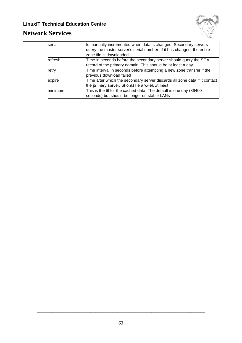# **LinuxIT Technical Education Centre**



## **Network Services**

|  | serial  | Is manually incremented when data is changed. Secondary servers<br>query the master server's serial number. If it has changed, the entire<br>zone file is downloaded |
|--|---------|----------------------------------------------------------------------------------------------------------------------------------------------------------------------|
|  | refresh | Time in seconds before the secondary server should query the SOA<br>record of the primary domain. This should be at least a day.                                     |
|  | retry   | Time interval in seconds before attempting a new zone transfer if the<br>previous download failed                                                                    |
|  | expire  | Time after which the secondary server discards all zone data if it contact<br>the primary server. Should be a week at least                                          |
|  | minimum | This is the ttl for the cached data. The default is one day (86400<br>seconds) but should be longer on stable LANs                                                   |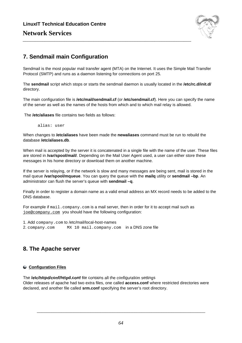

## **7. Sendmail main Configuration**

Sendmail is the most popular mail transfer agent (MTA) on the Internet. It uses the Simple Mail Transfer Protocol (SMTP) and runs as a daemon listening for connections on port 25.

The **sendmail** script which stops or starts the sendmail daemon is usually located in the **/etc/rc.d/init.d/** directory.

The main configuration file is **/etc/mail/sendmail.cf** (or **/etc/sendmail.cf**). Here you can specify the name of the server as well as the names of the hosts from which and to which mail relay is allowed.

The **/etc/aliases** file contains two fields as follows:

alias: user

When changes to **/etc/aliases** have been made the **newaliases** command must be run to rebuild the database **/etc/aliases.db**.

When mail is accepted by the server it is concatenated in a single file with the name of the user. These files are stored in **/var/spool/mail/**. Depending on the Mail User Agent used, a user can either store these messages in his home directory or download them on another machine.

If the server is relaying, or if the network is slow and many messages are being sent, mail is stored in the mail queue **/var/spool/mqueue**. You can query the queue with the **mailq** utility or **sendmail –bp**. An administrator can flush the server's queue with **sendmail –q**.

Finally in order to register a domain name as a valid email address an MX record needs to be added to the DNS database.

For example if mail.company.com is a mail server, then in order for it to accept mail such as joe@company.com you should have the following configuration:

- 1. Add company.com to /etc/mail/local-host-names
- 2. company.com MX 10 mail.company.com in a DNS zone file

### **8. The Apache server**

#### **Configuration Files**

The **/etc/httpd/conf/httpd.conf** file contains all the configuration settings Older releases of apache had two extra files, one called **access.conf** where restricted directories were declared, and another file called **srm.conf** specifying the server's root directory.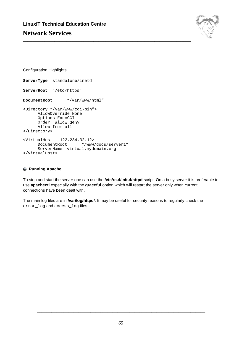

| <b>Configuration Highlights:</b> |                                                                                                                                            |  |
|----------------------------------|--------------------------------------------------------------------------------------------------------------------------------------------|--|
|                                  | ServerType standalone/inetd                                                                                                                |  |
|                                  | ServerRoot "/etc/httpd"                                                                                                                    |  |
|                                  | DocumentRoot "/var/www/html"                                                                                                               |  |
|                                  | <directory "="" cgi-bin"="" var="" www=""><br/>AllowOverride None<br/>Options ExecCGI<br/>Order allow, deny<br/>Allow from all</directory> |  |
|                                  | <virtualhost 122.234.32.12=""><br/>DocumentRoot "/www/docs/server1"<br/>ServerName virtual.mydomain.org</virtualhost>                      |  |

#### **Running Apache**

To stop and start the server one can use the **/etc/rc.d/init.d/httpd** script. On a busy server it is preferable to use **apachectl** especially with the **graceful** option which will restart the server only when current connections have been dealt with.

The main log files are in **/var/log/httpd/**. It may be useful for security reasons to regularly check the error\_log and access\_log files.

\_\_\_\_\_\_\_\_\_\_\_\_\_\_\_\_\_\_\_\_\_\_\_\_\_\_\_\_\_\_\_\_\_\_\_\_\_\_\_\_\_\_\_\_\_\_\_\_\_\_\_\_\_\_\_\_\_\_\_\_\_\_\_\_\_\_\_\_\_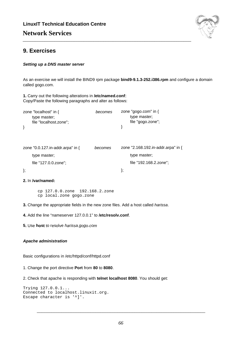

## **9. Exercises**

#### **Setting up a DNS master server**

As an exercise we will install the BIND9 rpm package **bind9-9.1.3-252.i386.rpm** and configure a domain called gogo.com.

\_\_\_\_\_\_\_\_\_\_\_\_\_\_\_\_\_\_\_\_\_\_\_\_\_\_\_\_\_\_\_\_\_\_\_\_\_\_\_\_\_\_\_\_\_\_\_\_\_\_\_\_\_\_\_\_\_\_\_\_\_\_\_\_\_\_\_\_\_

**1.** Carry out the following alterations in **/etc/named.conf**: Copy/Paste the following paragraphs and alter as follows:

| zone "localhost" in $\{$<br>type master;<br>file "localhost.zone"; | becomes | zone "gogo.com" in {<br>type master;<br>file "gogo.zone"; |
|--------------------------------------------------------------------|---------|-----------------------------------------------------------|
| zone "0.0.127.in-addr.arpa" in {                                   | becomes | zone "2.168.192.in-addr.arpa" in {                        |
| type master;                                                       |         | type master;                                              |
| file "127.0.0.zone";                                               |         | file "192.168.2.zone";                                    |
| };                                                                 |         | Ϊ,                                                        |

#### **2.** In **/var/named:**

cp 127.0.0.zone 192.168.2.zone cp local.zone gogo.zone

- **3.** Change the appropriate fields in the new zone files. Add a host called harissa.
- **4.** Add the line "nameserver 127.0.0.1" to **/etc/resolv.conf**.
- **5.** Use **host** to resolve harissa.gogo.com

#### **Apache administration**

Basic configurations in /etc/httpd/conf/httpd.conf

- 1. Change the port directive **Port** from **80** to **8080**.
- 2. Check that apache is responding with **telnet localhost 8080**. You should get:

```
Trying 127.0.0.1...
Connected to localhost.linuxit.org.
Escape character is '^]'.
```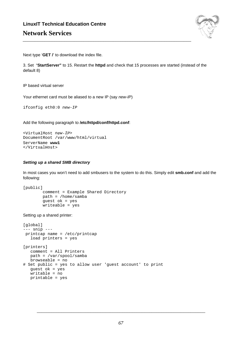

Next type '**GET /**' to download the index file.

3. Set "**StartServer"** to 15. Restart the **httpd** and check that 15 processes are started (instead of the default 8)

\_\_\_\_\_\_\_\_\_\_\_\_\_\_\_\_\_\_\_\_\_\_\_\_\_\_\_\_\_\_\_\_\_\_\_\_\_\_\_\_\_\_\_\_\_\_\_\_\_\_\_\_\_\_\_\_\_\_\_\_\_\_\_\_\_\_\_\_\_

IP based virtual server

Your ethernet card must be aliased to a new IP (say new-IP)

ifconfig eth0:0 new-IP

Add the following paragraph to **/etc/httpd/conf/httpd.conf**:

```
<VirtualHost new-IP>
DocumentRoot /var/www/html/virtual
ServerName www1
</VirtualHost>
```
#### **Setting up a shared SMB directory**

In most cases you won't need to add smbusers to the system to do this. Simply edit **smb.conf** and add the following:

```
[public]
        comment = Example Shared Directory
       path = /home/samba
       guest ok = yes
       writeable = yes
```
Setting up a shared printer:

```
[global]
--- snip ---
printcap name = /etc/printcap
  load printers = yes
[printers]
  comment = All Printers
  path = /var/spool/samba
  browseable = no
# Set public = yes to allow user 'guest account' to print
  guest ok = yes
  writable = no
  printable = yes
```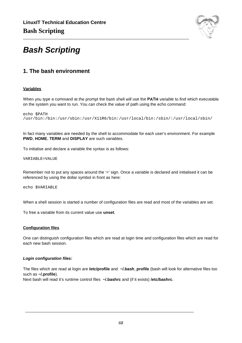

## **Bash Scripting**

## **1. The bash environment**

#### **Variables**

When you type a command at the prompt the bash shell will use the **PATH** variable to find which executable on the system you want to run. You can check the value of path using the echo command:

```
echo $PATH
/usr/bin:/bin:/usr/sbin:/usr/X11R6/bin:/usr/local/bin:/sbin/:/usr/local/sbin/
```
\_\_\_\_\_\_\_\_\_\_\_\_\_\_\_\_\_\_\_\_\_\_\_\_\_\_\_\_\_\_\_\_\_\_\_\_\_\_\_\_\_\_\_\_\_\_\_\_\_\_\_\_\_\_\_\_\_\_\_\_\_\_\_\_\_\_\_\_

In fact many variables are needed by the shell to accommodate for each user's environment. For example **PWD**, **HOME**, **TERM** and **DISPLAY** are such variables.

To initialise and declare a variable the syntax is as follows:

VARIABLE=VALUE

Remember not to put any spaces around the '=' sign. Once a variable is declared and initialised it can be referenced by using the dollar symbol in front as here:

echo \$VARIABLE

When a shell session is started a number of configuration files are read and most of the variables are set.

To free a variable from its current value use **unset**.

#### **Configuration files**

One can distinguish configuration files which are read at login time and configuration files which are read for each new bash session.

#### **Login configuration files:**

The files which are read at login are **/etc/profile** and **~/.bash\_profile** (bash will look for alternative files too such as **~/.profile**). Next bash will read it's runtime control files **~/.bashrc** and (if it exists) **/etc/bashrc**.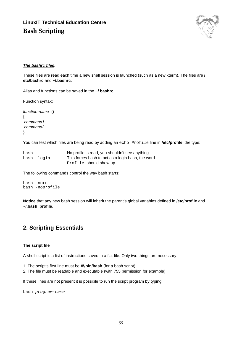

#### **The bashrc files:**

These files are read each time a new shell session is launched (such as a new xterm). The files are **/ etc/bashrc** and **~/.bashrc**.

\_\_\_\_\_\_\_\_\_\_\_\_\_\_\_\_\_\_\_\_\_\_\_\_\_\_\_\_\_\_\_\_\_\_\_\_\_\_\_\_\_\_\_\_\_\_\_\_\_\_\_\_\_\_\_\_\_\_\_\_\_\_\_\_\_\_\_\_

Alias and functions can be saved in the **~/.bashrc**

Function syntax:

function-name () { command1; command2; }

You can test which files are being read by adding an echo Profile line in **/etc/profile**, the type:

| bash        | No profile is read, you shouldn't see anything    |
|-------------|---------------------------------------------------|
| bash -login | This forces bash to act as a login bash, the word |
|             | Profile should show up.                           |

The following commands control the way bash starts:

bash -norc bash -noprofile

**Notice** that any new bash session will inherit the parent's global variables defined in **/etc/profile** and **~/.bash\_profile**.

## **2. Scripting Essentials**

#### **The script file**

A shell script is a list of instructions saved in a flat file. Only two things are necessary.

- 1. The script's first line must be **#!/bin/bash** (for a bash script)
- 2. The file must be readable and executable (with 755 permission for example)

If these lines are not present it is possible to run the script program by typing

bash program-name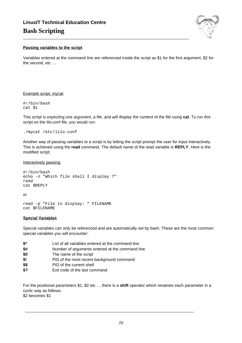

#### **Passing variables to the script**

Variables entered at the command line are referenced inside the script as \$1 for the first argument, \$2 for the second, etc …

\_\_\_\_\_\_\_\_\_\_\_\_\_\_\_\_\_\_\_\_\_\_\_\_\_\_\_\_\_\_\_\_\_\_\_\_\_\_\_\_\_\_\_\_\_\_\_\_\_\_\_\_\_\_\_\_\_\_\_\_\_\_\_\_\_\_\_\_

#### Example script, mycat:

#!/bin/bash cat \$1

This script is expecting one argument, a file, and will display the content of the file using **cat**. To run this script on the lilo.conf file, you would run:

./mycat /etc/lilo.conf

Another way of passing variables to a script is by letting the script prompt the user for input interactively. This is achieved using the **read** command. The default name of the read variable is **REPLY**. Here is the modified script:

#### Interactively passing:

```
#!/bin/bash
echo -n "Which file shall I display ?"
read
cat $REPLY
or
read -p "File to display: " FILENAME
```
cat \$FILENAME

#### **Special Variables**

Special variables can only be referenced and are automatically set by bash. These are the most common special variables you will encounter:

- **\$\*** List of all variables entered at the command line
- **\$#** Number of arguments entered at the command line
- **\$0** The name of the script
- **\$!** PID of the most recent background command
- **\$\$** PID of the current shell
- **\$?** Exit code of the last command

For the positional parameters \$1, \$2 etc … there is a **shift** operator which renames each parameter in a cyclic way as follows. \$2 becomes \$1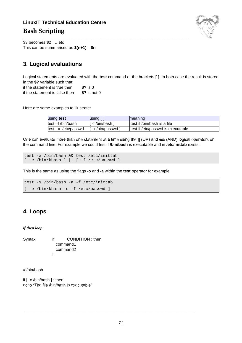## **LinuxIT Technical Education Centre Bash Scripting**



\$3 becomes \$2 … etc This can be summarised as **\$(n+1) \$n**

## **3. Logical evaluations**

Logical statements are evaluated with the **test** command or the brackets **[ ]**. In both case the result is stored in the **\$?** variable such that:

\_\_\_\_\_\_\_\_\_\_\_\_\_\_\_\_\_\_\_\_\_\_\_\_\_\_\_\_\_\_\_\_\_\_\_\_\_\_\_\_\_\_\_\_\_\_\_\_\_\_\_\_\_\_\_\_\_\_\_\_\_\_\_\_\_\_\_\_

| if the statement is true then  | $$?$ is 0     |
|--------------------------------|---------------|
| if the statement is false then | $$?$ is not 0 |

Here are some examples to illustrate:

| using test          | $\mu$ sing $\iota$ | meaning                           |
|---------------------|--------------------|-----------------------------------|
| test -f /bin/bash   | प -f /bin/bash ।   | l test if /bin/bash is a file     |
| test -x /etc/passwd | [ -x /bin/passwd ] | test if /etc/passwd is executable |

One can evaluate more than one statement at a time using the **||** (OR) and **&&** (AND) logical operators on the command line. For example we could test if **/bin/bash** is executable and in **/etc/inittab** exists:

test -x /bin/bash && test /etc/inittab [ -e /bin/kbash ] || [ -f /etc/passwd ]

This is the same as using the flags **-o** and **-a** within the **test** operator for example

```
test -x /bin/bash -a -f /etc/inittab
[ -e /bin/kbash -o -f /etc/passwd ]
```
## **4. Loops**

*if then loop*

Syntax: if CONDITION ; then command1 command2 fi

#!/bin/bash

if [ -x /bin/bash ] ; then echo "The file /bin/bash is executable"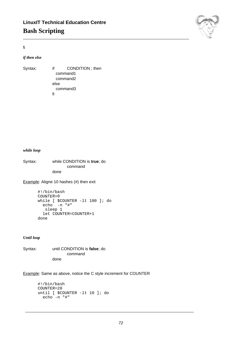\_\_\_\_\_\_\_\_\_\_\_\_\_\_\_\_\_\_\_\_\_\_\_\_\_\_\_\_\_\_\_\_\_\_\_\_\_\_\_\_\_\_\_\_\_\_\_\_\_\_\_\_\_\_\_\_\_\_\_\_\_\_\_\_\_\_\_\_



fi

#### *if then else*

Syntax: if CONDITION ; then command1 command2 else command3 fi

#### *while loop*

Syntax: while CONDITION is **true**; do command done

Example: Aligne 10 hashes (#) then exit

```
#!/bin/bash
COUNTER=0
while [ $COUNTER -lt 100 ]; do
 echo -n "#"
  sleep 1
  let COUNTER=COUNTER+1
done
```
#### *Until loop*

Syntax: until CONDITION is **false**; do command done

Example: Same as above, notice the C style increment for COUNTER

```
#!/bin/bash
COUNTER=20
until [ $COUNTER -lt 10 ]; do
 echo -n "#"
```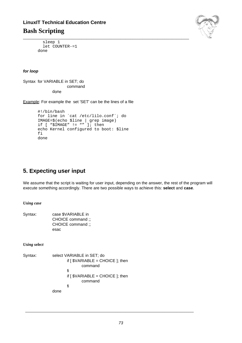# **LinuxIT Technical Education Centre Bash Scripting**



```
sleep 1
  let COUNTER-=1
done
```
### **for loop**

Syntax for VARIABLE in SET; do command done

Example: For example the set 'SET' can be the lines of a file

```
#!/bin/bash
for line in `cat /etc/lilo.conf`; do
IMAGE=$(echo $line | grep image)
if [ "$IMAGE" != "" ]; then
echo Kernel configured to boot: $line
fi
done
```
\_\_\_\_\_\_\_\_\_\_\_\_\_\_\_\_\_\_\_\_\_\_\_\_\_\_\_\_\_\_\_\_\_\_\_\_\_\_\_\_\_\_\_\_\_\_\_\_\_\_\_\_\_\_\_\_\_\_\_\_\_\_\_\_\_\_\_\_

# **5. Expecting user input**

We assume that the script is waiting for user input, depending on the answer, the rest of the program will execute something accordingly. There are two possible ways to achieve this: **select** and **case**.

*Using case*

Syntax: case \$VARIABLE in CHOICE command ;; CHOICE command ;; esac

*Using select*

Syntax: select VARIABLE in SET; do if  $\lceil$  \$VARIABLE = CHOICE ]; then command fi if  $\lceil$  \$VARIABLE = CHOICE ]; then command fi done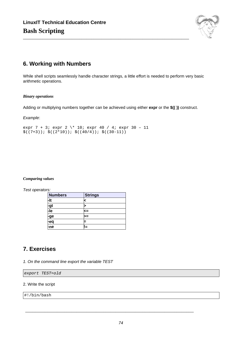

# **6. Working with Numbers**

While shell scripts seamlessly handle character strings, a little effort is needed to perform very basic arithmetic operations.

\_\_\_\_\_\_\_\_\_\_\_\_\_\_\_\_\_\_\_\_\_\_\_\_\_\_\_\_\_\_\_\_\_\_\_\_\_\_\_\_\_\_\_\_\_\_\_\_\_\_\_\_\_\_\_\_\_\_\_\_\_\_\_\_\_\_\_\_

### *Binary operations*

Adding or multiplying numbers together can be achieved using either **expr** or the **\$(( ))** construct.

Example:

expr 7 + 3; expr 2 \\* 10; expr 40 / 4; expr 30 – 11  $\zeta((7+3))$ ;  $\zeta((2*10))$ ;  $\zeta((40/4))$ ;  $\zeta((30-11))$ 

#### *Comparing values*

Test operators:

| <b>Numbers</b> | <b>Strings</b> |
|----------------|----------------|
| łt             |                |
| gt             |                |
| -le            | c=             |
| ge             |                |
| eq             |                |
| -ne            |                |

# **7. Exercises**

1. On the command line export the variable TEST

export TEST=old

#### 2. Write the script

#!/bin/bash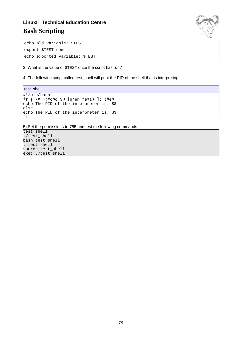# **LinuxIT Technical Education Centre Bash Scripting**



```
echo old variable: $TEST
export $TEST=new
echo exported variable: $TEST
```
3. What is the value of \$TEST once the script has run?

4. The following script called test\_shell will print the PID of the shell that is interpreting it

\_\_\_\_\_\_\_\_\_\_\_\_\_\_\_\_\_\_\_\_\_\_\_\_\_\_\_\_\_\_\_\_\_\_\_\_\_\_\_\_\_\_\_\_\_\_\_\_\_\_\_\_\_\_\_\_\_\_\_\_\_\_\_\_\_\_\_\_

test\_shell #!/bin/bash if [ -n \$(echo \$0 |grep test) ]; then echo The PID of the interpreter is: \$\$ else echo The PID of the interpreter is: \$\$ fi

5) Set the permissions to 755 and test the following commands

test\_shell ./test\_shell bash test\_shell . test\_shell source test\_shell exec ./test\_shell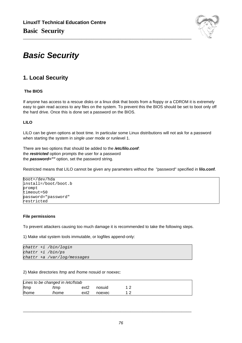

# **Basic Security**

# **1. Local Security**

### **The BIOS**

If anyone has access to a rescue disks or a linux disk that boots from a floppy or a CDROM it is extremely easy to gain read access to any files on the system. To prevent this the BIOS should be set to boot only off the hard drive. Once this is done set a password on the BIOS.

\_\_\_\_\_\_\_\_\_\_\_\_\_\_\_\_\_\_\_\_\_\_\_\_\_\_\_\_\_\_\_\_\_\_\_\_\_\_\_\_\_\_\_\_\_\_\_\_\_\_\_\_\_\_\_\_\_\_\_\_\_\_\_\_\_\_\_\_\_

### **LILO**

LILO can be given options at boot time. In particular some Linux distributions will not ask for a password when starting the system in *single user* mode or runlevel 1.

There are two options that should be added to the **/etc/lilo.conf**: the **restricted** option prompts the user for a password the **password=""** option, set the password string.

Restricted means that LILO cannot be given any parameters without the "password" specified in **lilo.conf**.

```
boot=/dev/hda
install=/boot/boot.b
prompt
timeout=50
password="password"
restricted
```
### **File permissions**

To prevent attackers causing too much damage it is recommended to take the following steps.

1) Make vital system tools immutable, or logfiles append-only:

|  | chattr +i /bin/login             |
|--|----------------------------------|
|  | $chartr +i$ /bin/ps              |
|  | $chattr +a / var / log/messages$ |

### 2) Make directories /tmp and /home nosuid or noexec:

| Lines to be changed in /etc/fstab |       |      |        |  |
|-----------------------------------|-------|------|--------|--|
| /tmp                              | /tmp  | ext2 | nosuid |  |
| home                              | /home | ext2 | noexec |  |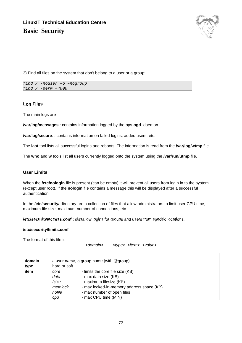

3) Find all files on the system that don't belong to a user or a group:

find / -nouser –o –nogroup find / -perm +4000

\_\_\_\_\_\_\_\_\_\_\_\_\_\_\_\_\_\_\_\_\_\_\_\_\_\_\_\_\_\_\_\_\_\_\_\_\_\_\_\_\_\_\_\_\_\_\_\_\_\_\_\_\_\_\_\_\_\_\_\_\_\_\_\_\_\_\_\_\_

### **Log Files**

The main logs are

**/var/log/messages** : contains information logged by the **syslogd** daemon

**/var/log/secure**. : contains information on failed logins, added users, etc.

The **last** tool lists all successful logins and reboots. The information is read from the **/var/log/wtmp** file.

The **who** and **w** tools list all users currently logged onto the system using the **/var/run/utmp** file.

## **User Limits**

When the **/etc/nologin** file is present (can be empty) it will prevent all users from login in to the system (except user root). If the **nologin** file contains a message this will be displayed after a successful authentication.

In the **/etc/security/** directory are a collection of files that allow administrators to limit user CPU time, maximum file size, maximum number of connections, etc

**/etc/security/access.conf** : dissallow logins for groups and users from specific locations.

### **/etc/security/limits.conf**

The format of this file is

<domain> <type> <item> <value>

| domain<br>type                                                                                                                                                          | hard or soft | a user name, a group name (with @group)   |
|-------------------------------------------------------------------------------------------------------------------------------------------------------------------------|--------------|-------------------------------------------|
| item<br>- limits the core file size (KB)<br>core<br>- max data size (KB)<br>data<br>- maximum filesize (KB)<br>fsize<br>memlock<br>- max number of open files<br>nofile |              |                                           |
|                                                                                                                                                                         |              |                                           |
|                                                                                                                                                                         |              | - max locked-in-memory address space (KB) |
|                                                                                                                                                                         | cpu          | - max CPU time (MIN)                      |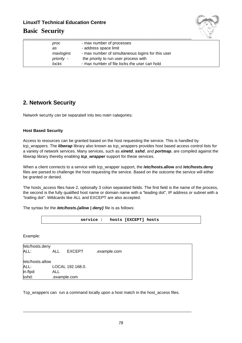# **LinuxIT Technical Education Centre Basic Security**



| proc       | - max number of processes                         |  |
|------------|---------------------------------------------------|--|
| as         | - address space limit                             |  |
| maxlogins  | - max number of simultaneous logins for this user |  |
| priority - | the priority to run user process with             |  |
| locks      | - max number of file locks the user can hold      |  |
|            |                                                   |  |

# **2. Network Security**

Network security can be separated into two main categories:

### **Host Based Security**

Access to resources can be granted based on the host requesting the service. This is handled by tcp\_wrappers. The *libwrap* library also known as tcp\_wrappers provides host based access control lists for a variety of network services. Many services, such as **xinetd**, **sshd**, and **portmap**, are compiled against the libwrap library thereby enabling **tcp\_wrapper** support for these services.

When a client connects to a service with tcp\_wrapper support, the **/etc/hosts.allow** and **/etc/hosts.deny** files are parsed to challenge the host requesting the service. Based on the outcome the service will either be granted or denied.

The hosts\_access files have 2, optionally 3 colon separated fields. The first field is the name of the process, the second is the fully qualified host name or domain name with a "leading dot", IP address or subnet with a "trailing dot". Wildcards like ALL and EXCEPT are also accepted.

The syntax for the **/etc/hosts.{allow | deny}** file is as follows:

|  | service : hosts [EXCEPT] hosts |  |
|--|--------------------------------|--|
|  |                                |  |

Example:

| /etc/hosts.deny<br>ALL: | ALL          | <b>EXCEPT</b>    | .example.com |
|-------------------------|--------------|------------------|--------------|
| /etc/hosts.allow        |              |                  |              |
| ALL:                    |              | LOCAL 192.168.0. |              |
| in.ftpd:                | ALL          |                  |              |
| sshd:                   | .example.com |                  |              |

Tcp\_wrappers can run a command locally upon a host match in the host access files.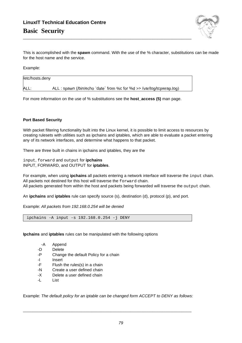

This is accomplished with the **spawn** command. With the use of the % character, substitutions can be made for the host name and the service.

Example:

| /etc/hosts.deny |                                                                      |
|-----------------|----------------------------------------------------------------------|
| ALL:            | ALL: spawn (/bin/echo `date` from %c for %d >> /var/log/tcpwrap.log) |

\_\_\_\_\_\_\_\_\_\_\_\_\_\_\_\_\_\_\_\_\_\_\_\_\_\_\_\_\_\_\_\_\_\_\_\_\_\_\_\_\_\_\_\_\_\_\_\_\_\_\_\_\_\_\_\_\_\_\_\_\_\_\_\_\_\_\_\_\_

For more information on the use of % substitutions see the **host\_access (5)** man page.

### **Port Based Security**

With packet filtering functionality built into the Linux kernel, it is possible to limit access to resources by creating rulesets with utilities such as ipchains and iptables, which are able to evaluate a packet entering any of its network interfaces, and determine what happens to that packet.

There are three built in chains in ipchains and iptables, they are the

input, forward and output for **ipchains** INPUT, FORWARD, and OUTPUT for **iptables**.

For example, when using **ipchains** all packets entering a network interface will traverse the input chain. All packets not destined for this host will traverse the forward chain. All packets generated from within the host and packets being forwarded will traverse the output chain.

An **ipchains** and **iptables** rule can specify source (s), destination (d), protocol (p), and port.

Example: All packets from 192.168.0.254 will be denied

ipchains -A input -s 192.168.0.254 -j DENY

**Ipchains** and **iptables** rules can be manipulated with the following options

- -A Append
- -D Delete
- -P Change the default Policy for a chain
- -I Insert
- -F Flush the rules(s) in a chain
- -N Create a user defined chain
- -X Delete a user defined chain
- -L List

Example: The default policy for an iptable can be changed form ACCEPT to DENY as follows: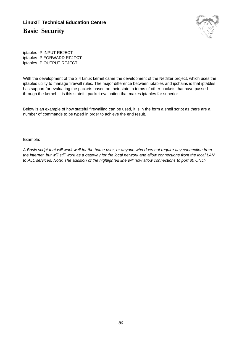

iptables -P INPUT REJECT iptables -P FORWARD REJECT iptables -P OUTPUT REJECT

With the development of the 2.4 Linux kernel came the development of the Netfilter project, which uses the iptables utility to manage firewall rules. The major difference between iptables and ipchains is that iptables has support for evaluating the packets based on their state in terms of other packets that have passed through the kernel. It is this stateful packet evaluation that makes iptables far superior.

\_\_\_\_\_\_\_\_\_\_\_\_\_\_\_\_\_\_\_\_\_\_\_\_\_\_\_\_\_\_\_\_\_\_\_\_\_\_\_\_\_\_\_\_\_\_\_\_\_\_\_\_\_\_\_\_\_\_\_\_\_\_\_\_\_\_\_\_\_

Below is an example of how stateful firewalling can be used, it is in the form a shell script as there are a number of commands to be typed in order to achieve the end result.

#### Example:

A Basic script that will work well for the home user, or anyone who does not require any connection from the internet, but will still work as a gateway for the local network and allow connections from the local LAN to ALL services. Note: The addition of the highlighted line will now allow connections to port 80 ONLY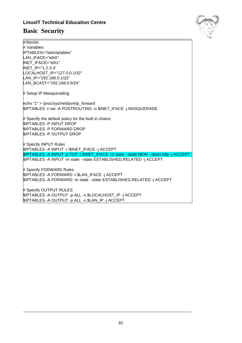# **LinuxIT Technical Education Centre Basic Security**



#!/bin/sh # Variables IPTABLES="/sbin/iptables" LAN\_IFACE="eth0" INET\_IFACE="eth1" INET\_IP="1.2.3.4" LOCALHOST\_IP="127.0.0.1/32" LAN\_IP="192.168.0.1/32" LAN\_BCAST="192.168.0.0/24"

# Setup IP Masquerading

echo "1" > /proc/sys/net/ipv4/ip\_forward \$IPTABLES -t nat -A POSTROUTING -o \$INET\_IFACE -j MASQUERADE

# Specify the default policy for the built in chains \$IPTABLES -P INPUT DROP \$IPTABLES -P FORWARD DROP \$IPTABLES -P OUTPUT DROP

# Specify INPUT Rules \$IPTABLES -A INPUT -i !\$INET\_IFACE -j ACCEPT \$IPTABLES -A INPUT -p TCP -i \$INET\_IFACE -m state --state NEW --dport http -j ACCEPT \$IPTABLES -A INPUT -m state --state ESTABLISHED,RELATED -j ACCEPT

\_\_\_\_\_\_\_\_\_\_\_\_\_\_\_\_\_\_\_\_\_\_\_\_\_\_\_\_\_\_\_\_\_\_\_\_\_\_\_\_\_\_\_\_\_\_\_\_\_\_\_\_\_\_\_\_\_\_\_\_\_\_\_\_\_\_\_\_\_

# Specify FORWARD Rules \$IPTABLES -A FORWARD -i \$LAN\_IFACE -j ACCEPT \$IPTABLES -A FORWARD -m state --state ESTABLISHED,RELATED -j ACCEPT

# Specify OUTPUT RULES \$IPTABLES -A OUTPUT -p ALL -s \$LOCALHOST\_IP -j ACCEPT \$IPTABLES -A OUTPUT -p ALL -s \$LAN\_IP -j ACCEPT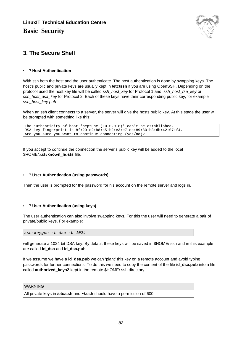

# **3. The Secure Shell**

### • ? **Host Authentication**

With ssh both the host and the user authenticate. The host authentication is done by swapping keys. The host's public and private keys are usually kept in **/etc/ssh** if you are using OpenSSH. Depending on the protocol used the host key file will be called ssh\_host\_key for Protocol 1 and ssh\_host\_rsa\_key or ssh, host, dsa, key for Protocol 2. Each of these keys have their corresponding public key, for example ssh\_host\_key.pub.

\_\_\_\_\_\_\_\_\_\_\_\_\_\_\_\_\_\_\_\_\_\_\_\_\_\_\_\_\_\_\_\_\_\_\_\_\_\_\_\_\_\_\_\_\_\_\_\_\_\_\_\_\_\_\_\_\_\_\_\_\_\_\_\_\_\_\_\_\_

When an ssh client connects to a server, the server will give the hosts public key. At this stage the user will be prompted with something like this:

```
The authenticity of host 'neptune (10.0.0.\overline{8})' can't be established.
RSA key fingerprint is 8f:29:c2:b8:b5:b2:e3:e7:ec:89:80:b3:db:42:07:f4.
Are you sure you want to continue connecting (yes/no)?
```
If you accept to continue the connection the server's public key will be added to the local \$HOME/.ssh/**known\_hosts** file.

### • ? **User Authentication (using passwords)**

Then the user is prompted for the password for his account on the remote server and logs in.

### • ? **User Authentication (using keys)**

The user authentication can also involve swapping keys. For this the user will need to generate a pair of private/public keys. For example:

ssh-keygen -t dsa -b 1024

will generate a 1024 bit DSA key. By default these keys will be saved in \$HOME/.ssh and in this example are called **id\_dsa** and **id\_dsa.pub**.

If we assume we have a **id\_dsa.pub** we can 'plant' this key on a remote account and avoid typing passwords for further connections. To do this we need to copy the content of the file **id\_dsa.pub** into a file called **authorized\_keys2** kept in the remote \$HOME/.ssh directory.

#### WARNING

All private keys in **/etc/ssh** and **~/.ssh** should have a permission of 600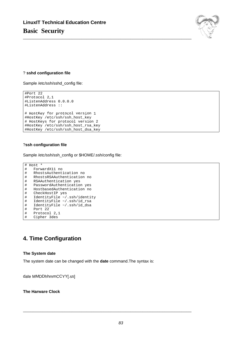\_\_\_\_\_\_\_\_\_\_\_\_\_\_\_\_\_\_\_\_\_\_\_\_\_\_\_\_\_\_\_\_\_\_\_\_\_\_\_\_\_\_\_\_\_\_\_\_\_\_\_\_\_\_\_\_\_\_\_\_\_\_\_\_\_\_\_\_\_



### ? **sshd configuration file**

Sample /etc/ssh/sshd\_config file:

```
#Port 22
#Protocol 2,1
#ListenAddress 0.0.0.0
#ListenAddress ::
# HostKey for protocol version 1
#HostKey /etc/ssh/ssh_host_key
# HostKeys for protocol version 2
#HostKey /etc/ssh/ssh_host_rsa_key
#HostKey /etc/ssh/ssh_host_dsa_key
```
### ?**ssh configuration file**

Sample /etc/ssh/ssh\_config or \$HOME/.ssh/config file:

```
# Host *
# ForwardX11 no
   RhostsAuthentication no
# RhostsRSAAuthentication no
# RSAAuthentication yes
# PasswordAuthentication yes
# HostbasedAuthentication no
# CheckHostIP yes
# IdentityFile ~/.ssh/identity
   IdentityFile ~/.ssh/id_rsa
# IdentityFile ~/.ssh/id_dsa
# Port 22
# Protocol 2,1
# Cipher 3des
```
# **4. Time Configuration**

### **The System date**

The system date can be changed with the **date** command.The syntax is:

date MMDDhhmmCCYY[.ss]

**The Harware Clock**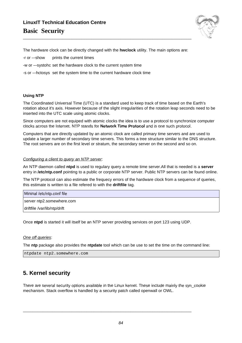

The hardware clock can be directly changed with the **hwclock** utility. The main options are:

\_\_\_\_\_\_\_\_\_\_\_\_\_\_\_\_\_\_\_\_\_\_\_\_\_\_\_\_\_\_\_\_\_\_\_\_\_\_\_\_\_\_\_\_\_\_\_\_\_\_\_\_\_\_\_\_\_\_\_\_\_\_\_\_\_\_\_\_\_

- -r or –-show prints the current times
- -w or –-systohc set the hardware clock to the current system time
- -s or –-hctosys set the system time to the current hardware clock time

### **Using NTP**

The Coordinated Universal Time (UTC) is a standard used to keep track of time based on the Earth's rotation about it's axis. However because of the slight irregularities of the rotation leap seconds need to be inserted into the UTC scale using atomic clocks.

Since computers are not equiped with atomic clocks the idea is to use a protocol to synchronize computer clocks across the Internet. NTP stands for **Network Time Protocol** and is one such protocol.

Computers that are directly updated by an atomic clock are called primary time servers and are used to update a larger number of secondary time servers. This forms a tree structure similar to the DNS structure. The root servers are on the first level or stratum, the secondary server on the second and so on.

#### Configuring a client to query an NTP server:

An NTP daemon called **ntpd** is used to regulary query a remote time server.All that is needed is a **server** entry in **/etc/ntp.conf** pointing to a public or corporate NTP server. Public NTP servers can be found online.

The NTP protocol can also estimate the frequecy errors of the hardware clock from a sequence of queries, this estimate is written to a file refered to with the **driftfile** tag.

| Mininal /etc/ntp.conf file   |  |
|------------------------------|--|
| server ntp2.somewhere.com    |  |
| driftfile /var/lib/ntp/drift |  |

Once **ntpd** is started it will itself be an NTP server providing services on port 123 using UDP.

#### One off queries:

The **ntp** package also provides the **ntpdate** tool which can be use to set the time on the command line:

ntpdate ntp2.somewhere.com

# **5. Kernel security**

There are several security options available in the Linux kernel. These include mainly the syn\_cookie mechanism. Stack overflow is handled by a security patch called openwall or OWL.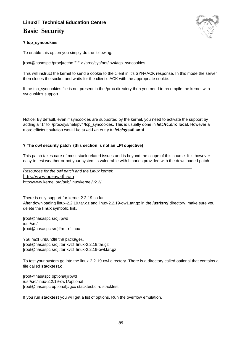

### **? tcp\_syncookies**

To enable this option you simply do the following:

[root@nasaspc /proc]#echo "1" > /proc/sys/net/ipv4/tcp\_syncookies

This will instruct the kernel to send a cookie to the client in it's SYN+ACK response. In this mode the server then closes the socket and waits for the client's ACK with the appropriate cookie.

If the tcp syncookies file is not present in the /proc directory then you need to recompile the kernel with syncookies support.

\_\_\_\_\_\_\_\_\_\_\_\_\_\_\_\_\_\_\_\_\_\_\_\_\_\_\_\_\_\_\_\_\_\_\_\_\_\_\_\_\_\_\_\_\_\_\_\_\_\_\_\_\_\_\_\_\_\_\_\_\_\_\_\_\_\_\_\_\_

Notice: By default, even if syncookies are supported by the kernel, you need to activate the support by adding a "1" to /proc/sys/net/ipv4/tcp\_syncookies. This is usually done in **/etc/rc.d/rc.local**. However a more efficient solution would be to add an entry to **/etc/sysctl.conf**

### **? The owl security patch (this section is not an LPI objective)**

This patch takes care of most stack related issues and is beyond the scope of this course. It is however easy to test weather or not your system is vulnerable with binaries provided with the downloaded patch.

Resources for the owl patch and the Linux kernel: http://www.openwall.com http://www.kernel.org/pub/linux/kernel/v2.2/

There is only support for kernel 2.2-19 so far. After downloading linux-2.2.19.tar.gz and linux-2.2.19-ow1.tar.gz in the **/usr/src/** directory, make sure you delete the **linux** symbolic link.

[root@nasaspc src]#pwd /usr/src/ [root@nasaspc src]#rm -rf linux

You next unbundle the packages. [root@nasaspc src]#tar xvzf linux-2.2.19.tar.gz [root@nasaspc src]#tar xvzf linux-2.2.19-owl.tar.gz

To test your system go into the linux-2.2-19-owl directory. There is a directory called optional that contains a file called **stacktest.c**.

[root@nasaspc optional]#pwd /usr/src/linux-2.2.19-ow1/optional [root@nasaspc optional]#gcc stacktest.c -o stacktest

If you run **stacktest** you will get a list of options. Run the overflow emulation.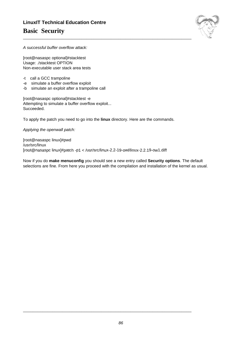

A successful buffer overflow attack:

[root@nasaspc optional]#stacktest Usage: ./stacktest OPTION Non-executable user stack area tests

- -t call a GCC trampoline
- -e simulate a buffer overflow exploit
- -b simulate an exploit after a trampoline call

[root@nasaspc optional]#stacktest -e Attempting to simulate a buffer overflow exploit... Succeeded.

To apply the patch you need to go into the **linux** directory. Here are the commands.

\_\_\_\_\_\_\_\_\_\_\_\_\_\_\_\_\_\_\_\_\_\_\_\_\_\_\_\_\_\_\_\_\_\_\_\_\_\_\_\_\_\_\_\_\_\_\_\_\_\_\_\_\_\_\_\_\_\_\_\_\_\_\_\_\_\_\_\_\_

Applying the openwall patch:

[root@nasaspc linux]#pwd /usr/src/linux [root@nasaspc linux]#patch -p1 < /usr/src/linux-2.2-19-owl/linux-2.2.19-ow1.diff

Now if you do **make menuconfig** you should see a new entry called **Security options**. The default selections are fine. From here you proceed with the compilation and installation of the kernel as usual.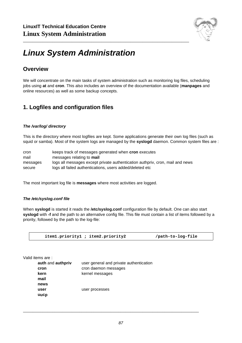

# **Linux System Administration**

## **Overview**

We will concentrate on the main tasks of system administration such as monitoring log files, scheduling jobs using **at** and **cron**. This also includes an overview of the documentation available (**manpages** and online resources) as well as some backup concepts.

\_\_\_\_\_\_\_\_\_\_\_\_\_\_\_\_\_\_\_\_\_\_\_\_\_\_\_\_\_\_\_\_\_\_\_\_\_\_\_\_\_\_\_\_\_\_\_\_\_\_\_\_\_\_\_\_\_\_\_\_\_\_\_\_\_\_\_\_

# **1. Logfiles and configuration files**

### **The /var/log/ directory**

This is the directory where most logfiles are kept. Some applications generate their own log files (such as squid or samba). Most of the system logs are managed by the **syslogd** daemon. Common system files are :

| cron     | keeps track of messages generated when <b>cron</b> executes                   |
|----------|-------------------------------------------------------------------------------|
| mail     | messages relating to mail                                                     |
| messages | logs all messages except private authentication authpriv, cron, mail and news |
| secure   | logs all failed authentications, users added/deleted etc                      |

The most important log file is **messages** where most activities are logged.

### **The /etc/syslog.conf file**

When **syslogd** is started it reads the **/etc/syslog.conf** configuration file by default. One can also start **syslogd** with **-f** and the path to an alternative config file. This file must contain a list of items followed by a priority, followed by the path to the log-file:

| item1.priority1 ; item2.priority2 | /path-to-log-file |
|-----------------------------------|-------------------|
|                                   |                   |

Valid items are :

| auth and authpriv | user general and private authentication |
|-------------------|-----------------------------------------|
| cron              | cron daemon messages                    |
| kern              | kernel messages                         |
| mail              |                                         |
| news              |                                         |
| user              | user processes                          |
| uucp              |                                         |
|                   |                                         |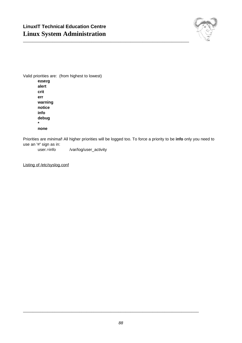

Valid priorities are: (from highest to lowest) **emerg alert crit err warning notice info debug \* none**

Priorities are minimal! All higher priorities will be logged too. To force a priority to be **info** only you need to use an '**='** sign as in:

\_\_\_\_\_\_\_\_\_\_\_\_\_\_\_\_\_\_\_\_\_\_\_\_\_\_\_\_\_\_\_\_\_\_\_\_\_\_\_\_\_\_\_\_\_\_\_\_\_\_\_\_\_\_\_\_\_\_\_\_\_\_\_\_\_\_\_\_

/var/log/user\_activity

Listing of /etc/syslog.conf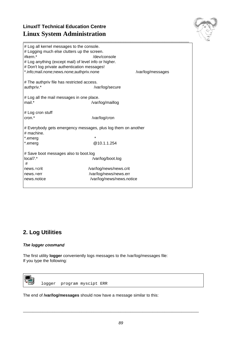# **LinuxIT Technical Education Centre Linux System Administration**



| # Log all kernel messages to the console.                     |                           |                   |
|---------------------------------------------------------------|---------------------------|-------------------|
| # Logging much else clutters up the screen.                   |                           |                   |
| #kern.*                                                       | /dev/console              |                   |
| # Log anything (except mail) of level info or higher.         |                           |                   |
| # Don't log private authentication messages!                  |                           |                   |
| *.info;mail.none;news.none;authpriv.none                      |                           | /var/log/messages |
| # The authpriv file has restricted access.                    |                           |                   |
| authpriv.*                                                    | /var/log/secure           |                   |
|                                                               |                           |                   |
| # Log all the mail messages in one place.                     |                           |                   |
| mail.*                                                        | /var/log/maillog          |                   |
|                                                               |                           |                   |
| # Log cron stuff                                              |                           |                   |
| cron.*                                                        | /var/log/cron             |                   |
|                                                               |                           |                   |
| # Everybody gets emergency messages, plus log them on another |                           |                   |
| $#$ machine.                                                  | $\star$                   |                   |
| *.emerg                                                       |                           |                   |
| *.emerg                                                       | @10.1.1.254               |                   |
| # Save boot messages also to boot.log                         |                           |                   |
| $local7.*$                                                    | /var/log/boot.log         |                   |
| #                                                             |                           |                   |
| news.=crit                                                    | /var/log/news/news.crit   |                   |
| $news = err$                                                  | /var/log/news/news.err    |                   |
| news.notice                                                   | /var/log/news/news.notice |                   |
|                                                               |                           |                   |

# **2. Log Utilities**

### **The logger command**

The first utility **logger** conveniently logs messages to the /var/log/messages file: If you type the following:



logger program myscipt ERR

The end of **/var/log/messages** should now have a message similar to this: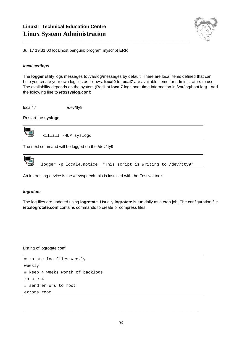

Jul 17 19:31:00 localhost penguin: program myscript ERR

#### **local settings**

The **logger** utility logs messages to /var/log/messages by default. There are local items defined that can help you create your own logfiles as follows. **local0** to **local7** are available items for administrators to use. The availability depends on the system (RedHat **local7** logs boot-time information in /var/log/boot.log). Add the following line to **/etc/syslog.conf**:

\_\_\_\_\_\_\_\_\_\_\_\_\_\_\_\_\_\_\_\_\_\_\_\_\_\_\_\_\_\_\_\_\_\_\_\_\_\_\_\_\_\_\_\_\_\_\_\_\_\_\_\_\_\_\_\_\_\_\_\_\_\_\_\_\_\_\_\_

local4.\* /dev/tty9

### Restart the **syslogd**

killall -HUP syslogd

The next command will be logged on the /dev/tty9

 $\blacksquare$  , logger -p local4.notice "This script is writing to /dev/tty9"

An interesting device is the /dev/speech this is installed with the Festival tools.

#### **logrotate**

The log files are updated using **logrotate**. Usually **logrotate** is run daily as a cron job. The configuration file **/etc/logrotate.conf** contains commands to create or compress files.

Listing of logrotate.conf

```
# rotate log files weekly
weekly
# keep 4 weeks worth of backlogs
rotate 4
# send errors to root
errors root
```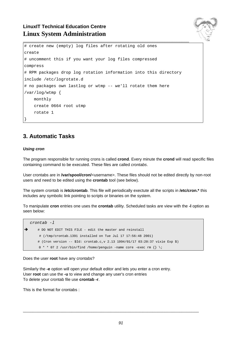# **LinuxIT Technical Education Centre Linux System Administration**



# create new (empty) log files after rotating old ones create # uncomment this if you want your log files compressed compress # RPM packages drop log rotation information into this directory include /etc/logrotate.d # no packages own lastlog or wtmp -- we'll rotate them here /var/log/wtmp { monthly create 0664 root utmp rotate 1 }

\_\_\_\_\_\_\_\_\_\_\_\_\_\_\_\_\_\_\_\_\_\_\_\_\_\_\_\_\_\_\_\_\_\_\_\_\_\_\_\_\_\_\_\_\_\_\_\_\_\_\_\_\_\_\_\_\_\_\_\_\_\_\_\_\_\_\_\_

# **3. Automatic Tasks**

### **Using cron**

The program responsible for running crons is called **crond**. Every minute the **crond** will read specific files containing command to be executed. These files are called crontabs.

User crontabs are in **/var/spool/cron/**<username>. These files should not be edited directly by non-root users and need to be edited using the **crontab** tool (see below).

The system crontab is **/etc/crontab**. This file will periodically exectute all the scripts in **/etc/cron.\*** this includes any symbolic link pointing to scripts or binaries on the system.

To manipulate **cron** entries one uses the **crontab** utility. Scheduled tasks are view with the **-l** option as seen below:

```
crontab -l
➔ # DO NOT EDIT THIS FILE - edit the master and reinstall
       # (/tmp/crontab.1391 installed on Tue Jul 17 17:56:48 2001)
      # (Cron version -- $Id: crontab.c,v 2.13 1994/01/17 03:20:37 vixie Exp $)
       0 * * 07 2 /usr/bin/find /home/penguin-name core -exec rm \{\}\ \\
```
Does the user **root** have any crontabs?

Similarly the **-e** option will open your default editor and lets you enter a cron entry. User **root** can use the **-u** to view and change any user's cron entries To delete your crontab file use **crontab -r**.

This is the format for crontabs :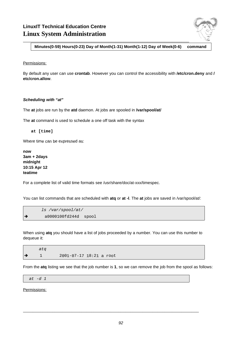

**Minutes(0-59) Hours(0-23) Day of Month(1-31) Month(1-12) Day of Week(0-6) command**

\_\_\_\_\_\_\_\_\_\_\_\_\_\_\_\_\_\_\_\_\_\_\_\_\_\_\_\_\_\_\_\_\_\_\_\_\_\_\_\_\_\_\_\_\_\_\_\_\_\_\_\_\_\_\_\_\_\_\_\_\_\_\_\_\_\_\_\_

Permissions:

By default any user can use **crontab**. However you can control the accessibility with **/etc/cron.deny** and **/ etc/cron.allow**.

#### **Scheduling with "at"**

The **at** jobs are run by the **atd** daemon. At jobs are spooled in **/var/spool/at/**

The **at** command is used to schedule a one off task with the syntax

**at [time]**

Where time can be expressed as:

**now 3am + 2days midnight 10:15 Apr 12 teatime**

For a complete list of valid time formats see /usr/share/doc/at-xxx/timespec.

You can list commands that are scheduled with **atq** or **at -l**. The **at** jobs are saved in /var/spool/at/:

```
ls /var/spool/at/
\rightarrow a0000100fd244d spool
```
When using **atq** you should have a list of jobs proceeded by a number. You can use this number to dequeue it:

|               | ata |                         |
|---------------|-----|-------------------------|
| $\rightarrow$ |     | 2001-07-17 18:21 a root |

From the **atq** listing we see that the job number is **1**, so we can remove the job from the spool as follows:

at  $-d$  1

Permissions: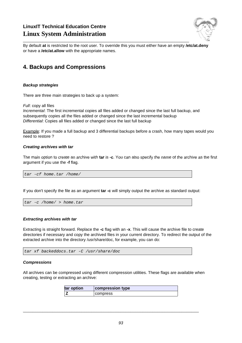# **LinuxIT Technical Education Centre Linux System Administration**



\_\_\_\_\_\_\_\_\_\_\_\_\_\_\_\_\_\_\_\_\_\_\_\_\_\_\_\_\_\_\_\_\_\_\_\_\_\_\_\_\_\_\_\_\_\_\_\_\_\_\_\_\_\_\_\_\_\_\_\_\_\_\_\_\_\_\_\_ By default **at** is restricted to the root user. To override this you must either have an empty **/etc/at.deny** or have a **/etc/at.allow** with the appropriate names.

# **4. Backups and Compressions**

### **Backup strategies**

There are three main strategies to back up a system:

#### Full: copy all files

Incremental: The first incremental copies all files added or changed since the last full backup, and subsequently copies all the files added or changed since the last incremental backup Differential: Copies all files added or changed since the last full backup

Example: If you made a full backup and 3 differential backups before a crash, how many tapes would you need to restore ?

#### **Creating archives with tar**

The main option to create an archive with **tar** is **-c**. You can also specify the name of the archive as the first argument if you use the **-f** flag.

tar -cf home.tar /home/

If you don't specify the file as an argument **tar -c** will simply output the archive as standard output:

 $tar -c$  /home/ > home.tar

### **Extracting archives with tar**

Extracting is straight forward. Replace the **-c** flag with an **-x**. This will cause the archive file to create directories if necessary and copy the archived files in your current directory. To redirect the output of the extracted archive into the directory /usr/share/doc, for example, you can do:

tar xf backeddocs.tar -C /usr/share/doc

#### **Compressions**

All archives can be compressed using different compression utilities. These flags are available when creating, testing or extracting an archive:

| tar option | <b>Compression type</b> |
|------------|-------------------------|
|            | compress                |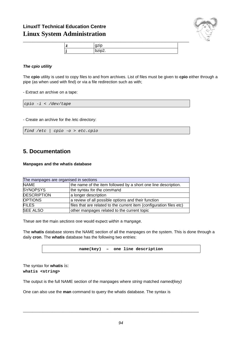

|  | .             |  |
|--|---------------|--|
|  | <b>VLIVL.</b> |  |

### **The cpio utility**

The **cpio** utility is used to copy files to and from archives. List of files must be given to **cpio** either through a pipe (as when used with find) or via a file redirection such as with;

- Extract an archive on a tape:

cpio -i < /dev/tape

- Create an archive for the /etc directory:

find /etc | cpio -o > etc.cpio

## **5. Documentation**

#### **Manpages and the whatis database**

| The manpages are organised in sections |                                                                      |  |
|----------------------------------------|----------------------------------------------------------------------|--|
| <b>NAME</b>                            | the name of the item followed by a short one line description.       |  |
| <b>SYNOPSYS</b>                        | the syntax for the command                                           |  |
| <b>DESCRIPTION</b>                     | a longer description                                                 |  |
| <b>OPTIONS</b>                         | a review of all possible options and their function                  |  |
| <b>FILES</b>                           | files that are related to the current item (configuration files etc) |  |
| <b>SEE ALSO</b>                        | other manpages related to the current topic                          |  |

These are the main sections one would expect within a manpage.

The **whatis** database stores the NAME section of all the manpages on the system. This is done through a daily **cron**. The **whatis** database has the following two entries:

**name(key) – one line description**

The syntax for **whatis** is: **whatis <string>**

The output is the full NAME section of the manpages where string matched named(key)

One can also use the **man** command to query the whatis database. The syntax is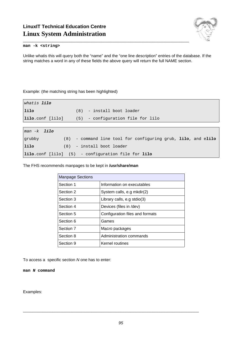



Unlike whatis this will query both the "name" and the "one line description" entries of the database. If the string matches a word in any of these fields the above query will return the full NAME section.

\_\_\_\_\_\_\_\_\_\_\_\_\_\_\_\_\_\_\_\_\_\_\_\_\_\_\_\_\_\_\_\_\_\_\_\_\_\_\_\_\_\_\_\_\_\_\_\_\_\_\_\_\_\_\_\_\_\_\_\_\_\_\_\_\_\_\_\_

### Example: (the matching string has been highlighted)

| whatis lilo            |                                                                   |
|------------------------|-------------------------------------------------------------------|
| lilo                   | (8) - install boot loader                                         |
|                        | <b>lilo</b> .conf [lilo] (5) - configuration file for lilo        |
|                        |                                                                   |
| $\mathsf{man}$ -k lilo |                                                                   |
| grubby                 | $(8)$ - command line tool for configuring grub, lilo, and elilo   |
| lilo                   | (8) - install boot loader                                         |
|                        | <b>lilo</b> .conf [lilo] (5) - configuration file for <b>lilo</b> |

The FHS recommends manpages to be kept in **/usr/share/man**

| <b>Manpage Sections</b> |                                 |
|-------------------------|---------------------------------|
| Section 1               | Information on executables      |
| Section 2               | System calls, e.g mkdir(2)      |
| Section 3               | Library calls, $e.g.$ stdio(3)  |
| Section 4               | Devices (files in /dev)         |
| Section 5               | Configuration files and formats |
| Section 6               | Games                           |
| Section 7               | Macro packages                  |
| Section 8               | Administration commands         |
| Section 9               | Kernel routines                 |

To access a specific section N one has to enter:

**man N command**

Examples: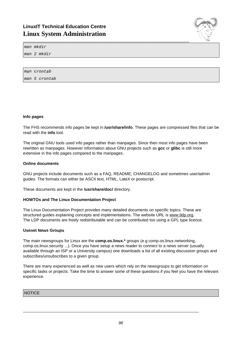# **LinuxIT Technical Education Centre Linux System Administration**



man mkdir

man 2 mkdir

| man crontab   |
|---------------|
| man 5 crontab |

\_\_\_\_\_\_\_\_\_\_\_\_\_\_\_\_\_\_\_\_\_\_\_\_\_\_\_\_\_\_\_\_\_\_\_\_\_\_\_\_\_\_\_\_\_\_\_\_\_\_\_\_\_\_\_\_\_\_\_\_\_\_\_\_\_\_\_\_

### **Info pages**

The FHS recommends info pages be kept in **/usr/share/info**. These pages are compressed files that can be read with the **info** tool.

The original GNU tools used info pages rather than manpages. Since then most info pages have been rewritten as manpages. However information about GNU projects such as **gcc** or **glibc** is still more extensive in the info pages compared to the manpages.

#### **Online documents**

GNU projects include documents such as a FAQ, README, CHANGELOG and sometimes user/admin guides. The formats can either be ASCII text, HTML, LateX or postscript.

These documents are kept in the **/usr/share/doc/** directory.

### **HOWTOs and The Linux Documentation Project**

The Linux Documentation Project provides many detailed documents on specific topics. These are structured guides explaining concepts and implementations. The website URL is www.tldp.org. The LDP documents are freely redistributable and can be contributed too using a GPL type licence.

#### **Usenet News Groups**

The main newsgroups for Linux are the **comp.os.linux.\*** groups (e.g comp.os.linux.networking, comp.os.linux.security ...). Once you have setup a news reader to connect to a news server (usually available through an ISP or a University campus) one downloads a list of all existing discussion groups and subscribes/unsubscribes to a given group.

There are many experienced as well as new users which rely on the newsgroups to get information on specific tasks or projects. Take the time to answer some of these questions if you feel you have the relevant experience.

### **NOTICE**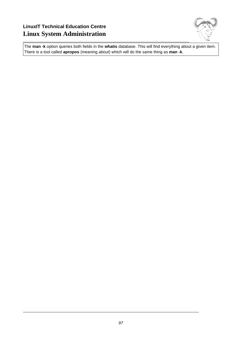

The **man -k** option queries both fields in the **whatis** database. This will find everything about a given item. There is a tool called **apropos** (meaning about) which will do the same thing as **man -k**.

\_\_\_\_\_\_\_\_\_\_\_\_\_\_\_\_\_\_\_\_\_\_\_\_\_\_\_\_\_\_\_\_\_\_\_\_\_\_\_\_\_\_\_\_\_\_\_\_\_\_\_\_\_\_\_\_\_\_\_\_\_\_\_\_\_\_\_\_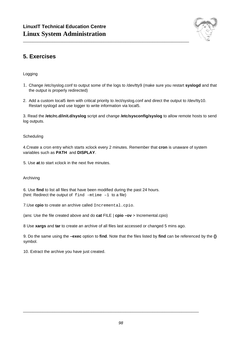

# **5. Exercises**

Logging

- 1. Change /etc/syslog.conf to output some of the logs to /dev/tty9 (make sure you restart **syslogd** and that the output is properly redirected)
- 2. Add a custom local5 item with critical priority to /ect/syslog.conf and direct the output to /dev/tty10. Restart syslogd and use logger to write information via local5.

\_\_\_\_\_\_\_\_\_\_\_\_\_\_\_\_\_\_\_\_\_\_\_\_\_\_\_\_\_\_\_\_\_\_\_\_\_\_\_\_\_\_\_\_\_\_\_\_\_\_\_\_\_\_\_\_\_\_\_\_\_\_\_\_\_\_\_\_

3. Read the **/etc/rc.d/init.d/syslog** script and change **/etc/sysconfig/syslog** to allow remote hosts to send log outputs.

### **Scheduling**

4.Create a cron entry which starts xclock every 2 minutes. Remember that **cron** is unaware of system variables such as **PATH** and **DISPLAY**.

5. Use **at**.to start xclock in the next five minutes.

Archiving

6. Use **find** to list all files that have been modified during the past 24 hours. (hint: Redirect the output of  $find$  -mtime  $-1$  to a file)

7.Use **cpio** to create an archive called Incremental.cpio.

(ans: Use the file created above and do **cat** FILE | **cpio –ov** > Incremental.cpio)

8 Use **xargs** and **tar** to create an archive of all files last accessed or changed 5 mins ago.

9. Do the same using the **–exec** option to **find**. Note that the files listed by **find** can be referenced by the **{}** symbol.

10. Extract the archive you have just created.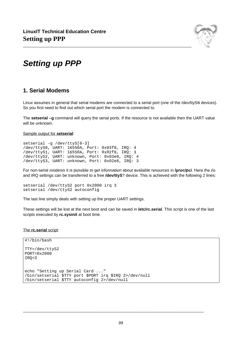

# **Setting up PPP**

## **1. Serial Modems**

Linux assumes in general that serial modems are connected to a serial port (one of the /dev/ttySN devices). So you first need to find out which serial port the modem is connected to.

\_\_\_\_\_\_\_\_\_\_\_\_\_\_\_\_\_\_\_\_\_\_\_\_\_\_\_\_\_\_\_\_\_\_\_\_\_\_\_\_\_\_\_\_\_\_\_\_\_\_\_\_\_\_\_\_\_\_\_\_\_\_\_\_\_\_\_\_\_

The **setserial –g** command will query the serial ports. If the resource is not available then the UART value will be unknown.

#### Sample output for **setserial**:

```
setserial -g /dev/ttyS[0-3]
/dev/ttyS0, UART: 16550A, Port: 0x03f8, IRQ: 4
/dev/ttyS1, UART: 16550A, Port: 0x02f8, IRQ: 3
/dev/ttyS2, UART: unknown, Port: 0x03e8, IRQ: 4
/dev/ttyS3, UART: unknown, Port: 0x02e8, IRQ: 3
```
For non-serial modems it is possible to get information about available resources in **/proc/pci**. Here the i/o and IRQ settings can be transferred to a free **/dev/ttyS**? device. This is achieved with the following 2 lines:

```
setserial /dev/ttyS2 port 0x2000 irq 3
setserial /dev/ttyS2 autoconfig
```
The last line simply deals with setting up the proper UART settings.

These settings will be lost at the next boot and can be saved in **/etc/rc.serial**. This script is one of the last scripts executed by **rc.sysinit** at boot time.

The **rc.serial** script:

```
#!/bin/bash
TTY=/dev/ttyS2
PORT=0x2000
IRQ=3
echo "Setting up Serial Card ..."
/bin/setserial $TTY port $PORT irq $IRQ 2>/dev/null
/bin/setserial $TTY autoconfig 2>/dev/null
```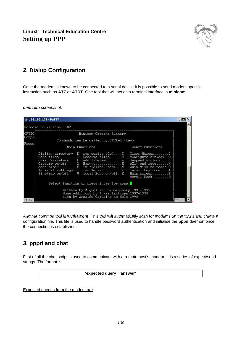

# **2. Dialup Configuration**

Once the modem is known to be connected to a serial device it is possible to send modem specific instruction such as **ATZ** or **ATDT**. One tool that will act as a terminal interface is **minicom**.

\_\_\_\_\_\_\_\_\_\_\_\_\_\_\_\_\_\_\_\_\_\_\_\_\_\_\_\_\_\_\_\_\_\_\_\_\_\_\_\_\_\_\_\_\_\_\_\_\_\_\_\_\_\_\_\_\_\_\_\_\_\_\_\_\_\_\_\_\_

**minicom** screenshot:

|                | $\pm 192.168.1.71 - PuTTY$                                                                                                                                                                                                                                          |                                                                                                                                    |                                                                      |    |
|----------------|---------------------------------------------------------------------------------------------------------------------------------------------------------------------------------------------------------------------------------------------------------------------|------------------------------------------------------------------------------------------------------------------------------------|----------------------------------------------------------------------|----|
|                | Welcome to minicom 1.82                                                                                                                                                                                                                                             |                                                                                                                                    |                                                                      |    |
| OPTIO<br>Compi |                                                                                                                                                                                                                                                                     | Minicom Command Summary<br>Commands can be called by CTRL-A <key></key>                                                            |                                                                      |    |
| Press          | Main Functions                                                                                                                                                                                                                                                      |                                                                                                                                    | Other Functions                                                      |    |
|                | Send files S Receive filesR   cOnfigure MinicomO<br>comm ParametersP Add linefeedA   Suspend minicomJ<br>Capture on/offL HanqupH   eXit and resetX<br>send break F initialize Modem M   Quit with no reset Q<br>Terminal settingsT run Kermit K   Cursor key mode I |                                                                                                                                    | lineWrap on/offW local Echo on/off. E   Help screen<br>scroll Back B |    |
|                |                                                                                                                                                                                                                                                                     | Select function or press Enter for none.                                                                                           |                                                                      |    |
| <b>CTRT</b>    |                                                                                                                                                                                                                                                                     | Written by Miquel van Smoorenburg 1991-1995<br>Some additions by Jukka Lahtinen 1997-1998<br>i18n by Arnaldo Carvalho de Melo 1998 |                                                                      | ne |

Another common tool is **wvdialconf**. This tool will automatically scan for modems on the ttyS's and create a configuration file. This file is used to handle password authentication and initialise the **pppd** daemon once the connection is established.

# **3. pppd and chat**

First of all the chat script is used to communicate with a remote host's modem. It is a series of expect/send strings. The format is:

**'expected query' 'answer'**

Expected queries from the modem are: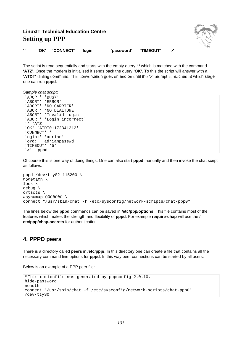

| . . | 'OK' | <b>'CONNECT'</b> | 'loqin' | 'password' | <b>'TIMEOUT'</b> |  |
|-----|------|------------------|---------|------------|------------------|--|

The script is read sequentially and starts with the empty query **' '** which is matched with the command **'ATZ'**. Once the modem is initialised it sends back the query **'OK'**. To this the script will answer with a **'ATDT'** dialing command. This conversation goes on and on until the **'>'** prompt is reached at which stage one can run **pppd**.

Sample chat script:

'ABORT' 'BUSY' 'ABORT' 'ERROR' 'ABORT' 'NO CARRIER' 'ABORT' 'NO DIALTONE' 'ABORT' 'Invalid Login' 'ABORT' 'Login incorrect' '' 'ATZ' 'OK' 'ATDT01172341212' 'CONNECT' '' 'ogin:' 'adrian' 'ord:' 'adrianpasswd' 'TIMEOUT' '5' '>' pppd

Of course this is one way of doing things. One can also start **pppd** manually and then invoke the chat script as follows:

```
pppd /dev/ttyS2 115200 \
nodetach \
lock \setminusdebug \
crtscts \
asyncmap 0000000 \
connect "/usr/sbin/chat -f /etc/sysconfig/network-scripts/chat-ppp0"
```
The lines below the **pppd** commands can be saved in **/etc/ppp/options**. This file contains most of the features which makes the strength and flexibility of **pppd**. For example **require-chap** will use the **/ etc/ppp/chap-secrets** for authentication.

# **4. PPPD peers**

There is a directory called **peers** in **/etc/ppp/**. In this directory one can create a file that contains all the necessary command line options for **pppd**. In this way peer connections can be started by all users.

Below is an example of a PPP peer file:

```
# This optionfile was generated by pppconfig 2.0.10.
hide-password
noauth
connect "/usr/sbin/chat -f /etc/sysconfig/network-scripts/chat-ppp0"
/dev/ttyS0
```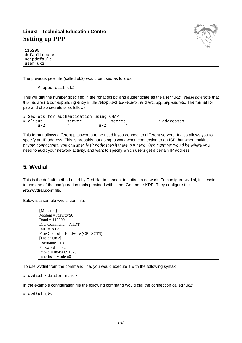# **LinuxIT Technical Education Centre Setting up PPP**



115200 defaultroute noipdefault user uk2

The previous peer file (called uk2) would be used as follows:

# pppd call uk2

This will dial the number specified in the "chat script" and authenticate as the user "uk2". Please noteNote that this requires a corresponding entry in the /etc/ppp/chap-secrets, and /etc/ppp/pap-secrets. The format for pap and chap secrets is as follows:

# Secrets for authentication using CHAP # client server secret IP addresses uk2  $*$  "uk2"

\_\_\_\_\_\_\_\_\_\_\_\_\_\_\_\_\_\_\_\_\_\_\_\_\_\_\_\_\_\_\_\_\_\_\_\_\_\_\_\_\_\_\_\_\_\_\_\_\_\_\_\_\_\_\_\_\_\_\_\_\_\_\_\_\_\_\_\_\_

This format allows different passwords to be used if you connect to different servers. It also allows you to specify an IP address. This is probably not going to work when connecting to an ISP, but when making private connections, you can specify IP addresses if there is a need. One example would be where you need to audit your network activity, and want to specify which users get a certain IP address.

# **5. Wvdial**

This is the default method used by Red Hat to connect to a dial up network. To configure wvdial, it is easier to use one of the configuration tools provided with either Gnome or KDE. They configure the **/etc/wvdial.conf** file.

Below is a sample wvdial.conf file:

```
[Modem0]
Modern = /dev/ttyS0Baud = 115200Dial Command = ATDT
Init1 = ATZFlowControl = Hardware (CRTSCTS)
[Dialer UK2]
Username = uk2Password = uk2Phone = 08456091370Inherits = Modem0
```
To use wvdial from the command line, you would execute it with the following syntax:

# wvdial <dialer-name>

In the example configuration file the following command would dial the connection called "uk2"

*\_\_\_\_\_\_\_\_\_\_\_\_\_\_\_\_\_\_\_\_\_\_\_\_\_\_\_\_\_\_\_\_\_\_\_\_\_\_\_\_\_\_\_\_\_\_\_\_\_\_\_\_\_\_\_\_\_\_\_\_\_\_\_\_\_\_\_\_\_\_\_\_\_\_*

# wvdial uk2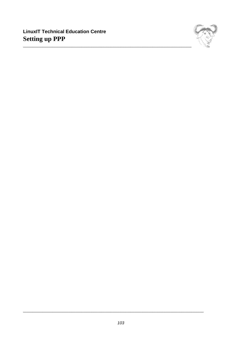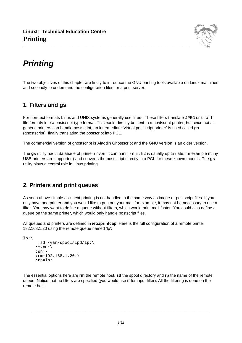

# **Printing**

The two objectives of this chapter are firstly to introduce the GNU printing tools available on Linux machines and secondly to understand the configuration files for a print server.

\_\_\_\_\_\_\_\_\_\_\_\_\_\_\_\_\_\_\_\_\_\_\_\_\_\_\_\_\_\_\_\_\_\_\_\_\_\_\_\_\_\_\_\_\_\_\_\_\_\_\_\_\_\_\_\_\_\_\_\_\_\_\_\_\_\_\_\_

# **1. Filters and gs**

For non-text formats Linux and UNIX systems generally use filters. These filters translate JPEG or troff file formats into a postscript type format. This could directly be sent to a postscript printer, but since not all generic printers can handle postscript, an intermediate 'virtual postscript printer' is used called **gs** (ghostscript), finally translating the postscript into PCL.

The commercial version of ghostscript is Aladdin Ghostscript and the GNU version is an older version.

The **gs** utility has a database of printer drivers it can handle (this list is usually up to date, for example many USB printers are supported) and converts the postscript directly into PCL for these known models. The **gs** utility plays a central role in Linux printing.

# **2. Printers and print queues**

As seen above simple ascii text printing is not handled in the same way as image or postscript files. If you only have one printer and you would like to printout your mail for example, it may not be necessary to use a filter. You may want to define a queue without filters, which would print mail faster. You could also define a queue on the same printer, which would only handle postscript files.

All queues and printers are defined in **/etc/printcap**. Here is the full configuration of a remote printer 192.168.1.20 using the remote queue named 'lp':

```
\ln::sd=/var/spool/lpd/lp:\
      :mx#0:\ \:\sh:\setminus:rm=192.168.1.20:\
      :rp=lp:
```
The essential options here are **rm** the remote host, **sd** the spool directory and **rp** the name of the remote queue. Notice that no filters are specified (you would use **if** for input filter). All the filtering is done on the remote host.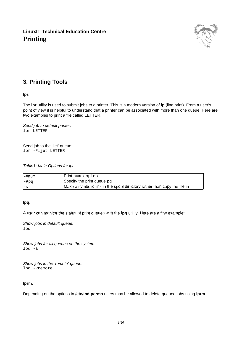

# **3. Printing Tools**

**lpr:**

The **lpr** utility is used to submit jobs to a printer. This is a modern version of **lp** (line print). From a user's point of view it is helpful to understand that a printer can be associated with more than one queue. Here are two examples to print a file called LETTER.

\_\_\_\_\_\_\_\_\_\_\_\_\_\_\_\_\_\_\_\_\_\_\_\_\_\_\_\_\_\_\_\_\_\_\_\_\_\_\_\_\_\_\_\_\_\_\_\_\_\_\_\_\_\_\_\_\_\_\_\_\_\_\_\_\_\_\_\_

Send job to default printer: lpr LETTER

Send job to the' ljet' queue: lpr -Pljet LETTER

Table1: Main Options for lpr

| -#num               | Print num copies                                                         |
|---------------------|--------------------------------------------------------------------------|
| $\blacksquare$ -Ppq | Specify the print queue pq                                               |
| l -S                | Make a symbolic link in the spool directory rather than copy the file in |

### **lpq:**

A user can monitor the status of print queues with the **lpq** utility. Here are a few examples.

Show jobs in default queue: lpq

Show jobs for all queues on the system: lpq -a

Show jobs in the 'remote' queue: lpq -Premote

### **lprm:**

Depending on the options in **/etc/lpd.perms** users may be allowed to delete queued jobs using **lprm**.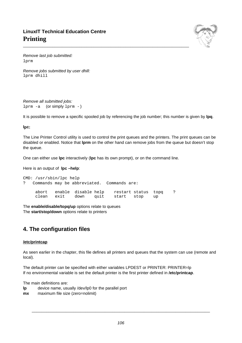

Remove last job submitted: lprm

Remove jobs submitted by user dhill: lprm dhill

Remove all submitted jobs:  $lprm -a$  (or simply  $lprm -b$ 

It is possible to remove a specific spooled job by referencing the job number; this number is given by **lpq**.

\_\_\_\_\_\_\_\_\_\_\_\_\_\_\_\_\_\_\_\_\_\_\_\_\_\_\_\_\_\_\_\_\_\_\_\_\_\_\_\_\_\_\_\_\_\_\_\_\_\_\_\_\_\_\_\_\_\_\_\_\_\_\_\_\_\_\_\_

**lpc:**

The Line Printer Control utility is used to control the print queues and the printers. The print queues can be disabled or enabled. Notice that **lprm** on the other hand can remove jobs from the queue but doesn't stop the queue.

One can either use **lpc** interactively (**lpc** has its own prompt), or on the command line.

Here is an output of **lpc –help**:

CMD: /usr/sbin/lpc help ? Commands may be abbreviated. Commands are: abort enable disable help restart status topq ? clean exit down quit start stop up

The **enable/disable/topq/up** options relate to queues The **start/stop/down** options relate to printers

# **4. The configuration files**

### **/etc/printcap**

As seen earlier in the chapter, this file defines all printers and queues that the system can use (remote and local).

The default printer can be specified with either variables LPDEST or PRINTER: PRINTER=lp If no environmental variable is set the default printer is the first printer defined in **/etc/printcap**.

The main definitions are:

**lp** device name, usually /dev/lp0 for the parallel port

**mx** maximum file size (zero=nolimit)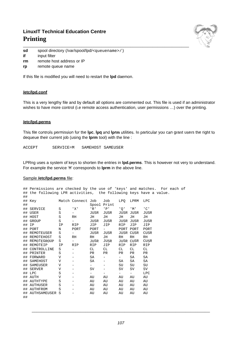# **LinuxIT Technical Education Centre Printing**



| sd | spool directory (/var/spool/lpd/ <queuename>/)</queuename> |
|----|------------------------------------------------------------|
| if | input filter                                               |
| rm | remote host address or IP                                  |
| rp | remote queue name                                          |

If this file is modified you will need to restart the **lpd** daemon.

### **/etc/lpd.conf**

This is a very lengthy file and by default all options are commented out. This file is used if an administrator wishes to have more control (i.e remote access authentication, user permissions ...) over the printing.

#### **/etc/lpd.perms**

This file controls permission for the **lpc**, **lpq** and **lprm** utilities. In particular you can grant users the right to dequeue their current job (using the **lprm** tool) with the line :

ACCEPT SERVICE=M SAMEHOST SAMEUSER

LPRng uses a system of keys to shorten the entries in **lpd.perms**. This is however not very to understand. For example the service 'M' corresponds to **lprm** in the above line.

#### Sample **/etc/lpd.perms** file:

|    | ## Permissions are checked by the use of 'keys' and matches. For each of |                |                          |            |             |            |                  |                           |  |  |
|----|--------------------------------------------------------------------------|----------------|--------------------------|------------|-------------|------------|------------------|---------------------------|--|--|
|    | ## the following LPR activities, the following keys have a value.        |                |                          |            |             |            |                  |                           |  |  |
| ## |                                                                          |                |                          |            |             |            |                  |                           |  |  |
|    | ## Key                                                                   |                | Match Connect Job        |            | Job         | LPO        | LPRM             | LPC                       |  |  |
| ## |                                                                          |                |                          |            | Spool Print |            |                  |                           |  |  |
|    | ## SERVICE                                                               | S              | 'X'                      | $'$ R $'$  | 'P'         | $'$ O $'$  | ' M '            | $^{\prime}$ C $^{\prime}$ |  |  |
|    | ## USER                                                                  | S              | $-$                      | JUSR       | JUSR        |            | JUSR JUSR        | <b>JUSR</b>               |  |  |
|    | ## HOST                                                                  | S              | RH                       | JH         | JH          | JH         | JН               | JН                        |  |  |
|    | ## GROUP                                                                 | S              | $\overline{\phantom{a}}$ | JUSR       | JUSR        |            | JUSR JUSR        | <b>JUSR</b>               |  |  |
| ## | IP                                                                       | IP             | <b>RIP</b>               | JIP        | JIP         | <b>RIP</b> | JIP              | JIP                       |  |  |
|    | ## PORT                                                                  | N              | PORT                     | PORT       | -           |            | PORT PORT        | PORT                      |  |  |
|    | ## REMOTEUSER                                                            | S              | $ \,$                    | JUSR       | JUSR        |            | <b>JUSR CUSR</b> | <b>CUSR</b>               |  |  |
|    | ## REMOTEHOST                                                            | S              | RH                       | RH         | JН          | <b>RH</b>  | <b>RH</b>        | <b>RH</b>                 |  |  |
|    | ## REMOTEGROUP                                                           | S              | -                        | JUSR       | JUSR        |            | <b>JUSR CUSR</b> | <b>CUSR</b>               |  |  |
|    | ## REMOTEIP                                                              | IP             | RIP                      | <b>RIP</b> | JIP         | <b>RIP</b> | <b>RIP</b>       | <b>RIP</b>                |  |  |
| ## | CONTROLLINE                                                              | S              | -                        | СL         | CL          | СL         | CL.              | СL                        |  |  |
|    | ## PRINTER                                                               | S              | -                        | PR         | <b>PR</b>   | <b>PR</b>  | <b>PR</b>        | PR                        |  |  |
| ## | FORWARD                                                                  | $\mathbf{V}$   |                          | SA         | -           | $ \,$      | SA               | SA                        |  |  |
| ## | SAMEHOST                                                                 | $\mathbf{V}$   | -                        | SA         | -           | SA         | SA               | SA                        |  |  |
| ## | SAMEUSER                                                                 | $\mathbf{V}$   | -                        | $-$        | -           | SU         | SU               | SU                        |  |  |
| ## | SERVER                                                                   | $\mathbf{V}$   | -                        | <b>SV</b>  | -           | <b>SV</b>  | SV               | SV                        |  |  |
| ## | LPC                                                                      | S              | -                        | $-$        | -           | $-$        | $-$              | LPC                       |  |  |
|    | ## AUTH                                                                  | $\overline{V}$ | -                        | AU         | AU          | AU         | AU               | AU                        |  |  |
| ## | AUTHTYPE                                                                 | S              | -                        | AU         | AU          | AU         | AU               | AU                        |  |  |
| ## | AUTHUSER                                                                 | S              | -                        | AU         | AU          | AU         | AU               | AU                        |  |  |
| ## | AUTHFROM                                                                 | S              |                          | AU         | AU          | AU         | AU               | AU                        |  |  |
| ## | AUTHSAMEUSER S                                                           |                |                          | AU         | AU          | AU         | AU               | AU                        |  |  |
| ## |                                                                          |                |                          |            |             |            |                  |                           |  |  |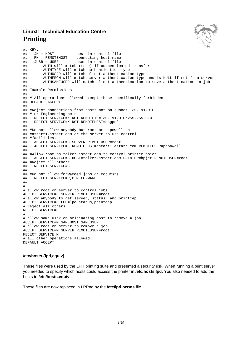# **LinuxIT Technical Education Centre Printing**



```
## KEY:
## JH = HOST host in control file
## RH = REMOTEHOST connecting host name
## JUSR = USER user in control file
## AUTH will match (true) if authenticated transfer
## AUTHTYPE will match authentication type
## AUTHUSER will match client authentication type
## AUTHFROM will match server authentication type and is NULL if not from server
## AUTHSAMEUSER will match client authentication to save authentication in job
##
## Example Permissions
##
## # All operations allowed except those specifically forbidden
## DEFAULT ACCEPT
##
## #Reject connections from hosts not on subnet 130.191.0.0
## # or Engineering pc's
## REJECT SERVICE=X NOT REMOTEIP=130.191.0.0/255.255.0.0<br>## REJECT SERVICE=X NOT REMOTEHOST=enqpc*
    REJECT SERVICE=X NOT REMOTEHOST=engpc*
##
## #Do not allow anybody but root or papowell on
## #astart1.astart.com or the server to use control
## #facilities.
## ACCEPT SERVICE=C SERVER REMOTEUSER=root
    ## ACCEPT SERVICE=C REMOTEHOST=astart1.astart.com REMOTEUSER=papowell
##
## #Allow root on talker.astart.com to control printer hpjet
## ACCEPT SERVICE=C HOST=talker.astart.com PRINTER=hpjet REMOTEUSER=root
## #Reject all others
## REJECT SERVICE=C
##
## #Do not allow forwarded jobs or requests
## REJECT SERVICE=R,C,M FORWARD
##
#
# allow root on server to control jobs
ACCEPT SERVICE=C SERVER REMOTEUSER=root
# allow anybody to get server, status, and printcap
ACCEPT SERVICE=C LPC=lpd,status,printcap
# reject all others
REJECT SERVICE=C
#
# allow same user on originating host to remove a job
ACCEPT SERVICE=M SAMEHOST SAMEUSER
# allow root on server to remove a job
ACCEPT SERVICE=M SERVER REMOTEUSER=root
REJECT SERVICE=M
# all other operations allowed
DEFAULT ACCEPT
```
\_\_\_\_\_\_\_\_\_\_\_\_\_\_\_\_\_\_\_\_\_\_\_\_\_\_\_\_\_\_\_\_\_\_\_\_\_\_\_\_\_\_\_\_\_\_\_\_\_\_\_\_\_\_\_\_\_\_\_\_\_\_\_\_\_\_\_\_

### **/etc/hosts.{lpd,equiv}**

These files were used by the LPR printing suite and presented a security risk. When running a print server you needed to specify which hosts could access the printer in **/etc/hosts.lpd**. You also needed to add the hosts to **/etc/hosts.equiv**.

These files are now replaced in LPRng by the **/etc/lpd.perms** file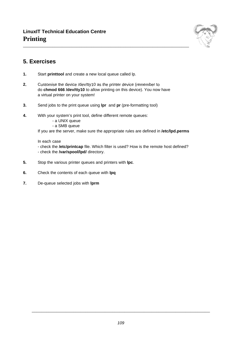

# **5. Exercises**

- **1.** Start **printtool** and create a new local queue called lp.
- **2.** Customise the device /dev/tty10 as the printer device (remember to do **chmod 666 /dev/tty10** to allow printing on this device). You now have a virtual printer on your system!

\_\_\_\_\_\_\_\_\_\_\_\_\_\_\_\_\_\_\_\_\_\_\_\_\_\_\_\_\_\_\_\_\_\_\_\_\_\_\_\_\_\_\_\_\_\_\_\_\_\_\_\_\_\_\_\_\_\_\_\_\_\_\_\_\_\_\_\_

- **3.** Send jobs to the print queue using **lpr** and **pr** (pre-formatting tool)
- **4.** With your system's print tool, define different remote queues:
	- a UNIX queue
	- a SMB queue

If you are the server, make sure the appropriate rules are defined in **/etc/lpd.perms**

In each case

- check the **/etc/printcap** file. Which filter is used? How is the remote host defined? - check the **/var/spool/lpd/** directory.

- **5.** Stop the various printer queues and printers with **lpc**.
- **6.** Check the contents of each queue with **lpq**
- **7.** De-queue selected jobs with **lprm**

*\_\_\_\_\_\_\_\_\_\_\_\_\_\_\_\_\_\_\_\_\_\_\_\_\_\_\_\_\_\_\_\_\_\_\_\_\_\_\_\_\_\_\_\_\_\_\_\_\_\_\_\_\_\_\_\_\_\_\_\_\_\_\_\_\_\_\_\_\_\_\_\_\_*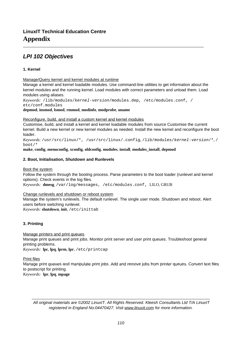# **LPI 102 Objectives**

# **1. Kernel**

Manage/Query kernel and kernel modules at runtime

Manage a kernel and kernel loadable modules. Use command-line utilities to get information about the kernel modules and the running kernel. Load modules with correct parameters and unload them. Load modules using aliases.

\_\_\_\_\_\_\_\_\_\_\_\_\_\_\_\_\_\_\_\_\_\_\_\_\_\_\_\_\_\_\_\_\_\_\_\_\_\_\_\_\_\_\_\_\_\_\_\_\_\_\_\_\_\_\_\_\_\_\_\_\_\_\_\_\_\_\_\_\_\_\_\_\_\_

*Keywords:* /lib/modules/kernel-version/modules.dep, /etc/modules.conf, / etc/conf.modules

**depmod**, **insmod**, **lsmod**, **rmmod**, **modinfo**, **modprobe**, **uname**

# Reconfigure, build, and install a custom kernel and kernel modules

Customise, build, and install a kernel and kernel loadable modules from source Customise the current kernel. Build a new kernel or new kernel modules as needed. Install the new kernel and reconfigure the boot loader.

*Keywords:* /usr/src/linux/\*, /usr/src/linux/.config, /lib/modules/kernel-version/\*, / boot/\*

**make**, **config**, **menuconfig**, **xconfig**, **oldconfig**, **modules**, **install**, **modules\_install**, **depmod**

# **2. Boot, Initialisation, Shutdown and Runlevels**

# Boot the system

Follow the system through the booting process. Parse parameters to the boot loader (runlevel and kernel options). Check events in the log files.

*Keywords:* **dmesg**, /var/log/messages, /etc/modules.conf, LILO, GRUB

Change runlevels and shutdown or reboot system

Manage the system's runlevels. The default runlevel. The single user mode. Shutdown and reboot. Alert users before switching runlevel.

*Keywords:* **shutdown**, **init**, /etc/inittab

# **3. Printing**

Manage printers and print queues Manage print queues and print jobs. Monitor print server and user print queues. Troubleshoot general printing problems. *Keywords:* **lpc**, **lpq**, **lprm**, **lpr**, /etc/printcap

Print files

Manage print queues and manipulate print jobs. Add and remove jobs from printer queues. Convert text files to postscript for printing.

*Keywords:* **lpr**, **lpq**, **mpage**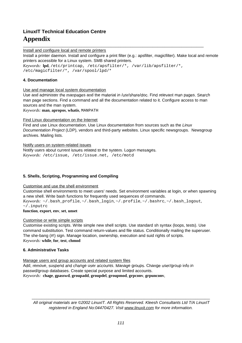# **LinuxIT Technical Education Centre Appendix**

Install and configure local and remote printers

Install a printer daemon. Install and configure a print filter (e.g.: apsfilter, magicfilter). Make local and remote printers accessible for a Linux system. SMB shared printers.

\_\_\_\_\_\_\_\_\_\_\_\_\_\_\_\_\_\_\_\_\_\_\_\_\_\_\_\_\_\_\_\_\_\_\_\_\_\_\_\_\_\_\_\_\_\_\_\_\_\_\_\_\_\_\_\_\_\_\_\_\_\_\_\_\_\_\_\_\_\_\_\_\_\_

*Keywords:* **lpd**, /etc/printcap, /etc/apsfilter/\*, /var/lib/apsfilter/\*, /etc/magicfilter/\*, /var/spool/lpd/\*

# **4. Documentation**

Use and manage local system documentation

Use and administer the manpages and the material in /usr/share/doc. Find relevant man pages. Search man page sections. Find a command and all the documentation related to it. Configure access to man sources and the man system.

*Keywords:* **man**, **apropos**, **whatis**, MANPATH

# Find Linux documentation on the Internet

Find and use Linux documentation. Use Linux documentation from sources such as the Linux Documentation Project (LDP), vendors and third-party websites. Linux specific newsgroups. Newsgroup archives. Mailing lists.

Notify users on system-related issues

Notify users about current issues related to the system. Logon messages. *Keywords:* /etc/issue, /etc/issue.net, /etc/motd

# **5. Shells, Scripting, Programming and Compiling**

# Customise and use the shell environment

Customise shell environments to meet users' needs. Set environment variables at login, or when spawning a new shell. Write bash functions for frequently used sequences of commands. *Keywords:* ~/.bash\_profile, ~/.bash\_login, ~/.profile, ~/.bashrc, ~/.bash\_logout, ~/.inputrc

**function**, **export**, **env**, **set**, **unset**

# Customise or write simple scripts

Customise existing scripts. Write simple new shell scripts. Use standard sh syntax (loops, tests). Use command substitution. Test command return-values and file status. Conditionally mailing the superuser. The she-bang (#!) sign. Manage location, ownership, execution and suid rights of scripts. *Keywords:* **while**, **for**, **test**, **chmod**

# **6. Administrative Tasks**

Manage users and group accounts and related system files Add, remove, suspend and change user accounts. Manage groups. Change user/group info in passwd/group databases. Create special purpose and limited accounts. *Keywords:* **chage**, **gpasswd**, **groupadd**, **groupdel**, **groupmod**, **grpconv**, **grpunconv**,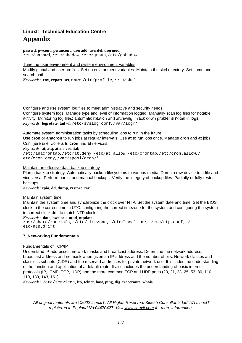# **LinuxIT Technical Education Centre Appendix**

\_\_\_\_\_\_\_\_\_\_\_\_\_\_\_\_\_\_\_\_\_\_\_\_\_\_\_\_\_\_\_\_\_\_\_\_\_\_\_\_\_\_\_\_\_\_\_\_\_\_\_\_\_\_\_\_\_\_\_\_\_\_\_\_\_\_\_\_\_\_\_\_\_\_ **passwd**, **pwconv**, **pwunconv**, **useradd**, **userdel**, **usermod** /etc/passwd, /etc/shadow, /etc/group, /etc/gshadow

Tune the user environment and system environment variables

Modify global and user profiles. Set up environment variables. Maintain the skel directory. Set command search path.

*Keywords:* **env**, **export**, **set**, **unset**, /etc/profile, /etc/skel

Configure and use system log files to meet administrative and security needs Configure system logs. Manage type and level of information logged. Manually scan log files for notable activity. Monitoring log files: automatic rotation and archiving. Track down problems noted in logs. *Keywords:* **logrotate**, **tail –f**, /etc/syslog.conf, /var/log/\*

Automate system administration tasks by scheduling jobs to run in the future

Use **cron** or **anacron** to run jobs at regular intervals. Use **at** to run jobs once. Manage **cron** and **at** jobs. Configure user access to **cron** and **at** services.

#### *Keywords:* **at**, **atq**, **atrm**, **crontab**

/etc/anacrontab, /etc/at.deny, /etc/at.allow, /etc/crontab, /etc/cron.allow, / etc/cron.deny, /var/spool/cron/\*

#### Maintain an effective data backup strategy

Plan a backup strategy. Automatically backup filesystems to various media. Dump a raw device to a file and vice versa. Perform partial and manual backups. Verify the integrity of backup files. Partially or fully restor backups.

#### *Keywords:* **cpio**, **dd**, **dump**, **restore**, **tar**

#### Maintain system time

Maintain the system time and synchronize the clock over NTP. Set the system date and time. Set the BIOS clock to the correct time in UTC, configuring the correct timezone for the system and configuring the system to correct clock drift to match NTP clock.

*Keywords:* **date**, **hwclock**, **ntpd**, **ntpdate**

/usr/share/zoneinfo, /etc/timezone, /etc/localtime, /etc/ntp.conf, / etc/ntp.drift

# **7. Networking Fundamentals**

#### Fundamentals of TCP/IP

Understand IP-addresses, network masks and broadcast address. Determine the network address, broadcast address and netmask when given an IP-address and the number of bits. Network classes and classless subnets (CIDR) and the reserved addresses for private network use. It includes the understanding of the function and application of a default route. It also includes the understanding of basic internet protocols (IP, ICMP, TCP, UDP) and the more common TCP and UDP ports (20, 21, 23, 25, 53, 80, 110, 119, 139, 143, 161).

*Keywords:* /etc/services, **ftp**, **telnet**, **host**, **ping**, **dig**, **traceroute**, **whois**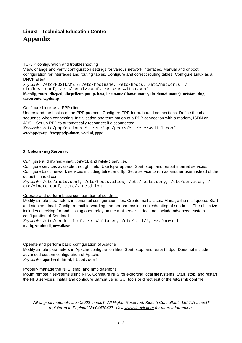#### TCP/IP configuration and troubleshooting

View, change and verify configuration settings for various network interfaces. Manual and onboot configuration for interfaces and routing tables. Configure and correct routing tables. Configure Linux as a DHCP client.

\_\_\_\_\_\_\_\_\_\_\_\_\_\_\_\_\_\_\_\_\_\_\_\_\_\_\_\_\_\_\_\_\_\_\_\_\_\_\_\_\_\_\_\_\_\_\_\_\_\_\_\_\_\_\_\_\_\_\_\_\_\_\_\_\_\_\_\_\_\_\_\_\_\_

*Keywords:* /etc/HOSTNAME or /etc/hostname, /etc/hosts, /etc/networks, / etc/host.conf, /etc/resolv.conf, /etc/nsswitch.conf

**ifconfig**, **route**, **dhcpcd**, **dhcpclient**, **pump**, **host**, **hostname (domainname, dnsdomainname)**, **netstat**, **ping**, **traceroute**, **tcpdump**

# Configure Linux as a PPP client

Understand the basics of the PPP protocol. Configure PPP for outbound connections. Define the chat sequence when connecting. Initialisation and termination of a PPP connection with a modem, ISDN or ADSL. Set up PPP to automatically reconnect if disconnected.

*Keywords:* /etc/ppp/options.\*, /etc/ppp/peers/\*, /etc/wvdial.conf **/etc/ppp/ip-up**, **/etc/ppp/ip-down**, **wvdial**, pppd

# **8. Networking Services**

Configure and manage inetd, xinetd, and related services

Configure services available through inetd. Use tcpwrappers. Start, stop, and restart internet services. Configure basic network services including telnet and ftp. Set a service to run as another user instead of the default in inetd.conf.

*Keywords:* /etc/inetd.conf, /etc/hosts.allow, /etc/hosts.deny, /etc/services, / etc/xinetd.conf, /etc/xinetd.log

# Operate and perform basic configuration of sendmail

Modify simple parameters in sendmail configuration files. Create mail aliases. Manage the mail queue. Start and stop sendmail. Configure mail forwarding and perform basic troubleshooting of sendmail. The objective includes checking for and closing open relay on the mailserver. It does not include advanced custom configuration of Sendmail.

*Keywords:* /etc/sendmail.cf, /etc/aliases, /etc/mail/\*, ~/.forward **mailq**, **sendmail**, **newaliases**

Operate and perform basic configuration of Apache

Modify simple parameters in Apache configuration files. Start, stop, and restart httpd. Does not include advanced custom configuration of Apache.

*Keywords:* **apachectl**, **httpd**, httpd.conf

# Properly manage the NFS, smb, and nmb daemons

Mount remote filesystems using NFS. Configure NFS for exporting local filesystems. Start, stop, and restart the NFS services. Install and configure Samba using GUI tools or direct edit of the /etc/smb.conf file.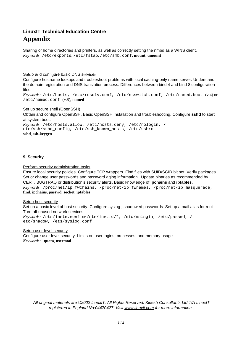\_\_\_\_\_\_\_\_\_\_\_\_\_\_\_\_\_\_\_\_\_\_\_\_\_\_\_\_\_\_\_\_\_\_\_\_\_\_\_\_\_\_\_\_\_\_\_\_\_\_\_\_\_\_\_\_\_\_\_\_\_\_\_\_\_\_\_\_\_\_\_\_\_\_ Sharing of home directories and printers, as well as correctly setting the nmbd as a WINS client. *Keywords:* /etc/exports, /etc/fstab, /etc/smb.conf, **mount**, **umount**

# Setup and configure basic DNS services

Configure hostname lookups and troubleshoot problems with local caching-only name server. Understand the domain registration and DNS translation process. Differences between bind 4 and bind 8 configuration files.

*Keywords:* /etc/hosts, /etc/resolv.conf, /etc/nsswitch.conf, /etc/named.boot (v.4) or /etc/named.conf (v.8), **named**

# Set up secure shell (OpenSSH)

Obtain and configure OpenSSH. Basic OpenSSH installation and troubleshooting. Configure **sshd** to start at system boot.

*Keywords:* /etc/hosts.allow, /etc/hosts.deny, /etc/nologin, / etc/ssh/sshd\_config, /etc/ssh\_known\_hosts, /etc/sshrc **sshd**, **ssh-keygen**

# **9. Security**

Perform security administration tasks

Ensure local security policies. Configure TCP wrappers. Find files with SUID/SGID bit set. Verify packages. Set or change user passwords and password aging information. Update binaries as recommended by CERT, BUGTRAQ or distribution's security alerts. Basic knowledge of **ipchains** and **iptables**. *Keywords:* /proc/net/ip\_fwchains, /proc/net/ip\_fwnames, /proc/net/ip\_masquerade, **find**, **ipchains**, **passwd**, **socket**, **iptables**

# Setup host security

Set up a basic level of host security. Configure syslog , shadowed passwords. Set up a mail alias for root. Turn off unused network services. *Keywords:* /etc/inetd.conf or /etc/inet.d/\*, /etc/nologin, /etc/passwd, / etc/shadow, /ets/syslog.conf

Setup user level security Configure user level security. Limits on user logins, processes, and memory usage. *Keywords:* **quota**, **usermod**